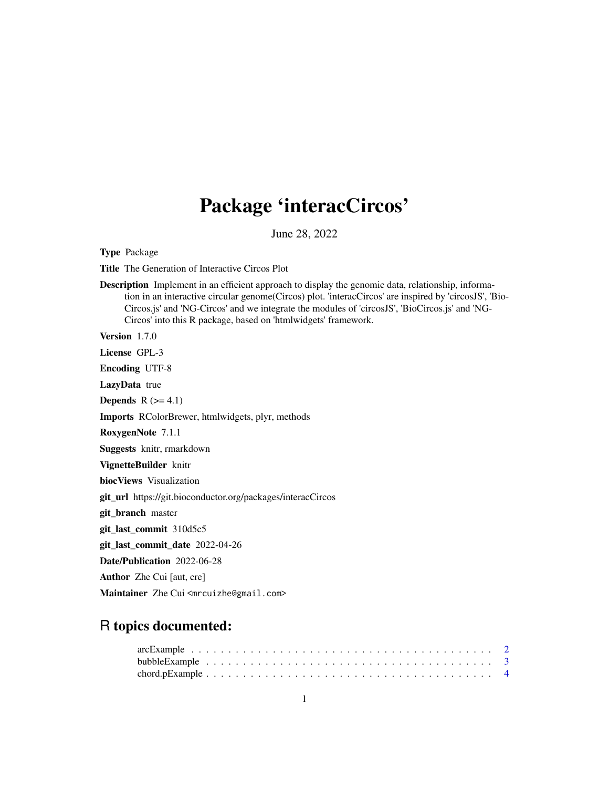# Package 'interacCircos'

June 28, 2022

Type Package

Title The Generation of Interactive Circos Plot

Description Implement in an efficient approach to display the genomic data, relationship, information in an interactive circular genome(Circos) plot. 'interacCircos' are inspired by 'circosJS', 'Bio-Circos.js' and 'NG-Circos' and we integrate the modules of 'circosJS', 'BioCircos.js' and 'NG-Circos' into this R package, based on 'htmlwidgets' framework.

Version 1.7.0

License GPL-3

Encoding UTF-8

LazyData true

Depends  $R$  ( $>= 4.1$ )

Imports RColorBrewer, htmlwidgets, plyr, methods

RoxygenNote 7.1.1

Suggests knitr, rmarkdown

VignetteBuilder knitr

biocViews Visualization

git\_url https://git.bioconductor.org/packages/interacCircos

git\_branch master

git\_last\_commit 310d5c5

git\_last\_commit\_date 2022-04-26

Date/Publication 2022-06-28

Author Zhe Cui [aut, cre]

Maintainer Zhe Cui <mrcuizhe@gmail.com>

# R topics documented: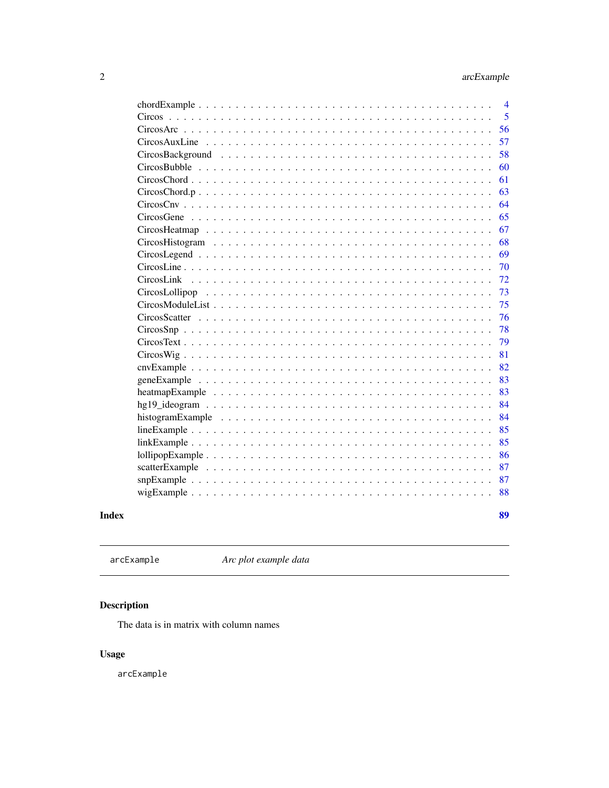<span id="page-1-0"></span>

| $\overline{4}$                                                                                                    |
|-------------------------------------------------------------------------------------------------------------------|
| 5                                                                                                                 |
| 56                                                                                                                |
| 57                                                                                                                |
| 58                                                                                                                |
| 60                                                                                                                |
| 61                                                                                                                |
| 63<br>CircosChord.p                                                                                               |
| 64                                                                                                                |
| 65                                                                                                                |
| 67                                                                                                                |
| 68                                                                                                                |
| 69                                                                                                                |
| 70                                                                                                                |
| 72                                                                                                                |
| 73                                                                                                                |
| 75                                                                                                                |
| 76<br>CircosScatter                                                                                               |
| 78                                                                                                                |
| 79                                                                                                                |
| 81                                                                                                                |
| 82                                                                                                                |
| 83                                                                                                                |
| 83<br>heatmapExample $\ldots \ldots \ldots \ldots \ldots \ldots \ldots \ldots \ldots \ldots \ldots \ldots \ldots$ |
| 84                                                                                                                |
| 84                                                                                                                |
| 85                                                                                                                |
| 85                                                                                                                |
| 86                                                                                                                |
| 87                                                                                                                |
| 87                                                                                                                |
| 88                                                                                                                |
|                                                                                                                   |
| 89                                                                                                                |

### **Index**

 $arcExample$ 

Arc plot example data

# Description

The data is in matrix with column names

# **Usage**

 $arcExample$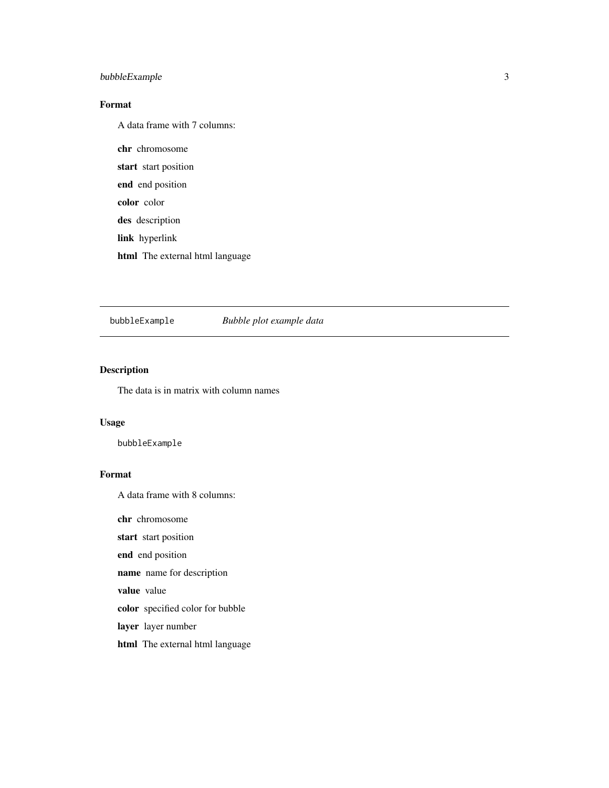#### <span id="page-2-0"></span>bubbleExample 3

#### Format

A data frame with 7 columns:

chr chromosome start start position end end position color color des description link hyperlink html The external html language

bubbleExample *Bubble plot example data*

#### Description

The data is in matrix with column names

#### Usage

bubbleExample

#### Format

A data frame with 8 columns:

chr chromosome

start start position

end end position

name name for description

value value

color specified color for bubble

layer layer number

html The external html language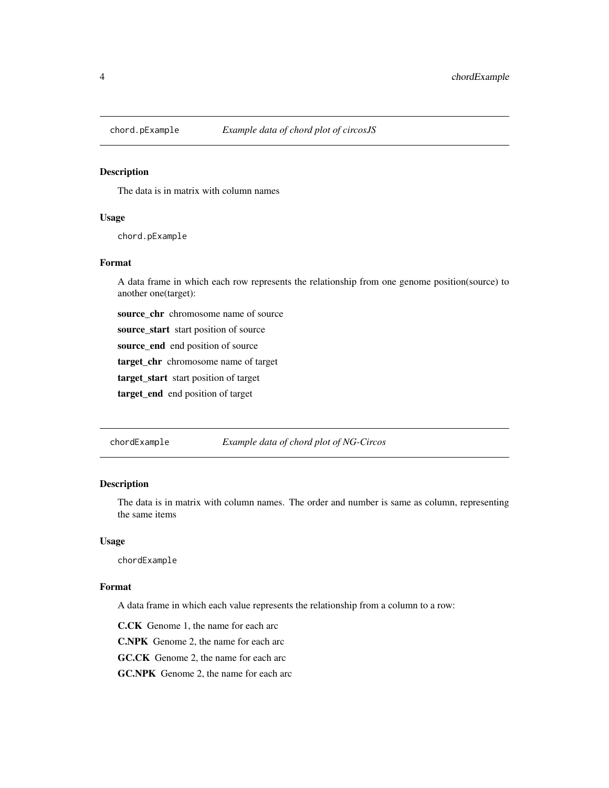<span id="page-3-0"></span>

#### Description

The data is in matrix with column names

#### Usage

chord.pExample

#### Format

A data frame in which each row represents the relationship from one genome position(source) to another one(target):

source\_chr chromosome name of source

source\_start start position of source

source\_end end position of source

target\_chr chromosome name of target

target\_start start position of target

target\_end end position of target

chordExample *Example data of chord plot of NG-Circos*

#### Description

The data is in matrix with column names. The order and number is same as column, representing the same items

#### Usage

chordExample

#### Format

A data frame in which each value represents the relationship from a column to a row:

C.CK Genome 1, the name for each arc

C.NPK Genome 2, the name for each arc

GC.CK Genome 2, the name for each arc

GC.NPK Genome 2, the name for each arc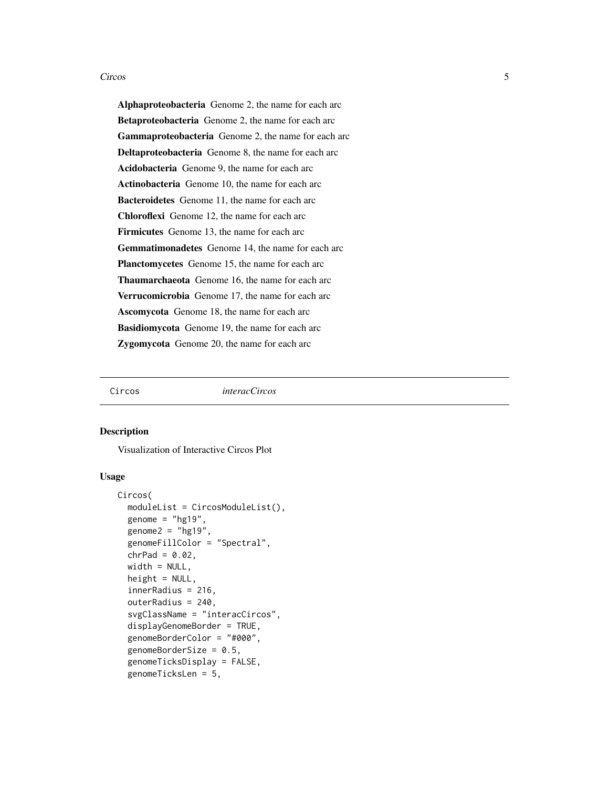<span id="page-4-0"></span>Alphaproteobacteria Genome 2, the name for each arc Betaproteobacteria Genome 2, the name for each arc Gammaproteobacteria Genome 2, the name for each arc Deltaproteobacteria Genome 8, the name for each arc Acidobacteria Genome 9, the name for each arc Actinobacteria Genome 10, the name for each arc Bacteroidetes Genome 11, the name for each arc Chloroflexi Genome 12, the name for each arc Firmicutes Genome 13, the name for each arc Gemmatimonadetes Genome 14, the name for each arc Planctomycetes Genome 15, the name for each arc Thaumarchaeota Genome 16, the name for each arc Verrucomicrobia Genome 17, the name for each arc Ascomycota Genome 18, the name for each arc Basidiomycota Genome 19, the name for each arc Zygomycota Genome 20, the name for each arc

Circos *interacCircos*

#### **Description**

Visualization of Interactive Circos Plot

#### Usage

```
Circos(
  moduleList = CircosModuleList(),
  genome = "hg19",
  genome2 = "hg19",genomeFillColor = "Spectral",
  chrPad = 0.02,width = NULL,height = NULL,innerRadius = 216,
  outerRadius = 240,
  svgClassName = "interacCircos",
  displayGenomeBorder = TRUE,
  genomeBorderColor = "#000",
  genomeBorderSize = 0.5,
  genomeTicksDisplay = FALSE,
  genomeTicksLen = 5,
```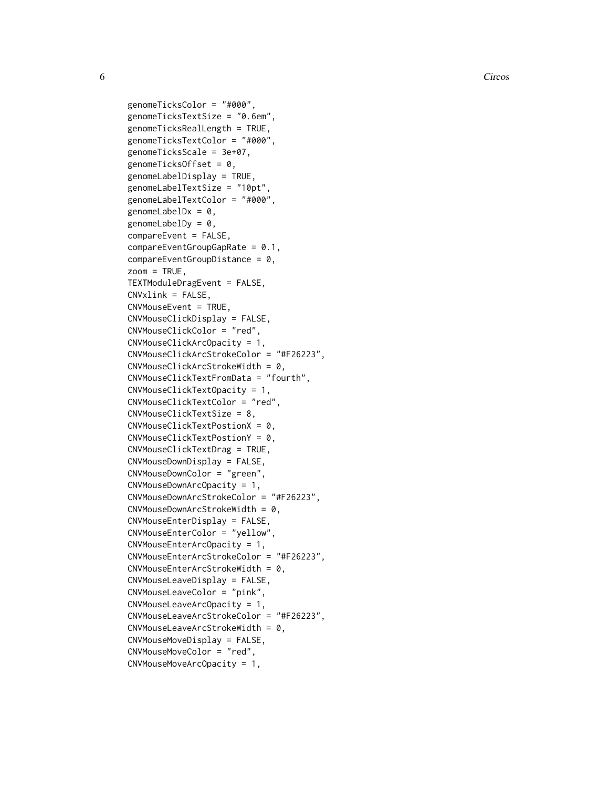**6** Circos **Contract Contract Contract Contract Circos Circos** 

genomeTicksColor = "#000", genomeTicksTextSize = "0.6em", genomeTicksRealLength = TRUE, genomeTicksTextColor = "#000", genomeTicksScale = 3e+07, genomeTicksOffset = 0, genomeLabelDisplay = TRUE, genomeLabelTextSize = "10pt", genomeLabelTextColor = "#000", genomeLabelD $x = 0$ , genomeLabelDy =  $0$ , compareEvent = FALSE,  $compareEventGroupGapRate = 0.1,$ compareEventGroupDistance = 0,  $z$ oom = TRUE, TEXTModuleDragEvent = FALSE, CNVxlink = FALSE, CNVMouseEvent = TRUE, CNVMouseClickDisplay = FALSE, CNVMouseClickColor = "red", CNVMouseClickArcOpacity = 1, CNVMouseClickArcStrokeColor = "#F26223", CNVMouseClickArcStrokeWidth = 0, CNVMouseClickTextFromData = "fourth", CNVMouseClickTextOpacity = 1, CNVMouseClickTextColor = "red", CNVMouseClickTextSize = 8, CNVMouseClickTextPostionX = 0, CNVMouseClickTextPostionY = 0, CNVMouseClickTextDrag = TRUE, CNVMouseDownDisplay = FALSE, CNVMouseDownColor = "green", CNVMouseDownArcOpacity = 1, CNVMouseDownArcStrokeColor = "#F26223", CNVMouseDownArcStrokeWidth = 0, CNVMouseEnterDisplay = FALSE, CNVMouseEnterColor = "yellow", CNVMouseEnterArcOpacity = 1, CNVMouseEnterArcStrokeColor = "#F26223", CNVMouseEnterArcStrokeWidth = 0, CNVMouseLeaveDisplay = FALSE, CNVMouseLeaveColor = "pink", CNVMouseLeaveArcOpacity = 1, CNVMouseLeaveArcStrokeColor = "#F26223",  $CNW$ ouseLeaveArcStrokeWidth = 0, CNVMouseMoveDisplay = FALSE, CNVMouseMoveColor = "red", CNVMouseMoveArcOpacity = 1,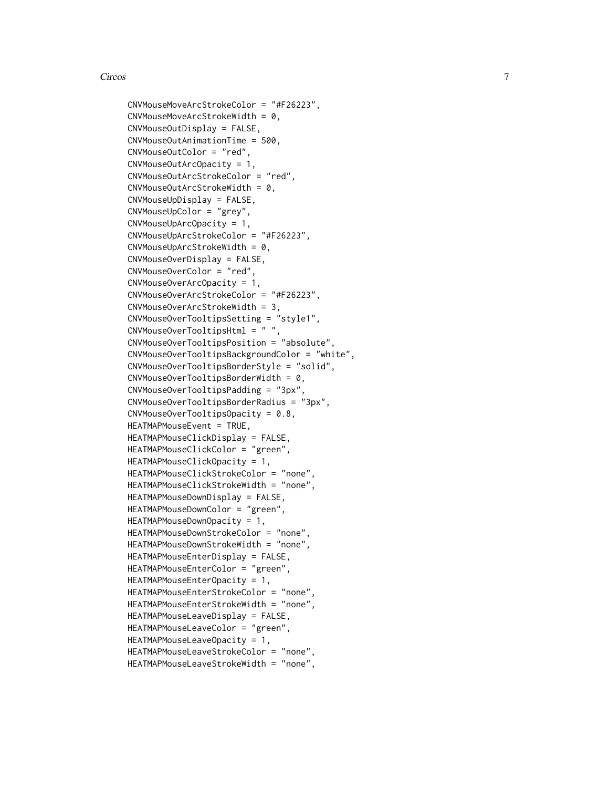```
CNVMouseMoveArcStrokeColor = "#F26223",
CNVMouseMoveArcStrokeWidth = 0,
CNVMouseOutDisplay = FALSE,
CNVMouseOutAnimationTime = 500,
CNVMouseOutColor = "red",
CNVMouseOutArcOpacity = 1,
CNVMouseOutArcStrokeColor = "red",
CNVMouseOutArcStrokeWidth = 0,
CNVMouseUpDisplay = FALSE,
CNVMouseUpColor = "grey",
CNVMouseUpArcOpacity = 1,
CNVMouseUpArcStrokeColor = "#F26223",
CNVMouseUpArcStrokeWidth = 0,
CNVMouseOverDisplay = FALSE,
CNVMouseOverColor = "red",
CNVMouseOverArcOpacity = 1,
CNVMouseOverArcStrokeColor = "#F26223",
CNVMouseOverArcStrokeWidth = 3,
CNVMouseOverTooltipsSetting = "style1",
CNVMouseOverTooltipsHtml = " ",
CNVMouseOverTooltipsPosition = "absolute",
CNVMouseOverTooltipsBackgroundColor = "white",
CNVMouseOverTooltipsBorderStyle = "solid",
CNVMouseOverTooltipsBorderWidth = 0,CNVMouseOverTooltipsPadding = "3px",
CNVMouseOverTooltipsBorderRadius = "3px",
CNVMouseOverTooltipsOpacity = 0.8,
HEATMAPMouseEvent = TRUE,
HEATMAPMouseClickDisplay = FALSE,
HEATMAPMouseClickColor = "green",
HEATMAPMouseClickOpacity = 1,
HEATMAPMouseClickStrokeColor = "none",
HEATMAPMouseClickStrokeWidth = "none",
HEATMAPMouseDownDisplay = FALSE,
HEATMAPMouseDownColor = "green",
HEATMAPMouseDownOpacity = 1,
HEATMAPMouseDownStrokeColor = "none",
HEATMAPMouseDownStrokeWidth = "none",
HEATMAPMouseEnterDisplay = FALSE,
HEATMAPMouseEnterColor = "green",
HEATMAPMouseEnterOpacity = 1,
HEATMAPMouseEnterStrokeColor = "none",
HEATMAPMouseEnterStrokeWidth = "none",
HEATMAPMouseLeaveDisplay = FALSE,
HEATMAPMouseLeaveColor = "green",
HEATMAPMouseLeaveOpacity = 1,
HEATMAPMouseLeaveStrokeColor = "none",
HEATMAPMouseLeaveStrokeWidth = "none",
```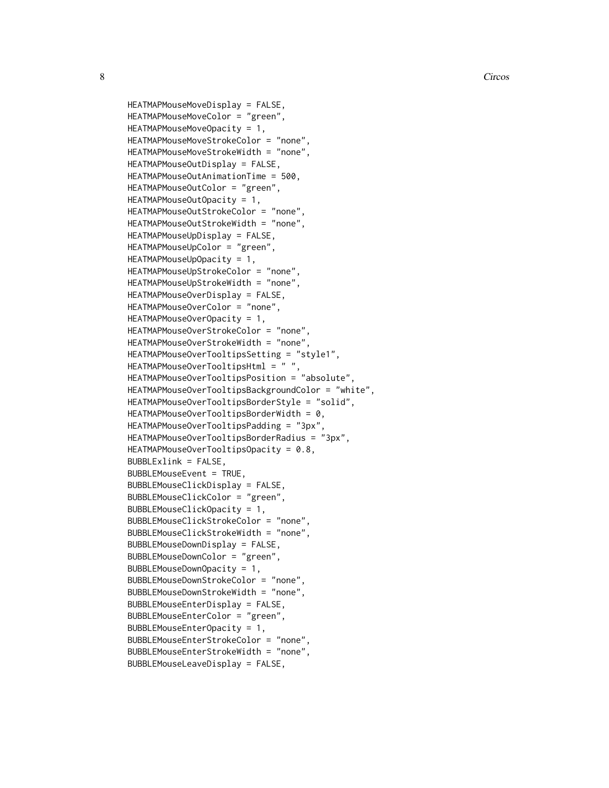```
HEATMAPMouseMoveDisplay = FALSE,
HEATMAPMouseMoveColor = "green",
HEATMAPMouseMoveOpacity = 1,
HEATMAPMouseMoveStrokeColor = "none",
HEATMAPMouseMoveStrokeWidth = "none",
HEATMAPMouseOutDisplay = FALSE,
HEATMAPMouseOutAnimationTime = 500,
HEATMAPMouseOutColor = "green",
HEATMAPMouseOutOpacity = 1,
HEATMAPMouseOutStrokeColor = "none",
HEATMAPMouseOutStrokeWidth = "none",
HEATMAPMouseUpDisplay = FALSE,
HEATMAPMouseUpColor = "green",
HEATMAPMouseUpOpacity = 1,
HEATMAPMouseUpStrokeColor = "none",
HEATMAPMouseUpStrokeWidth = "none",
HEATMAPMouseOverDisplay = FALSE,
HEATMAPMouseOverColor = "none",
HEATMAPMouseOverOpacity = 1,
HEATMAPMouseOverStrokeColor = "none",
HEATMAPMouseOverStrokeWidth = "none",
HEATMAPMouseOverTooltipsSetting = "style1",
HEATMAPMouseOverTooltipsHtml = " ",
HEATMAPMouseOverTooltipsPosition = "absolute",
HEATMAPMouseOverTooltipsBackgroundColor = "white",
HEATMAPMouseOverTooltipsBorderStyle = "solid",
HEATMAPMouseOverTooltipsBorderWidth = 0,HEATMAPMouseOverTooltipsPadding = "3px"
HEATMAPMouseOverTooltipsBorderRadius = "3px",
HEATMAPMouseOverTooltipsOpacity = 0.8,
BUBBLExlink = FALSE,BUBBLEMouseEvent = TRUE,
BUBBLEMouseClickDisplay = FALSE,
BUBBLEMouseClickColor = "green",
BUBBLEMouseClickOpacity = 1,
BUBBLEMouseClickStrokeColor = "none",
BUBBLEMouseClickStrokeWidth = "none",
BUBBLEMouseDownDisplay = FALSE,
BUBBLEMouseDownColor = "green",
BUBBLEMouseDownOpacity = 1,
BUBBLEMouseDownStrokeColor = "none",
BUBBLEMouseDownStrokeWidth = "none",
BUBBLEMouseEnterDisplay = FALSE,
BUBBLEMouseEnterColor = "green",
BUBBLEMouseEnterOpacity = 1,
BUBBLEMouseEnterStrokeColor = "none",
BUBBLEMouseEnterStrokeWidth = "none",
BUBBLEMouseLeaveDisplay = FALSE,
```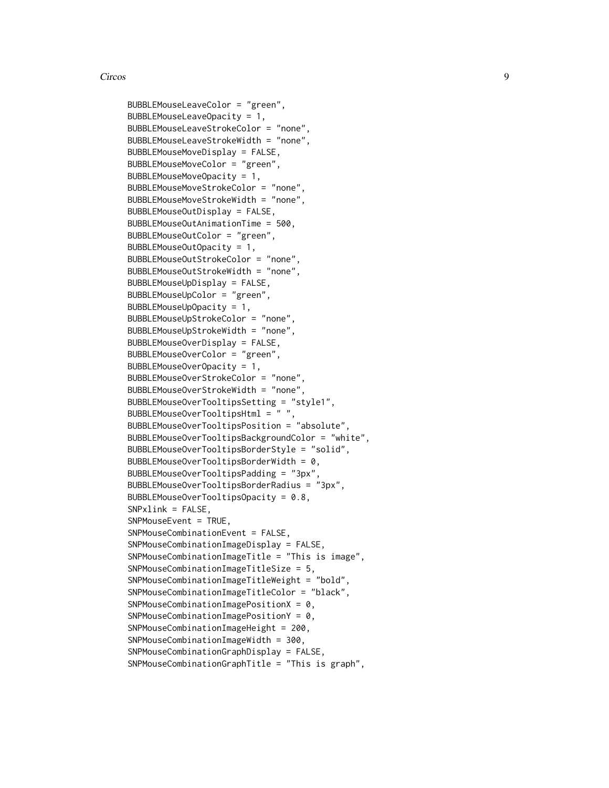```
BUBBLEMouseLeaveColor = "green",
BUBBLEMouseLeaveOpacity = 1,
BUBBLEMouseLeaveStrokeColor = "none",
BUBBLEMouseLeaveStrokeWidth = "none",
BUBBLEMouseMoveDisplay = FALSE,
BUBBLEMouseMoveColor = "green",
BUBBLEMouseMoveOpacity = 1,
BUBBLEMouseMoveStrokeColor = "none",
BUBBLEMouseMoveStrokeWidth = "none",
BUBBLEMouseOutDisplay = FALSE,
BUBBLEMouseOutAnimationTime = 500,
BUBBLEMouseOutColor = "green",
BUBBLEMouseOutOpacity = 1,
BUBBLEMouseOutStrokeColor = "none",
BUBBLEMouseOutStrokeWidth = "none",
BUBBLEMouseUpDisplay = FALSE,
BUBBLEMouseUpColor = "green",
BUBBLEMouseUpOpacity = 1,
BUBBLEMouseUpStrokeColor = "none",
BUBBLEMouseUpStrokeWidth = "none",
BUBBLEMouseOverDisplay = FALSE,
BUBBLEMouseOverColor = "green",
BUBBLEMouseOverOpacity = 1,
BUBBLEMouseOverStrokeColor = "none",
BUBBLEMouseOverStrokeWidth = "none",
BUBBLEMouseOverTooltipsSetting = "style1",
BUBBLEMouseOverTooltipsHtml = " ",
BUBBLEMouseOverTooltipsPosition = "absolute",
BUBBLEMouseOverTooltipsBackgroundColor = "white",
BUBBLEMouseOverTooltipsBorderStyle = "solid",
BUBBLEMouseOverTooltipsBorderWidth = 0,BUBBLEMouseOverTooltipsPadding = "3px",
BUBBLEMouseOverTooltipsBorderRadius = "3px",
BUBBLEMouseOverTooltipsOpacity = 0.8,
SNPxlink = FALSE,
SNPMouseEvent = TRUE,
SNPMouseCombinationEvent = FALSE,
SNPMouseCombinationImageDisplay = FALSE,
SNPMouseCombinationImageTitle = "This is image",
SNPMouseCombinationImageTitleSize = 5,
SNPMouseCombinationImageTitleWeight = "bold",
SNPMouseCombinationImageTitleColor = "black",
SNPMouseCombinationImagePositionX = 0,
SNPMouseCombinationImagePositionY = 0,
SNPMouseCombinationImageHeight = 200,
SNPMouseCombinationImageWidth = 300,
SNPMouseCombinationGraphDisplay = FALSE,
SNPMouseCombinationGraphTitle = "This is graph",
```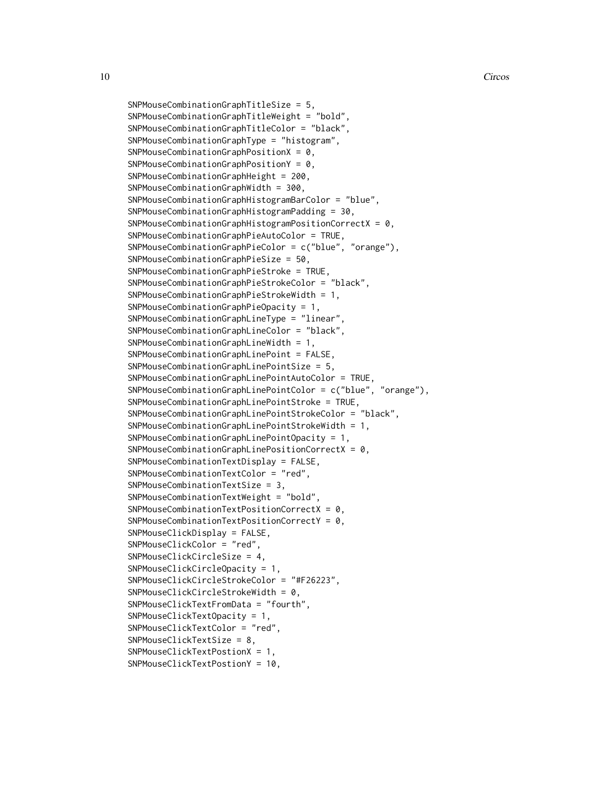```
SNPMouseCombinationGraphTitleSize = 5,
SNPMouseCombinationGraphTitleWeight = "bold",
SNPMouseCombinationGraphTitleColor = "black",
SNPMouseCombinationGraphType = "histogram",
SNPMouseCombinationGraphPositionX = 0,
SNPMouseCombinationGraphPositionY = 0,
SNPMouseCombinationGraphHeight = 200,
SNPMouseCombinationGraphWidth = 300,
SNPMouseCombinationGraphHistogramBarColor = "blue",
SNPMouseCombinationGraphHistogramPadding = 30,
SNPMouseCombinationGraphHistogramPositionCorrectX = 0,
SNPMouseCombinationGraphPieAutoColor = TRUE,
SNPMouseCombinationGraphPieColor = c("blue", "orange"),
SNPMouseCombinationGraphPieSize = 50,
SNPMouseCombinationGraphPieStroke = TRUE,
SNPMouseCombinationGraphPieStrokeColor = "black",
SNPMouseCombinationGraphPieStrokeWidth = 1,
SNPMouseCombinationGraphPieOpacity = 1,
SNPMouseCombinationGraphLineType = "linear",
SNPMouseCombinationGraphLineColor = "black",
SNPMouseCombinationGraphLineWidth = 1,
SNPMouseCombinationGraphLinePoint = FALSE,
SNPMouseCombinationGraphLinePointSize = 5,
SNPMouseCombinationGraphLinePointAutoColor = TRUE,
SNPMouseCombinationGraphLinePointColor = c("blue", "orange"),
SNPMouseCombinationGraphLinePointStroke = TRUE,
SNPMouseCombinationGraphLinePointStrokeColor = "black",
SNPMouseCombinationGraphLinePointStrokeWidth = 1,
SNPMouseCombinationGraphLinePointOpacity = 1,
SNPMouseCombinationGraphLine PositionCorrection = 0,
SNPMouseCombinationTextDisplay = FALSE,
SNPMouseCombinationTextColor = "red",
SNPMouseCombinationTextSize = 3,
SNPMouseCombinationTextWeight = "bold",
SNPMouseCombinationTextPositionCorrectX = 0,
SNPMouseCombinationTextPositionCorrectY = 0,
SNPMouseClickDisplay = FALSE,
SNPMouseClickColor = "red",
SNPMouseClickCircleSize = 4,
SNPMouseClickCircleOpacity = 1,
SNPMouseClickCircleStrokeColor = "#F26223",
SNPMouseClickCircleStrokeWidth = 0,
SNPMouseClickTextFromData = "fourth",
SNPMouseClickTextOpacity = 1,
SNPMouseClickTextColor = "red",
SNPMouseClickTextSize = 8,
SNPMouseClickTextPostionX = 1,
```

```
SNPMouseClickTextPostionY = 10,
```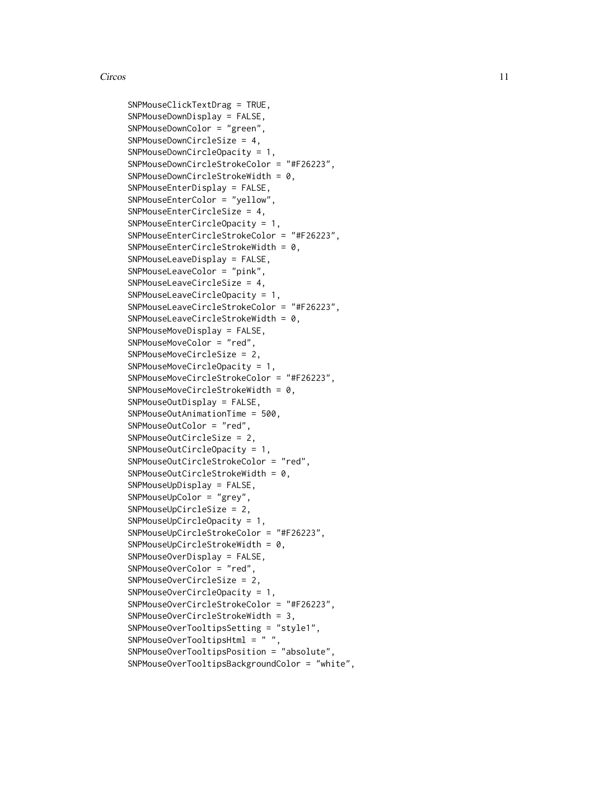SNPMouseClickTextDrag = TRUE, SNPMouseDownDisplay = FALSE, SNPMouseDownColor = "green", SNPMouseDownCircleSize = 4, SNPMouseDownCircleOpacity = 1, SNPMouseDownCircleStrokeColor = "#F26223", SNPMouseDownCircleStrokeWidth = 0, SNPMouseEnterDisplay = FALSE, SNPMouseEnterColor = "yellow", SNPMouseEnterCircleSize = 4, SNPMouseEnterCircleOpacity = 1, SNPMouseEnterCircleStrokeColor = "#F26223", SNPMouseEnterCircleStrokeWidth = 0, SNPMouseLeaveDisplay = FALSE, SNPMouseLeaveColor = "pink", SNPMouseLeaveCircleSize = 4, SNPMouseLeaveCircleOpacity = 1, SNPMouseLeaveCircleStrokeColor = "#F26223", SNPMouseLeaveCircleStrokeWidth = 0, SNPMouseMoveDisplay = FALSE, SNPMouseMoveColor = "red", SNPMouseMoveCircleSize = 2, SNPMouseMoveCircleOpacity = 1, SNPMouseMoveCircleStrokeColor = "#F26223", SNPMouseMoveCircleStrokeWidth = 0, SNPMouseOutDisplay = FALSE, SNPMouseOutAnimationTime = 500, SNPMouseOutColor = "red", SNPMouseOutCircleSize = 2, SNPMouseOutCircleOpacity = 1, SNPMouseOutCircleStrokeColor = "red", SNPMouseOutCircleStrokeWidth = 0, SNPMouseUpDisplay = FALSE, SNPMouseUpColor = "grey", SNPMouseUpCircleSize = 2, SNPMouseUpCircleOpacity = 1, SNPMouseUpCircleStrokeColor = "#F26223", SNPMouseUpCircleStrokeWidth = 0, SNPMouseOverDisplay = FALSE, SNPMouseOverColor = "red", SNPMouseOverCircleSize = 2, SNPMouseOverCircleOpacity = 1, SNPMouseOverCircleStrokeColor = "#F26223", SNPMouseOverCircleStrokeWidth = 3, SNPMouseOverTooltipsSetting = "style1", SNPMouseOverTooltipsHtml = " ", SNPMouseOverTooltipsPosition = "absolute", SNPMouseOverTooltipsBackgroundColor = "white",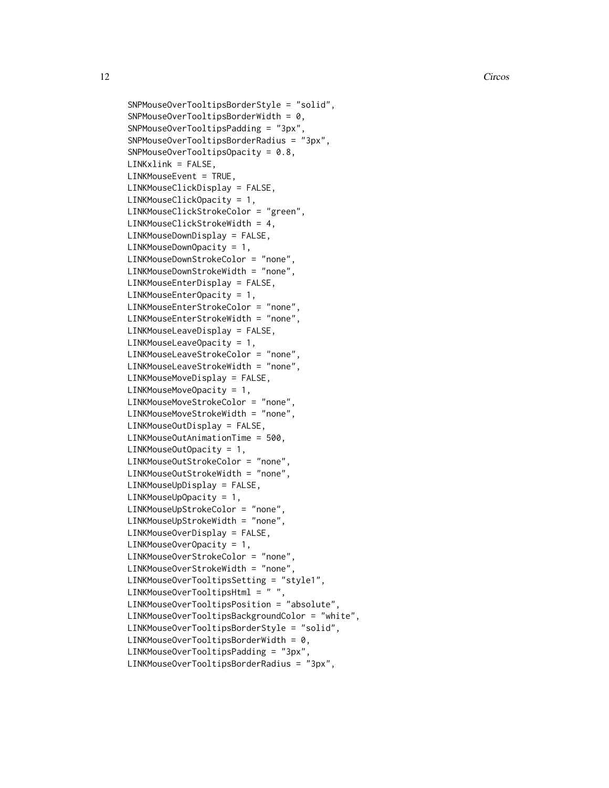```
SNPMouseOverTooltipsBorderStyle = "solid",
SNPMouseOverTooltipsBorderWidth = 0,
SNPMouseOverTooltipsPadding = "3px",
SNPMouseOverTooltipsBorderRadius = "3px",
SNPMouseOverTooltipsOpacity = 0.8,
LINKxlink = FALSE,
LINKMouseEvent = TRUE,
LINKMouseClickDisplay = FALSE,
LINKMouseClickOpacity = 1,
LINKMouseClickStrokeColor = "green",
LINKMouseClickStrokeWidth = 4,
LINKMouseDownDisplay = FALSE,
LINKMouseDownOpacity = 1,
LINKMouseDownStrokeColor = "none",
LINKMouseDownStrokeWidth = "none",
LINKMouseEnterDisplay = FALSE,
LINKMouseEnterOpacity = 1,
LINKMouseEnterStrokeColor = "none",
LINKMouseEnterStrokeWidth = "none",
LINKMouseLeaveDisplay = FALSE,
LINKMouseLeaveOpacity = 1,
LINKMouseLeaveStrokeColor = "none",
LINKMouseLeaveStrokeWidth = "none",
LINKMouseMoveDisplay = FALSE,
LINKMouseMoveOpacity = 1,
LINKMouseMoveStrokeColor = "none",
LINKMouseMoveStrokeWidth = "none",
LINKMouseOutDisplay = FALSE,
LINKMouseOutAnimationTime = 500,
LINKMouseOutOpacity = 1,
LINKMouseOutStrokeColor = "none",
LINKMouseOutStrokeWidth = "none",
LINKMouseUpDisplay = FALSE,
LINKMouseUpOpacity = 1,
LINKMouseUpStrokeColor = "none",
LINKMouseUpStrokeWidth = "none",
LINKMouseOverDisplay = FALSE,
LINKMouseOverOpacity = 1,
LINKMouseOverStrokeColor = "none",
LINKMouseOverStrokeWidth = "none",
LINKMouseOverTooltipsSetting = "style1",
LINKMouseOverTooltipsHtml = " "
LINKMouseOverTooltipsPosition = "absolute",
LINKMouseOverTooltipsBackgroundColor = "white",
LINKMouseOverTooltipsBorderStyle = "solid",
LINKMouseOverTooltipsBorderWidth = 0,
LINKMouseOverTooltipsPadding = "3px",
LINKMouseOverTooltipsBorderRadius = "3px",
```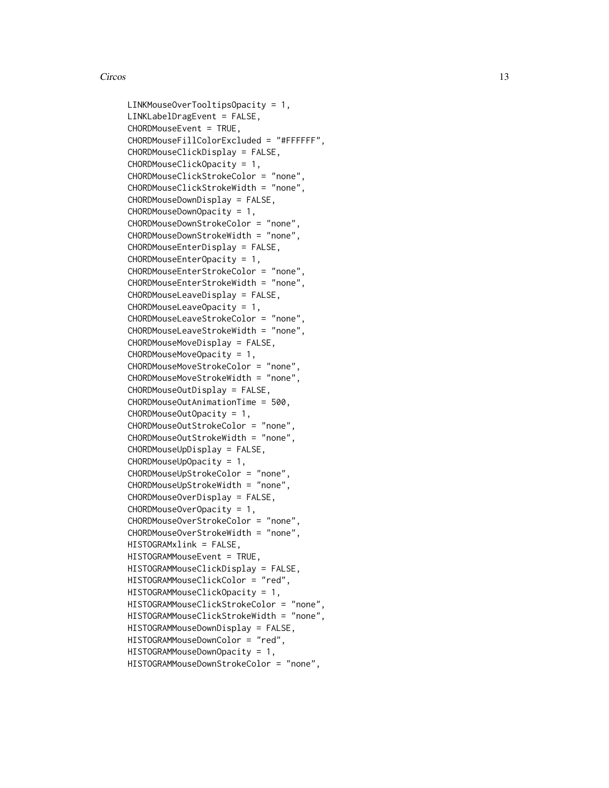```
LINKMouseOverTooltipsOpacity = 1,
LINKLabelDragEvent = FALSE,
CHORDMouseEvent = TRUE,
CHORDMouseFillColorExcluded = "#FFFFFF",
CHORDMouseClickDisplay = FALSE,
CHORDMouseClickOpacity = 1,
CHORDMouseClickStrokeColor = "none",
CHORDMouseClickStrokeWidth = "none",
CHORDMouseDownDisplay = FALSE,
CHORDMouseDownOpacity = 1,
CHORDMouseDownStrokeColor = "none",
CHORDMouseDownStrokeWidth = "none",
CHORDMouseEnterDisplay = FALSE,
CHORDMouseEnterOpacity = 1,
CHORDMouseEnterStrokeColor = "none",
CHORDMouseEnterStrokeWidth = "none",
CHORDMouseLeaveDisplay = FALSE,
CHORDMouseLeaveOpacity = 1,
CHORDMouseLeaveStrokeColor = "none",
CHORDMouseLeaveStrokeWidth = "none",
CHORDMouseMoveDisplay = FALSE,
CHORDMouseMoveOpacity = 1,
CHORDMouseMoveStrokeColor = "none",
CHORDMouseMoveStrokeWidth = "none",
CHORDMouseOutDisplay = FALSE,
CHORDMouseOutAnimationTime = 500,
CHORDMouseOutOpacity = 1,
CHORDMouseOutStrokeColor = "none",
CHORDMouseOutStrokeWidth = "none",
CHORDMouseUpDisplay = FALSE,
CHORDMouseUpOpacity = 1,
CHORDMouseUpStrokeColor = "none",
CHORDMouseUpStrokeWidth = "none",
CHORDMouseOverDisplay = FALSE,
CHORDMouseOverOpacity = 1,
CHORDMouseOverStrokeColor = "none",
CHORDMouseOverStrokeWidth = "none",
HISTOGRAMxlink = FALSE,
HISTOGRAMMouseEvent = TRUE,
HISTOGRAMMouseClickDisplay = FALSE,
HISTOGRAMMouseClickColor = "red",
HISTOGRAMMouseClickOpacity = 1,
HISTOGRAMMouseClickStrokeColor = "none",
HISTOGRAMMouseClickStrokeWidth = "none",
HISTOGRAMMouseDownDisplay = FALSE,
HISTOGRAMMouseDownColor = "red",
HISTOGRAMMouseDownOpacity = 1,
HISTOGRAMMouseDownStrokeColor = "none",
```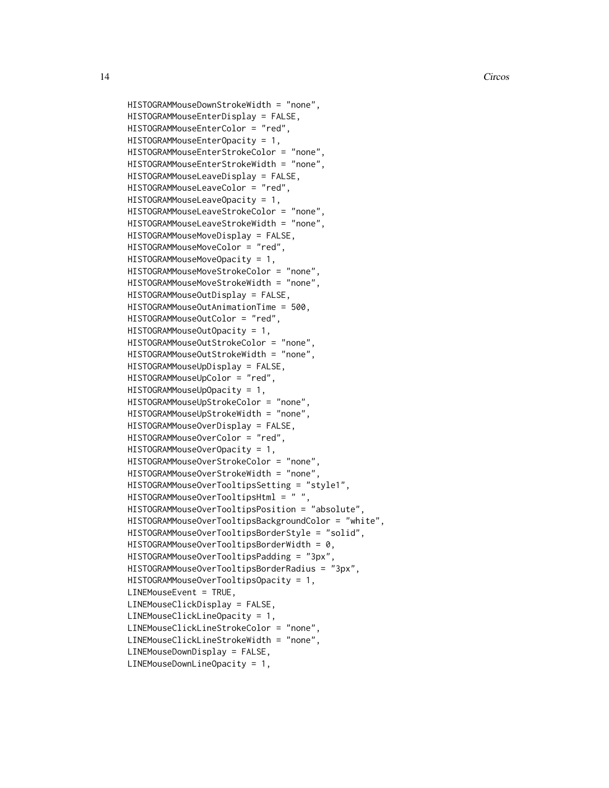```
HISTOGRAMMouseDownStrokeWidth = "none",
HISTOGRAMMouseEnterDisplay = FALSE,
HISTOGRAMMouseEnterColor = "red",
HISTOGRAMMouseEnterOpacity = 1,
HISTOGRAMMouseEnterStrokeColor = "none",
HISTOGRAMMouseEnterStrokeWidth = "none",
HISTOGRAMMouseLeaveDisplay = FALSE,
HISTOGRAMMouseLeaveColor = "red",
HISTOGRAMMouseLeaveOpacity = 1,
HISTOGRAMMouseLeaveStrokeColor = "none",
HISTOGRAMMouseLeaveStrokeWidth = "none",
HISTOGRAMMouseMoveDisplay = FALSE,
HISTOGRAMMouseMoveColor = "red",
HISTOGRAMMouseMoveOpacity = 1,
HISTOGRAMMouseMoveStrokeColor = "none",
HISTOGRAMMouseMoveStrokeWidth = "none",
HISTOGRAMMouseOutDisplay = FALSE,
HISTOGRAMMouseOutAnimationTime = 500,
HISTOGRAMMouseOutColor = "red",
HISTOGRAMMouseOutOpacity = 1,
HISTOGRAMMouseOutStrokeColor = "none",
HISTOGRAMMouseOutStrokeWidth = "none",
HISTOGRAMMouseUpDisplay = FALSE,
HISTOGRAMMouseUpColor = "red",
HISTOGRAMMouseUpOpacity = 1,
HISTOGRAMMouseUpStrokeColor = "none",
HISTOGRAMMouseUpStrokeWidth = "none",
HISTOGRAMMouseOverDisplay = FALSE,
HISTOGRAMMouseOverColor = "red",
HISTOGRAMMouseOverOpacity = 1,
HISTOGRAMMouseOverStrokeColor = "none",
HISTOGRAMMouseOverStrokeWidth = "none",
HISTOGRAMMouseOverTooltipsSetting = "style1",
HISTOGRAMMouseOverTooltipsHtml = " ",
HISTOGRAMMouseOverTooltipsPosition = "absolute",
HISTOGRAMMouseOverTooltipsBackgroundColor = "white",
HISTOGRAMMouseOverTooltipsBorderStyle = "solid",
HISTOGRAMMouseOverTooltipsBorderWidth = 0,
HISTOGRAMMouseOverTooltipsPadding = "3px"
HISTOGRAMMouseOverTooltipsBorderRadius = "3px",
HISTOGRAMMouseOverTooltipsOpacity = 1,
LINEMouseEvent = TRUE,
LINEMouseClickDisplay = FALSE,
LINEMouseClickLineOpacity = 1,
LINEMouseClickLineStrokeColor = "none",
LINEMouseClickLineStrokeWidth = "none",
LINEMouseDownDisplay = FALSE,
LINEMouseDownLineOpacity = 1,
```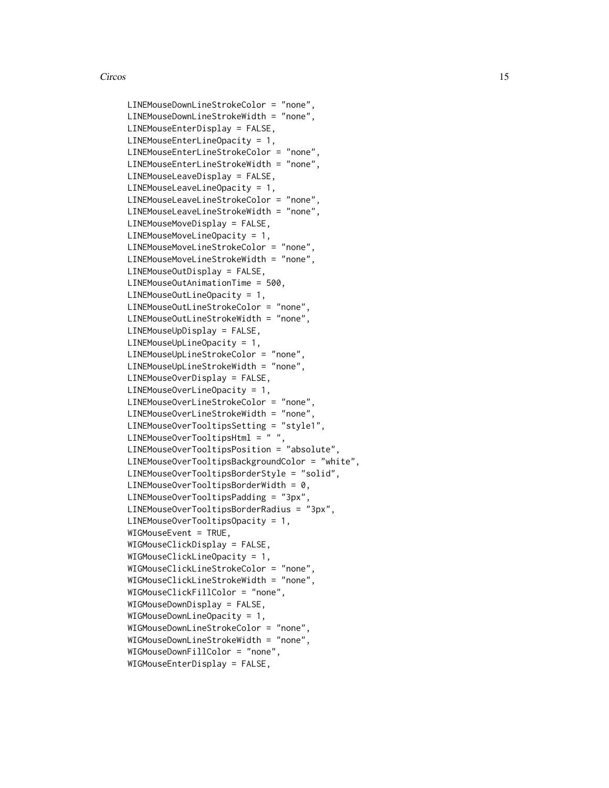```
LINEMouseDownLineStrokeColor = "none",
LINEMouseDownLineStrokeWidth = "none",
LINEMouseEnterDisplay = FALSE,
LINEMouseEnterLineOpacity = 1,
LINEMouseEnterLineStrokeColor = "none",
LINEMouseEnterLineStrokeWidth = "none",
LINEMouseLeaveDisplay = FALSE,
LINEMouseLeaveLineOpacity = 1,
LINEMouseLeaveLineStrokeColor = "none",
LINEMouseLeaveLineStrokeWidth = "none",
LINEMouseMoveDisplay = FALSE,
LINEMouseMoveLineOpacity = 1,
LINEMouseMoveLineStrokeColor = "none",
LINEMouseMoveLineStrokeWidth = "none",
LINEMouseOutDisplay = FALSE,
LINEMouseOutAnimationTime = 500,
LINEMouseOutLineOpacity = 1,
LINEMouseOutLineStrokeColor = "none",
LINEMouseOutLineStrokeWidth = "none",
LINEMouseUpDisplay = FALSE,
LINEMouseUpLineOpacity = 1,
LINEMouseUpLineStrokeColor = "none",
LINEMouseUpLineStrokeWidth = "none",
LINEMouseOverDisplay = FALSE,
LINEMouseOverLineOpacity = 1,
LINEMouseOverLineStrokeColor = "none",
LINEMouseOverLineStrokeWidth = "none",
LINEMouseOverTooltipsSetting = "style1",
LINEMouseOverTooltipsHtml = " ",
LINEMouseOverTooltipsPosition = "absolute",
LINEMouseOverTooltipsBackgroundColor = "white",
LINEMouseOverTooltipsBorderStyle = "solid",
LINEMouseOverTooltipsBorderWidth = 0,LINEMouseOverTooltipsPadding = "3px",
LINEMouseOverTooltipsBorderRadius = "3px",
LINEMouseOverTooltipsOpacity = 1,
WIGMouseEvent = TRUE,
WIGMouseClickDisplay = FALSE,
WIGMouseClickLineOpacity = 1,
WIGMouseClickLineStrokeColor = "none",
WIGMouseClickLineStrokeWidth = "none",
WIGMouseClickFillColor = "none",
WIGMouseDownDisplay = FALSE,
WIGMouseDownLineOpacity = 1,
WIGMouseDownLineStrokeColor = "none",
WIGMouseDownLineStrokeWidth = "none",
WIGMouseDownFillColor = "none",
WIGMouseEnterDisplay = FALSE,
```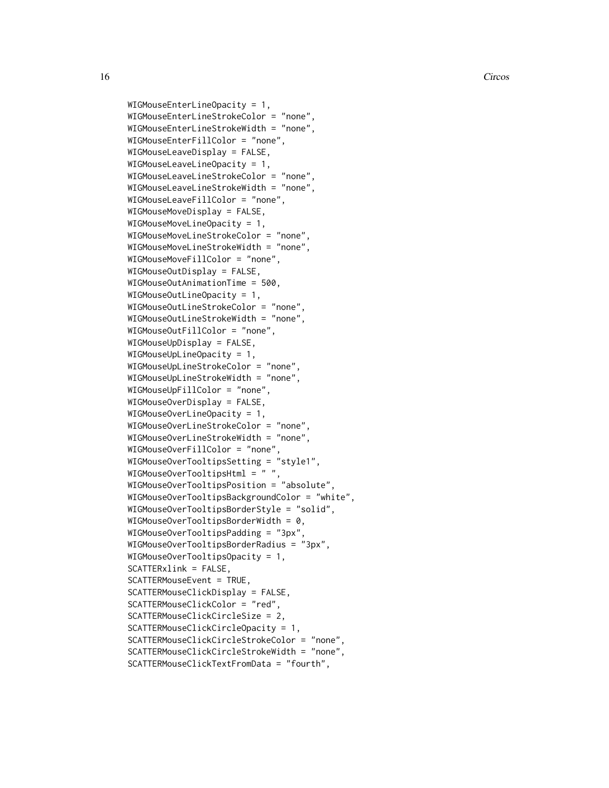```
WIGMouseEnterLineOpacity = 1,
WIGMouseEnterLineStrokeColor = "none",
WIGMouseEnterLineStrokeWidth = "none",
WIGMouseEnterFillColor = "none",
WIGMouseLeaveDisplay = FALSE,
WIGMouseLeaveLineOpacity = 1,
WIGMouseLeaveLineStrokeColor = "none",
WIGMouseLeaveLineStrokeWidth = "none",
WIGMouseLeaveFillColor = "none",
WIGMouseMoveDisplay = FALSE,
WIGMouseMoveLineOpacity = 1,
WIGMouseMoveLineStrokeColor = "none",
WIGMouseMoveLineStrokeWidth = "none",
WIGMouseMoveFillColor = "none",
WIGMouseOutDisplay = FALSE,
WIGMouseOutAnimationTime = 500,
WIGMouseOutLineOpacity = 1,
WIGMouseOutLineStrokeColor = "none",
WIGMouseOutLineStrokeWidth = "none",
WIGMouseOutFillColor = "none",
WIGMouseUpDisplay = FALSE,
WIGMouseUpLineOpacity = 1,
WIGMouseUpLineStrokeColor = "none",
WIGMouseUpLineStrokeWidth = "none",
WIGMouseUpFillColor = "none",
WIGMouseOverDisplay = FALSE,
WIGMouseOverLineOpacity = 1,
WIGMouseOverLineStrokeColor = "none",
WIGMouseOverLineStrokeWidth = "none",
WIGMouseOverFillColor = "none",
WIGMouseOverTooltipsSetting = "style1",
WIGMouseOverTooltipsHtml = " ",
WIGMouseOverTooltipsPosition = "absolute",
WIGMouseOverTooltipsBackgroundColor = "white",
WIGMouseOverTooltipsBorderStyle = "solid",
WIGMouseOverTooltipsBorderWidth = 0,WIGMouseOverTooltipsPadding = "3px",
WIGMouseOverTooltipsBorderRadius = "3px",
WIGMouseOverTooltipsOpacity = 1,
SCATTERxlink = FALSE,
SCATTERMouseEvent = TRUE,
SCATTERMouseClickDisplay = FALSE,
SCATTERMouseClickColor = "red",
SCATTERMouseClickCircleSize = 2,
SCATTERMouseClickCircleOpacity = 1,
SCATTERMouseClickCircleStrokeColor = "none",
SCATTERMouseClickCircleStrokeWidth = "none",
SCATTERMouseClickTextFromData = "fourth",
```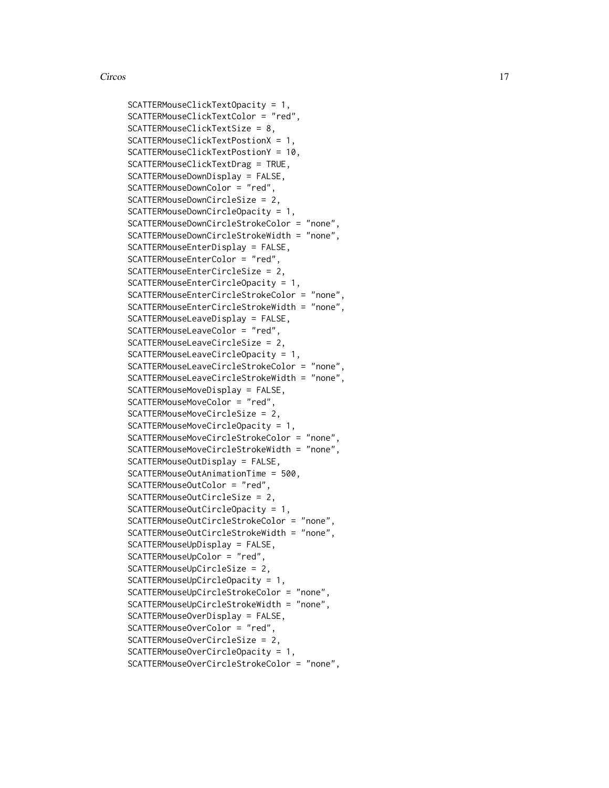```
SCATTERMouseClickTextOpacity = 1,
SCATTERMouseClickTextColor = "red",
SCATTERMouseClickTextSize = 8,
SCATTERMouseClickTextPostionX = 1,
SCATTERMouseClickTextPostionY = 10,
SCATTERMouseClickTextDrag = TRUE,
SCATTERMouseDownDisplay = FALSE,
SCATTERMouseDownColor = "red",
SCATTERMouseDownCircleSize = 2,
SCATTERMouseDownCircleOpacity = 1,
SCATTERMouseDownCircleStrokeColor = "none",
SCATTERMouseDownCircleStrokeWidth = "none",
SCATTERMouseEnterDisplay = FALSE,
SCATTERMouseEnterColor = "red",
SCATTERMouseEnterCircleSize = 2,
SCATTERMouseEnterCircleOpacity = 1,
SCATTERMouseEnterCircleStrokeColor = "none",
SCATTERMouseEnterCircleStrokeWidth = "none",
SCATTERMouseLeaveDisplay = FALSE,
SCATTERMouseLeaveColor = "red",
SCATTERMouseLeaveCircleSize = 2,
SCATTERMouseLeaveCircleOpacity = 1,
SCATTERMouseLeaveCircleStrokeColor = "none",
SCATTERMouseLeaveCircleStrokeWidth = "none",
SCATTERMouseMoveDisplay = FALSE,
SCATTERMouseMoveColor = "red",
SCATTERMouseMoveCircleSize = 2,
SCATTERMouseMoveCircleOpacity = 1,
SCATTERMouseMoveCircleStrokeColor = "none",
SCATTERMouseMoveCircleStrokeWidth = "none",
SCATTERMouseOutDisplay = FALSE,
SCATTERMouseOutAnimationTime = 500,
SCATTERMouseOutColor = "red",
SCATTERMouseOutCircleSize = 2,
SCATTERMouseOutCircleOpacity = 1,
SCATTERMouseOutCircleStrokeColor = "none",
SCATTERMouseOutCircleStrokeWidth = "none",
SCATTERMouseUpDisplay = FALSE,
SCATTERMouseUpColor = "red",
SCATTERMouseUpCircleSize = 2,
SCATTERMouseUpCircleOpacity = 1,
SCATTERMouseUpCircleStrokeColor = "none",
SCATTERMouseUpCircleStrokeWidth = "none",
SCATTERMouseOverDisplay = FALSE,
SCATTERMouseOverColor = "red",
SCATTERMouseOverCircleSize = 2,
SCATTERMouseOverCircleOpacity = 1,
SCATTERMouseOverCircleStrokeColor = "none",
```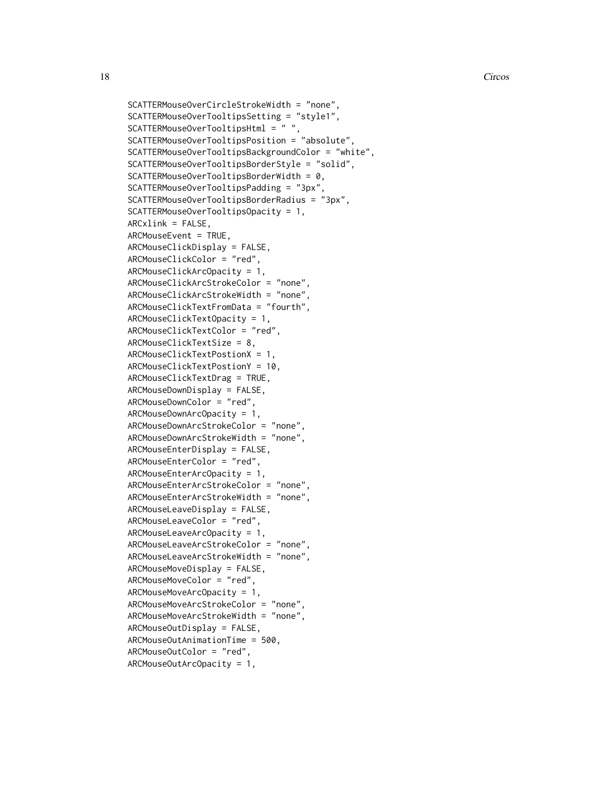```
SCATTERMouseOverCircleStrokeWidth = "none",
SCATTERMouseOverTooltipsSetting = "style1",
SCATTERMouseOverTooltipsHtml = " ",
SCATTERMouseOverTooltipsPosition = "absolute",
SCATTERMouseOverTooltipsBackgroundColor = "white",
SCATTERMouseOverTooltipsBorderStyle = "solid",
SCATTERMouseOverTooltipsBorderWidth = 0,
SCATTERMouseOverTooltipsPadding = "3px",
SCATTERMouseOverTooltipsBorderRadius = "3px",
SCATTERMouseOverTooltipsOpacity = 1,
ARCxlink = FALSE,
ARCMouseEvent = TRUE,ARCMouseClickDisplay = FALSE,
ARCMouseClickColor = "red",
ARCMouseClickArcOpacity = 1,
ARCMouseClickArcStrokeColor = "none",
ARCMouseClickArcStrokeWidth = "none",
ARCMouseClickTextFromData = "fourth",
ARCMouseClickTextOpacity = 1,
ARCMouseClickTextColor = "red",
ARCMouseClickTextSize = 8,
ARCMouseClickTextPostionX = 1,
ARCMouseClickTextPostionY = 10,
ARCMouseClickTextDrag = TRUE,
ARCMouseDownDisplay = FALSE,
ARCMouseDownColor = "red",
ARCMouseDownArcOpacity = 1,
ARCMouseDownArcStrokeColor = "none",
ARCMouseDownArcStrokeWidth = "none",
ARCMouseEnterDisplay = FALSE,
ARCMouseEnterColor = "red",
ARCMouseEnterArcOpacity = 1,
ARCMouseEnterArcStrokeColor = "none",
ARCMouseEnterArcStrokeWidth = "none",
ARCMouseLeaveDisplay = FALSE,
ARCMouseLeaveColor = "red",
ARCMouseLeaveArcOpacity = 1,
ARCMouseLeaveArcStrokeColor = "none",
ARCMouseLeaveArcStrokeWidth = "none",
ARCMouseMoveDisplay = FALSE,
ARCMouseMoveColor = "red",
ARCMouseMoveArcOpacity = 1,
ARCMouseMoveArcStrokeColor = "none",
ARCMouseMoveArcStrokeWidth = "none",
ARCMouseOutDisplay = FALSE,
ARCMouseOutAnimationTime = 500,
ARCMouseOutColor = "red",
ARCMouseOutArcOpacity = 1,
```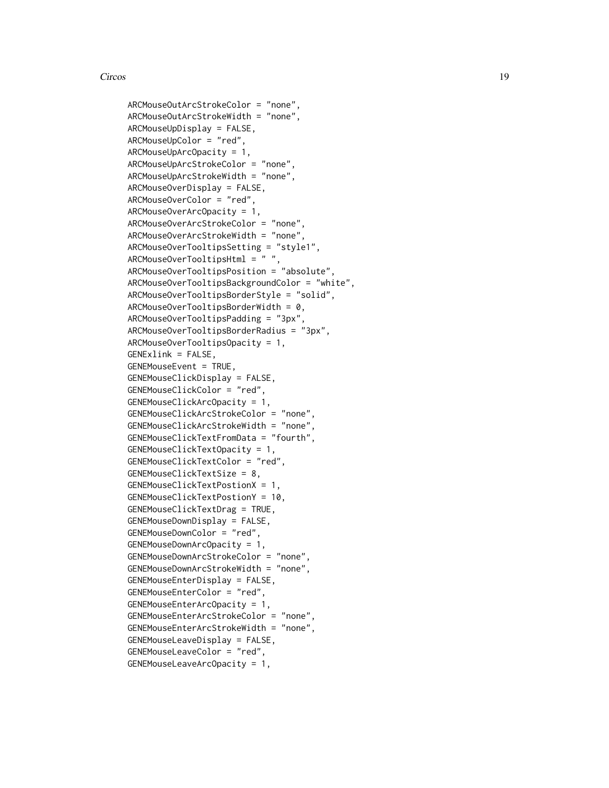ARCMouseOutArcStrokeColor = "none", ARCMouseOutArcStrokeWidth = "none", ARCMouseUpDisplay = FALSE, ARCMouseUpColor = "red", ARCMouseUpArcOpacity = 1, ARCMouseUpArcStrokeColor = "none", ARCMouseUpArcStrokeWidth = "none", ARCMouseOverDisplay = FALSE, ARCMouseOverColor = "red", ARCMouseOverArcOpacity = 1, ARCMouseOverArcStrokeColor = "none", ARCMouseOverArcStrokeWidth = "none", ARCMouseOverTooltipsSetting = "style1", ARCMouseOverTooltipsHtml = " ", ARCMouseOverTooltipsPosition = "absolute", ARCMouseOverTooltipsBackgroundColor = "white", ARCMouseOverTooltipsBorderStyle = "solid",  $ARCMouseOverTooltipsBorderWidth = 0,$ ARCMouseOverTooltipsPadding = "3px", ARCMouseOverTooltipsBorderRadius = "3px", ARCMouseOverTooltipsOpacity = 1, GENExlink = FALSE, GENEMouseEvent = TRUE, GENEMouseClickDisplay = FALSE, GENEMouseClickColor = "red", GENEMouseClickArcOpacity = 1, GENEMouseClickArcStrokeColor = "none", GENEMouseClickArcStrokeWidth = "none", GENEMouseClickTextFromData = "fourth", GENEMouseClickTextOpacity = 1, GENEMouseClickTextColor = "red", GENEMouseClickTextSize = 8, GENEMouseClickTextPostionX = 1, GENEMouseClickTextPostionY = 10, GENEMouseClickTextDrag = TRUE, GENEMouseDownDisplay = FALSE, GENEMouseDownColor = "red", GENEMouseDownArcOpacity = 1, GENEMouseDownArcStrokeColor = "none", GENEMouseDownArcStrokeWidth = "none", GENEMouseEnterDisplay = FALSE, GENEMouseEnterColor = "red", GENEMouseEnterArcOpacity = 1, GENEMouseEnterArcStrokeColor = "none", GENEMouseEnterArcStrokeWidth = "none", GENEMouseLeaveDisplay = FALSE, GENEMouseLeaveColor = "red", GENEMouseLeaveArcOpacity = 1,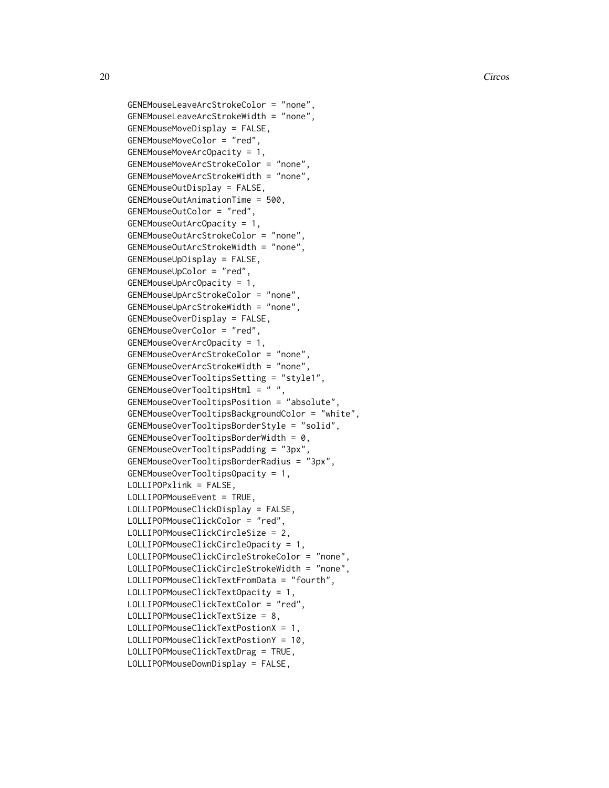```
GENEMouseLeaveArcStrokeColor = "none",
GENEMouseLeaveArcStrokeWidth = "none",
GENEMouseMoveDisplay = FALSE,
GENEMouseMoveColor = "red",
GENEMouseMoveArcOpacity = 1,
GENEMouseMoveArcStrokeColor = "none",
GENEMouseMoveArcStrokeWidth = "none",
GENEMouseOutDisplay = FALSE,
GENEMouseOutAnimationTime = 500,
GENEMouseOutColor = "red",
GENEMouseOutArcOpacity = 1,
GENEMouseOutArcStrokeColor = "none",
GENEMouseOutArcStrokeWidth = "none",
GENEMouseUpDisplay = FALSE,
GENEMouseUpColor = "red",
GENEMouseUpArcOpacity = 1,
GENEMouseUpArcStrokeColor = "none",
GENEMouseUpArcStrokeWidth = "none",
GENEMouseOverDisplay = FALSE,
GENEMouseOverColor = "red",
GENEMouseOverArcOpacity = 1,
GENEMouseOverArcStrokeColor = "none",
GENEMouseOverArcStrokeWidth = "none",
GENEMouseOverTooltipsSetting = "style1",
GENEMouseOverTooltipsHtml = " ",
GENEMouseOverTooltipsPosition = "absolute",
GENEMouseOverTooltipsBackgroundColor = "white",
GENEMouseOverTooltipsBorderStyle = "solid",
GENEMouseOverTooltipsBorderWidth = 0,GENEMouseOverTooltipsPadding = "3px",
GENEMouseOverTooltipsBorderRadius = "3px",
GENEMouseOverTooltipsOpacity = 1,
LOLLIPOPxlink = FALSE,
LOLLIPOPMouseEvent = TRUE,
LOLLIPOPMouseClickDisplay = FALSE,
LOLLIPOPMouseClickColor = "red",
LOLLIPOPMouseClickCircleSize = 2,
LOLLIPOPMouseClickCircleOpacity = 1,
LOLLIPOPMouseClickCircleStrokeColor = "none",
LOLLIPOPMouseClickCircleStrokeWidth = "none",
LOLLIPOPMouseClickTextFromData = "fourth",
LOLLIPOPMouseClickTextOpacity = 1,
LOLLIPOPMouseClickTextColor = "red",
LOLLIPOPMouseClickTextSize = 8,
LOLLIPOPMouseClickTextPostionX = 1,
LOLLIPOPMouseClickTextPostionY = 10,
LOLLIPOPMouseClickTextDrag = TRUE,
LOLLIPOPMouseDownDisplay = FALSE,
```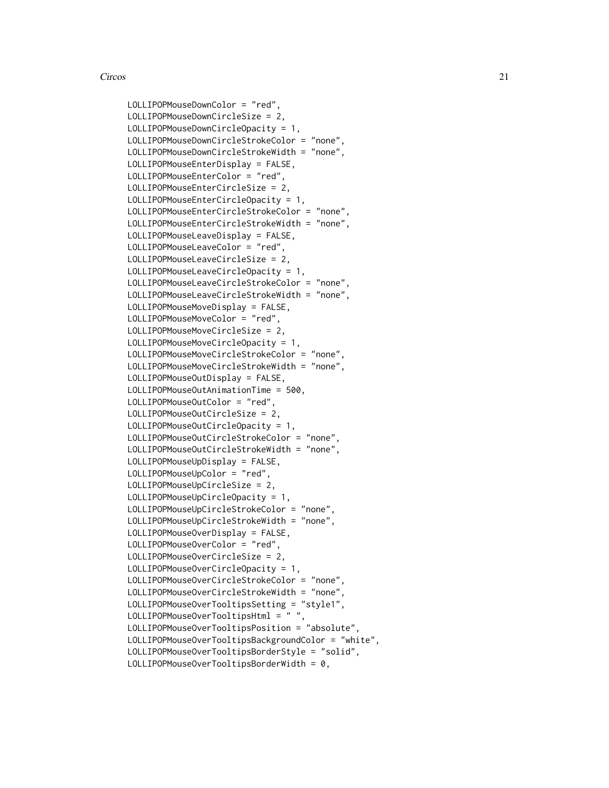```
LOLLIPOPMouseDownColor = "red",
LOLLIPOPMouseDownCircleSize = 2,
LOLLIPOPMouseDownCircleOpacity = 1,
LOLLIPOPMouseDownCircleStrokeColor = "none",
LOLLIPOPMouseDownCircleStrokeWidth = "none",
LOLLIPOPMouseEnterDisplay = FALSE,
LOLLIPOPMouseEnterColor = "red",
LOLLIPOPMouseEnterCircleSize = 2,
LOLLIPOPMouseEnterCircleOpacity = 1,
LOLLIPOPMouseEnterCircleStrokeColor = "none",
LOLLIPOPMouseEnterCircleStrokeWidth = "none",
LOLLIPOPMouseLeaveDisplay = FALSE,
LOLLIPOPMouseLeaveColor = "red",
LOLLIPOPMouseLeaveCircleSize = 2,
LOLLIPOPMouseLeaveCircleOpacity = 1,
LOLLIPOPMouseLeaveCircleStrokeColor = "none",
LOLLIPOPMouseLeaveCircleStrokeWidth = "none",
LOLLIPOPMouseMoveDisplay = FALSE,
LOLLIPOPMouseMoveColor = "red",
LOLLIPOPMouseMoveCircleSize = 2,
LOLLIPOPMouseMoveCircleOpacity = 1,
LOLLIPOPMouseMoveCircleStrokeColor = "none",
LOLLIPOPMouseMoveCircleStrokeWidth = "none",
LOLLIPOPMouseOutDisplay = FALSE,
LOLLIPOPMouseOutAnimationTime = 500,
LOLLIPOPMouseOutColor = "red",
LOLLIPOPMouseOutCircleSize = 2,
LOLLIPOPMouseOutCircleOpacity = 1,
LOLLIPOPMouseOutCircleStrokeColor = "none",
LOLLIPOPMouseOutCircleStrokeWidth = "none",
LOLLIPOPMouseUpDisplay = FALSE,
LOLLIPOPMouseUpColor = "red",
LOLLIPOPMouseUpCircleSize = 2,
LOLLIPOPMouseUpCircleOpacity = 1,
LOLLIPOPMouseUpCircleStrokeColor = "none",
LOLLIPOPMouseUpCircleStrokeWidth = "none",
LOLLIPOPMouseOverDisplay = FALSE,
LOLLIPOPMouseOverColor = "red",
LOLLIPOPMouseOverCircleSize = 2,
LOLLIPOPMouseOverCircleOpacity = 1,
LOLLIPOPMouseOverCircleStrokeColor = "none",
LOLLIPOPMouseOverCircleStrokeWidth = "none",
LOLLIPOPMouseOverTooltipsSetting = "style1",
LOLLIPOPMouseOverTooltipsHtml = " ",
LOLLIPOPMouseOverTooltipsPosition = "absolute",
LOLLIPOPMouseOverTooltipsBackgroundColor = "white",
LOLLIPOPMouseOverTooltipsBorderStyle = "solid",
LOLLIPOPMouseOverTooltipsBorderWidth = 0,
```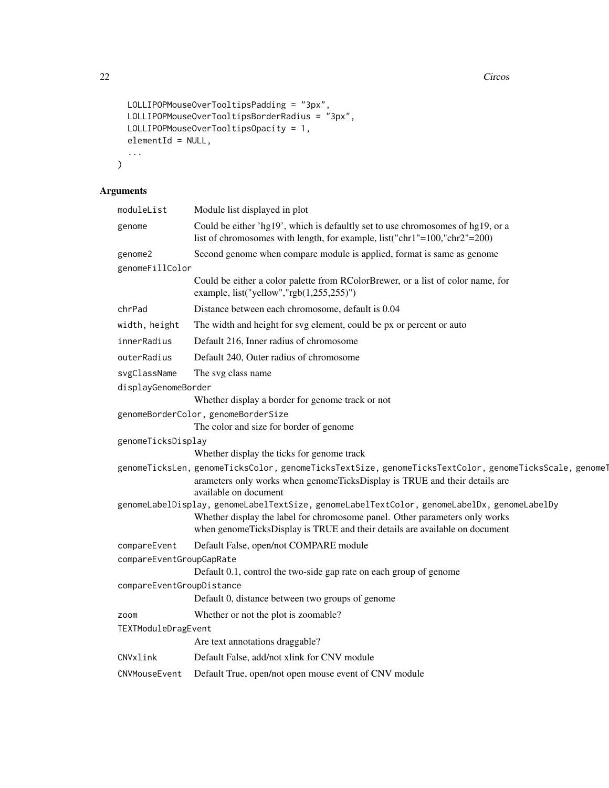```
LOLLIPOPMouseOverTooltipsPadding = "3px",
  LOLLIPOPMouseOverTooltipsBorderRadius = "3px",
 LOLLIPOPMouseOverTooltipsOpacity = 1,
 elementId = NULL,...
\mathcal{L}
```
# Arguments

| moduleList                | Module list displayed in plot                                                                                                                                                                                 |
|---------------------------|---------------------------------------------------------------------------------------------------------------------------------------------------------------------------------------------------------------|
| genome                    | Could be either 'hg19', which is defaultly set to use chromosomes of hg19, or a<br>list of chromosomes with length, for example, list("chr1"=100,"chr2"=200)                                                  |
| genome2                   | Second genome when compare module is applied, format is same as genome                                                                                                                                        |
| genomeFillColor           |                                                                                                                                                                                                               |
|                           | Could be either a color palette from RColorBrewer, or a list of color name, for<br>example, list("yellow","rgb(1,255,255)")                                                                                   |
| chrPad                    | Distance between each chromosome, default is 0.04                                                                                                                                                             |
| width, height             | The width and height for svg element, could be px or percent or auto                                                                                                                                          |
| innerRadius               | Default 216, Inner radius of chromosome                                                                                                                                                                       |
| outerRadius               | Default 240, Outer radius of chromosome                                                                                                                                                                       |
| svgClassName              | The svg class name                                                                                                                                                                                            |
| displayGenomeBorder       |                                                                                                                                                                                                               |
|                           | Whether display a border for genome track or not                                                                                                                                                              |
|                           | genomeBorderColor, genomeBorderSize                                                                                                                                                                           |
|                           | The color and size for border of genome                                                                                                                                                                       |
| genomeTicksDisplay        |                                                                                                                                                                                                               |
|                           | Whether display the ticks for genome track                                                                                                                                                                    |
|                           | genomeTicksLen, genomeTicksColor, genomeTicksTextSize, genomeTicksTextColor, genomeTicksScale, genomeT<br>arameters only works when genomeTicksDisplay is TRUE and their details are<br>available on document |
|                           | genomeLabelDisplay, genomeLabelTextSize, genomeLabelTextColor, genomeLabelDx, genomeLabelDy                                                                                                                   |
|                           | Whether display the label for chromosome panel. Other parameters only works<br>when genomeTicksDisplay is TRUE and their details are available on document                                                    |
| compareEvent              | Default False, open/not COMPARE module                                                                                                                                                                        |
| compareEventGroupGapRate  | Default 0.1, control the two-side gap rate on each group of genome                                                                                                                                            |
| compareEventGroupDistance |                                                                                                                                                                                                               |
|                           | Default 0, distance between two groups of genome                                                                                                                                                              |
| zoom                      | Whether or not the plot is zoomable?                                                                                                                                                                          |
| TEXTModuleDragEvent       |                                                                                                                                                                                                               |
|                           | Are text annotations draggable?                                                                                                                                                                               |
| CNVxlink                  | Default False, add/not xlink for CNV module                                                                                                                                                                   |
| CNVMouseEvent             | Default True, open/not open mouse event of CNV module                                                                                                                                                         |
|                           |                                                                                                                                                                                                               |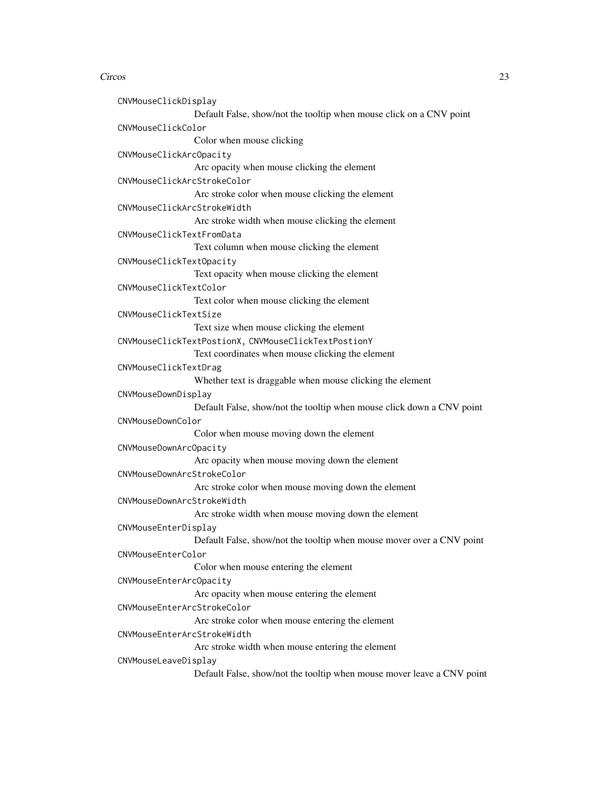CNVMouseClickDisplay Default False, show/not the tooltip when mouse click on a CNV point CNVMouseClickColor Color when mouse clicking CNVMouseClickArcOpacity Arc opacity when mouse clicking the element CNVMouseClickArcStrokeColor Arc stroke color when mouse clicking the element CNVMouseClickArcStrokeWidth Arc stroke width when mouse clicking the element CNVMouseClickTextFromData Text column when mouse clicking the element CNVMouseClickTextOpacity Text opacity when mouse clicking the element CNVMouseClickTextColor Text color when mouse clicking the element CNVMouseClickTextSize Text size when mouse clicking the element CNVMouseClickTextPostionX, CNVMouseClickTextPostionY Text coordinates when mouse clicking the element CNVMouseClickTextDrag Whether text is draggable when mouse clicking the element CNVMouseDownDisplay Default False, show/not the tooltip when mouse click down a CNV point CNVMouseDownColor Color when mouse moving down the element CNVMouseDownArcOpacity Arc opacity when mouse moving down the element CNVMouseDownArcStrokeColor Arc stroke color when mouse moving down the element CNVMouseDownArcStrokeWidth Arc stroke width when mouse moving down the element CNVMouseEnterDisplay Default False, show/not the tooltip when mouse mover over a CNV point CNVMouseEnterColor Color when mouse entering the element CNVMouseEnterArcOpacity Arc opacity when mouse entering the element CNVMouseEnterArcStrokeColor Arc stroke color when mouse entering the element CNVMouseEnterArcStrokeWidth Arc stroke width when mouse entering the element CNVMouseLeaveDisplay Default False, show/not the tooltip when mouse mover leave a CNV point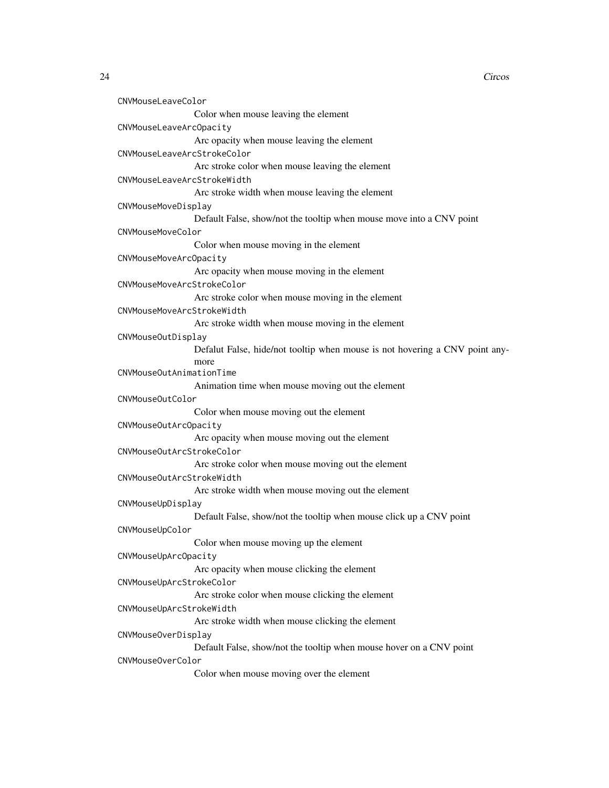```
CNVMouseLeaveColor
                 Color when mouse leaving the element
CNVMouseLeaveArcOpacity
                 Arc opacity when mouse leaving the element
CNVMouseLeaveArcStrokeColor
                 Arc stroke color when mouse leaving the element
CNVMouseLeaveArcStrokeWidth
                 Arc stroke width when mouse leaving the element
CNVMouseMoveDisplay
                 Default False, show/not the tooltip when mouse move into a CNV point
CNVMouseMoveColor
                 Color when mouse moving in the element
CNVMouseMoveArcOpacity
                 Arc opacity when mouse moving in the element
CNVMouseMoveArcStrokeColor
                 Arc stroke color when mouse moving in the element
CNVMouseMoveArcStrokeWidth
                 Arc stroke width when mouse moving in the element
CNVMouseOutDisplay
                 Defalut False, hide/not tooltip when mouse is not hovering a CNV point any-
                 more
CNVMouseOutAnimationTime
                 Animation time when mouse moving out the element
CNVMouseOutColor
                 Color when mouse moving out the element
CNVMouseOutArcOpacity
                 Arc opacity when mouse moving out the element
CNVMouseOutArcStrokeColor
                 Arc stroke color when mouse moving out the element
CNVMouseOutArcStrokeWidth
                 Arc stroke width when mouse moving out the element
CNVMouseUpDisplay
                 Default False, show/not the tooltip when mouse click up a CNV point
CNVMouseUpColor
                 Color when mouse moving up the element
CNVMouseUpArcOpacity
                 Arc opacity when mouse clicking the element
CNVMouseUpArcStrokeColor
                 Arc stroke color when mouse clicking the element
CNVMouseUpArcStrokeWidth
                 Arc stroke width when mouse clicking the element
CNVMouseOverDisplay
                 Default False, show/not the tooltip when mouse hover on a CNV point
CNVMouseOverColor
                 Color when mouse moving over the element
```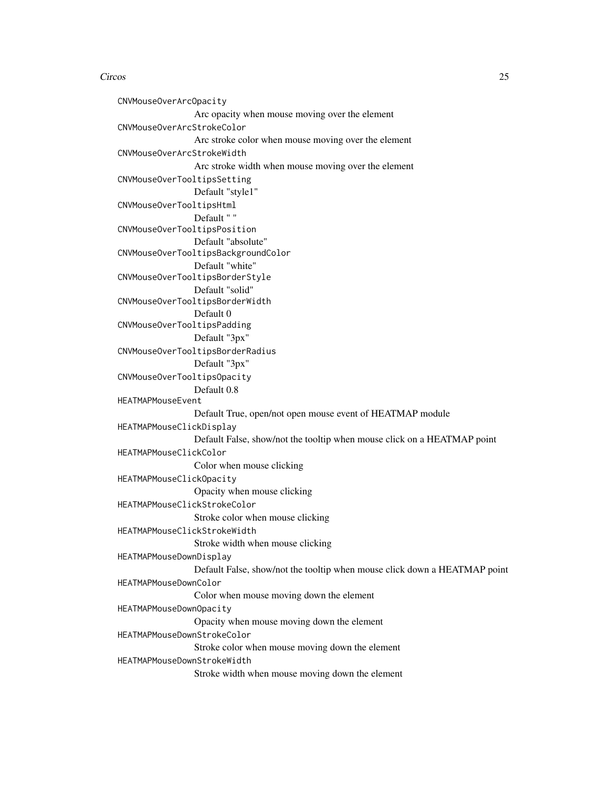CNVMouseOverArcOpacity Arc opacity when mouse moving over the element CNVMouseOverArcStrokeColor Arc stroke color when mouse moving over the element CNVMouseOverArcStrokeWidth Arc stroke width when mouse moving over the element CNVMouseOverTooltipsSetting Default "style1" CNVMouseOverTooltipsHtml Default " " CNVMouseOverTooltipsPosition Default "absolute" CNVMouseOverTooltipsBackgroundColor Default "white" CNVMouseOverTooltipsBorderStyle Default "solid" CNVMouseOverTooltipsBorderWidth Default 0 CNVMouseOverTooltipsPadding Default "3px" CNVMouseOverTooltipsBorderRadius Default "3px" CNVMouseOverTooltipsOpacity Default 0.8 HEATMAPMouseEvent Default True, open/not open mouse event of HEATMAP module HEATMAPMouseClickDisplay Default False, show/not the tooltip when mouse click on a HEATMAP point HEATMAPMouseClickColor Color when mouse clicking HEATMAPMouseClickOpacity Opacity when mouse clicking HEATMAPMouseClickStrokeColor Stroke color when mouse clicking HEATMAPMouseClickStrokeWidth Stroke width when mouse clicking HEATMAPMouseDownDisplay Default False, show/not the tooltip when mouse click down a HEATMAP point HEATMAPMouseDownColor Color when mouse moving down the element HEATMAPMouseDownOpacity Opacity when mouse moving down the element HEATMAPMouseDownStrokeColor Stroke color when mouse moving down the element HEATMAPMouseDownStrokeWidth Stroke width when mouse moving down the element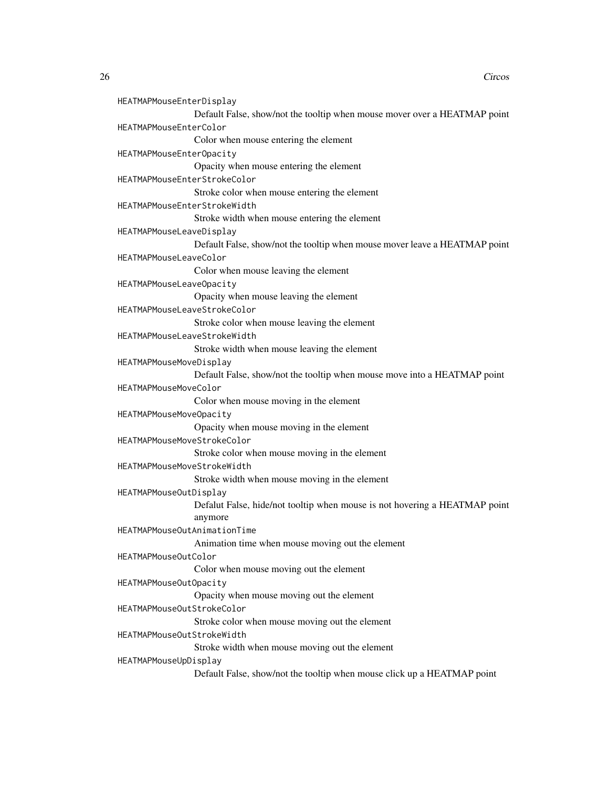```
HEATMAPMouseEnterDisplay
                 Default False, show/not the tooltip when mouse mover over a HEATMAP point
HEATMAPMouseEnterColor
                 Color when mouse entering the element
HEATMAPMouseEnterOpacity
                 Opacity when mouse entering the element
HEATMAPMouseEnterStrokeColor
                 Stroke color when mouse entering the element
HEATMAPMouseEnterStrokeWidth
                 Stroke width when mouse entering the element
HEATMAPMouseLeaveDisplay
                 Default False, show/not the tooltip when mouse mover leave a HEATMAP point
HEATMAPMouseLeaveColor
                 Color when mouse leaving the element
HEATMAPMouseLeaveOpacity
                 Opacity when mouse leaving the element
HEATMAPMouseLeaveStrokeColor
                 Stroke color when mouse leaving the element
HEATMAPMouseLeaveStrokeWidth
                 Stroke width when mouse leaving the element
HEATMAPMouseMoveDisplay
                 Default False, show/not the tooltip when mouse move into a HEATMAP point
HEATMAPMouseMoveColor
                 Color when mouse moving in the element
HEATMAPMouseMoveOpacity
                 Opacity when mouse moving in the element
HEATMAPMouseMoveStrokeColor
                 Stroke color when mouse moving in the element
HEATMAPMouseMoveStrokeWidth
                 Stroke width when mouse moving in the element
HEATMAPMouseOutDisplay
                 Defalut False, hide/not tooltip when mouse is not hovering a HEATMAP point
                 anymore
HEATMAPMouseOutAnimationTime
                 Animation time when mouse moving out the element
HEATMAPMouseOutColor
                 Color when mouse moving out the element
HEATMAPMouseOutOpacity
                 Opacity when mouse moving out the element
HEATMAPMouseOutStrokeColor
                 Stroke color when mouse moving out the element
HEATMAPMouseOutStrokeWidth
                 Stroke width when mouse moving out the element
HEATMAPMouseUpDisplay
                 Default False, show/not the tooltip when mouse click up a HEATMAP point
```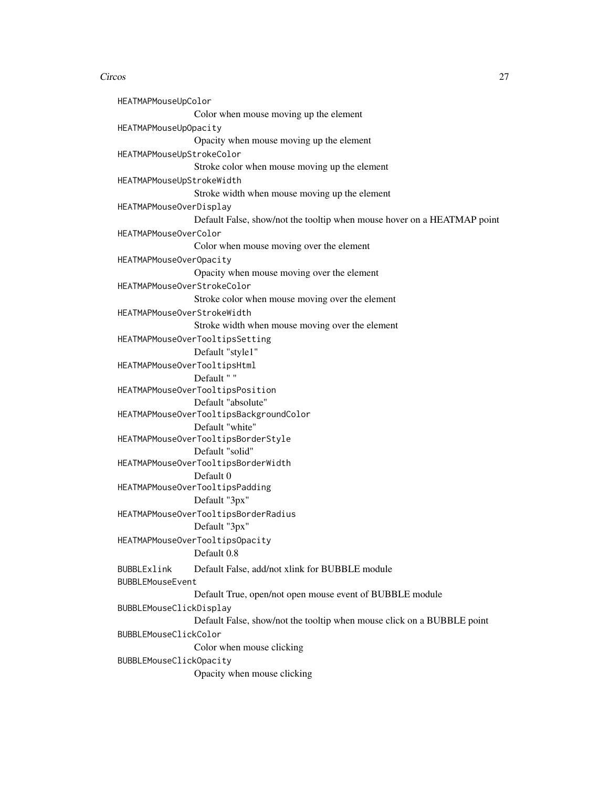HEATMAPMouseUpColor Color when mouse moving up the element HEATMAPMouseUpOpacity Opacity when mouse moving up the element HEATMAPMouseUpStrokeColor Stroke color when mouse moving up the element HEATMAPMouseUpStrokeWidth Stroke width when mouse moving up the element HEATMAPMouseOverDisplay Default False, show/not the tooltip when mouse hover on a HEATMAP point HEATMAPMouseOverColor Color when mouse moving over the element HEATMAPMouseOverOpacity Opacity when mouse moving over the element HEATMAPMouseOverStrokeColor Stroke color when mouse moving over the element HEATMAPMouseOverStrokeWidth Stroke width when mouse moving over the element HEATMAPMouseOverTooltipsSetting Default "style1" HEATMAPMouseOverTooltipsHtml Default " " HEATMAPMouseOverTooltipsPosition Default "absolute" HEATMAPMouseOverTooltipsBackgroundColor Default "white" HEATMAPMouseOverTooltipsBorderStyle Default "solid" HEATMAPMouseOverTooltipsBorderWidth Default 0 HEATMAPMouseOverTooltipsPadding Default "3px" HEATMAPMouseOverTooltipsBorderRadius Default "3px" HEATMAPMouseOverTooltipsOpacity Default 0.8 BUBBLExlink Default False, add/not xlink for BUBBLE module BUBBLEMouseEvent Default True, open/not open mouse event of BUBBLE module BUBBLEMouseClickDisplay Default False, show/not the tooltip when mouse click on a BUBBLE point BUBBLEMouseClickColor Color when mouse clicking BUBBLEMouseClickOpacity Opacity when mouse clicking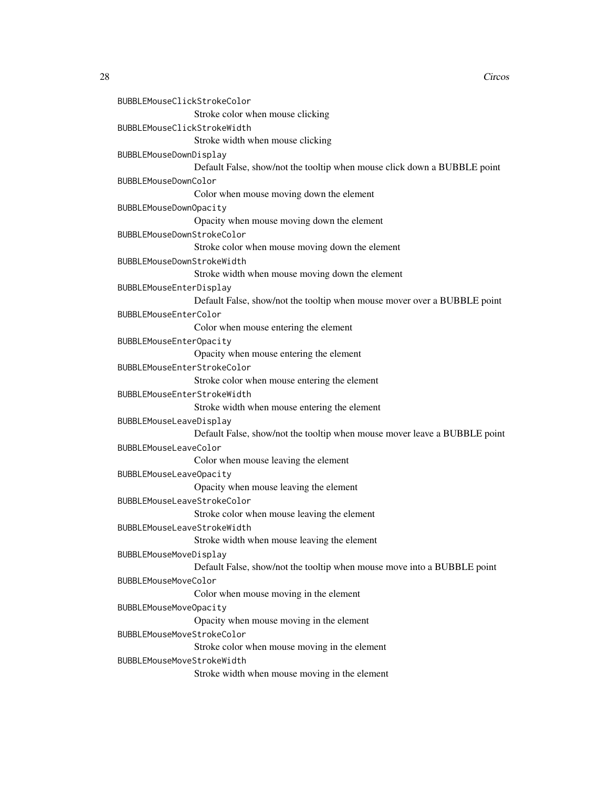```
BUBBLEMouseClickStrokeColor
                Stroke color when mouse clicking
BUBBLEMouseClickStrokeWidth
                 Stroke width when mouse clicking
BUBBLEMouseDownDisplay
                 Default False, show/not the tooltip when mouse click down a BUBBLE point
BUBBLEMouseDownColor
                 Color when mouse moving down the element
BUBBLEMouseDownOpacity
                 Opacity when mouse moving down the element
BUBBLEMouseDownStrokeColor
                 Stroke color when mouse moving down the element
BUBBLEMouseDownStrokeWidth
                 Stroke width when mouse moving down the element
BUBBLEMouseEnterDisplay
                 Default False, show/not the tooltip when mouse mover over a BUBBLE point
BUBBLEMouseEnterColor
                Color when mouse entering the element
BUBBLEMouseEnterOpacity
                 Opacity when mouse entering the element
BUBBLEMouseEnterStrokeColor
                 Stroke color when mouse entering the element
BUBBLEMouseEnterStrokeWidth
                 Stroke width when mouse entering the element
BUBBLEMouseLeaveDisplay
                 Default False, show/not the tooltip when mouse mover leave a BUBBLE point
BUBBLEMouseLeaveColor
                Color when mouse leaving the element
BUBBLEMouseLeaveOpacity
                 Opacity when mouse leaving the element
BUBBLEMouseLeaveStrokeColor
                 Stroke color when mouse leaving the element
BUBBLEMouseLeaveStrokeWidth
                 Stroke width when mouse leaving the element
BUBBLEMouseMoveDisplay
                 Default False, show/not the tooltip when mouse move into a BUBBLE point
BUBBLEMouseMoveColor
                 Color when mouse moving in the element
BUBBLEMouseMoveOpacity
                 Opacity when mouse moving in the element
BUBBLEMouseMoveStrokeColor
                 Stroke color when mouse moving in the element
BUBBLEMouseMoveStrokeWidth
                 Stroke width when mouse moving in the element
```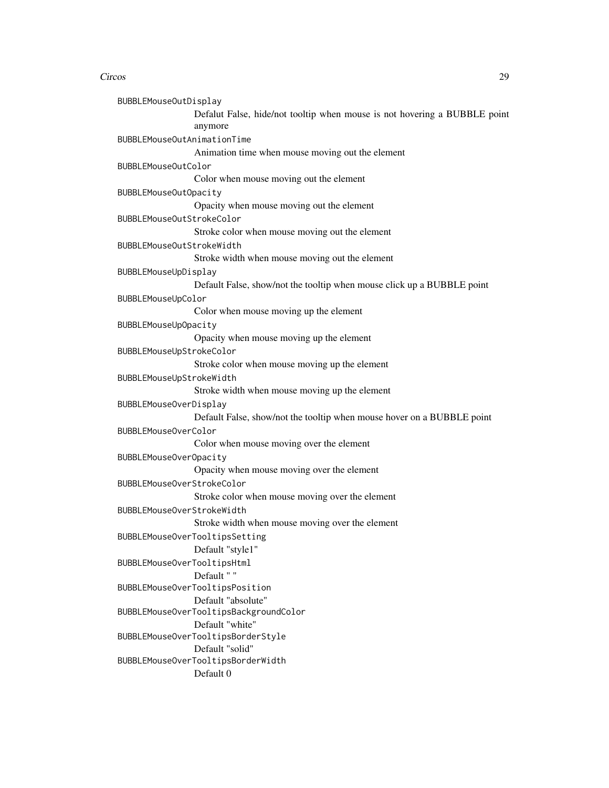```
BUBBLEMouseOutDisplay
                Defalut False, hide/not tooltip when mouse is not hovering a BUBBLE point
                 anymore
BUBBLEMouseOutAnimationTime
                 Animation time when mouse moving out the element
BUBBLEMouseOutColor
                Color when mouse moving out the element
BUBBLEMouseOutOpacity
                 Opacity when mouse moving out the element
BUBBLEMouseOutStrokeColor
                Stroke color when mouse moving out the element
BUBBLEMouseOutStrokeWidth
                Stroke width when mouse moving out the element
BUBBLEMouseUpDisplay
                Default False, show/not the tooltip when mouse click up a BUBBLE point
BUBBLEMouseUpColor
                Color when mouse moving up the element
BUBBLEMouseUpOpacity
                Opacity when mouse moving up the element
BUBBLEMouseUpStrokeColor
                Stroke color when mouse moving up the element
BUBBLEMouseUpStrokeWidth
                Stroke width when mouse moving up the element
BUBBLEMouseOverDisplay
                Default False, show/not the tooltip when mouse hover on a BUBBLE point
BUBBLEMouseOverColor
                Color when mouse moving over the element
BUBBLEMouseOverOpacity
                Opacity when mouse moving over the element
BUBBLEMouseOverStrokeColor
                Stroke color when mouse moving over the element
BUBBLEMouseOverStrokeWidth
                Stroke width when mouse moving over the element
BUBBLEMouseOverTooltipsSetting
                Default "style1"
BUBBLEMouseOverTooltipsHtml
                Default " "
BUBBLEMouseOverTooltipsPosition
                Default "absolute"
BUBBLEMouseOverTooltipsBackgroundColor
                Default "white"
BUBBLEMouseOverTooltipsBorderStyle
                Default "solid"
BUBBLEMouseOverTooltipsBorderWidth
                Default 0
```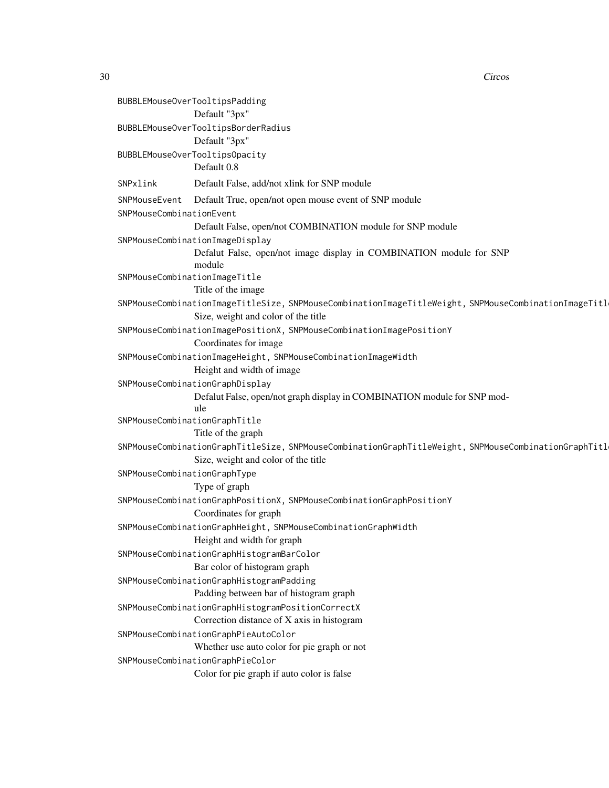BUBBLEMouseOverTooltipsPadding Default "3px" BUBBLEMouseOverTooltipsBorderRadius Default "3px" BUBBLEMouseOverTooltipsOpacity Default 0.8 SNPxlink Default False, add/not xlink for SNP module SNPMouseEvent Default True, open/not open mouse event of SNP module SNPMouseCombinationEvent Default False, open/not COMBINATION module for SNP module SNPMouseCombinationImageDisplay Defalut False, open/not image display in COMBINATION module for SNP module SNPMouseCombinationImageTitle Title of the image SNPMouseCombinationImageTitleSize, SNPMouseCombinationImageTitleWeight, SNPMouseCombinationImageTitl Size, weight and color of the title SNPMouseCombinationImagePositionX, SNPMouseCombinationImagePositionY Coordinates for image SNPMouseCombinationImageHeight, SNPMouseCombinationImageWidth Height and width of image SNPMouseCombinationGraphDisplay Defalut False, open/not graph display in COMBINATION module for SNP module SNPMouseCombinationGraphTitle Title of the graph SNPMouseCombinationGraphTitleSize, SNPMouseCombinationGraphTitleWeight, SNPMouseCombinationGraphTitl Size, weight and color of the title SNPMouseCombinationGraphType Type of graph SNPMouseCombinationGraphPositionX, SNPMouseCombinationGraphPositionY Coordinates for graph SNPMouseCombinationGraphHeight, SNPMouseCombinationGraphWidth Height and width for graph SNPMouseCombinationGraphHistogramBarColor Bar color of histogram graph SNPMouseCombinationGraphHistogramPadding Padding between bar of histogram graph SNPMouseCombinationGraphHistogramPositionCorrectX Correction distance of X axis in histogram SNPMouseCombinationGraphPieAutoColor Whether use auto color for pie graph or not SNPMouseCombinationGraphPieColor Color for pie graph if auto color is false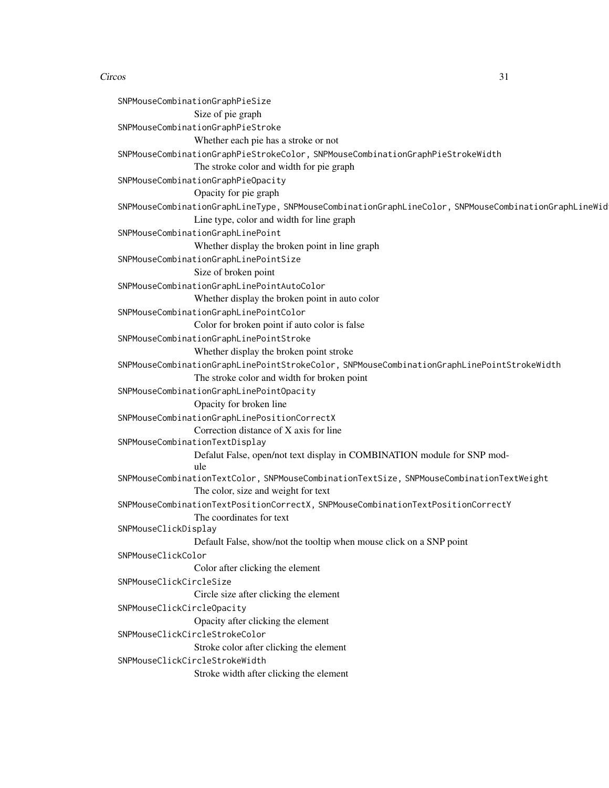SNPMouseCombinationGraphPieSize Size of pie graph SNPMouseCombinationGraphPieStroke Whether each pie has a stroke or not SNPMouseCombinationGraphPieStrokeColor, SNPMouseCombinationGraphPieStrokeWidth The stroke color and width for pie graph SNPMouseCombinationGraphPieOpacity Opacity for pie graph SNPMouseCombinationGraphLineType, SNPMouseCombinationGraphLineColor, SNPMouseCombinationGraphLineWidth Line type, color and width for line graph SNPMouseCombinationGraphLinePoint Whether display the broken point in line graph SNPMouseCombinationGraphLinePointSize Size of broken point SNPMouseCombinationGraphLinePointAutoColor Whether display the broken point in auto color SNPMouseCombinationGraphLinePointColor Color for broken point if auto color is false SNPMouseCombinationGraphLinePointStroke Whether display the broken point stroke SNPMouseCombinationGraphLinePointStrokeColor, SNPMouseCombinationGraphLinePointStrokeWidth The stroke color and width for broken point SNPMouseCombinationGraphLinePointOpacity Opacity for broken line SNPMouseCombinationGraphLinePositionCorrectX Correction distance of X axis for line SNPMouseCombinationTextDisplay Defalut False, open/not text display in COMBINATION module for SNP module SNPMouseCombinationTextColor, SNPMouseCombinationTextSize, SNPMouseCombinationTextWeight The color, size and weight for text SNPMouseCombinationTextPositionCorrectX, SNPMouseCombinationTextPositionCorrectY The coordinates for text SNPMouseClickDisplay Default False, show/not the tooltip when mouse click on a SNP point SNPMouseClickColor Color after clicking the element SNPMouseClickCircleSize Circle size after clicking the element SNPMouseClickCircleOpacity Opacity after clicking the element SNPMouseClickCircleStrokeColor Stroke color after clicking the element SNPMouseClickCircleStrokeWidth Stroke width after clicking the element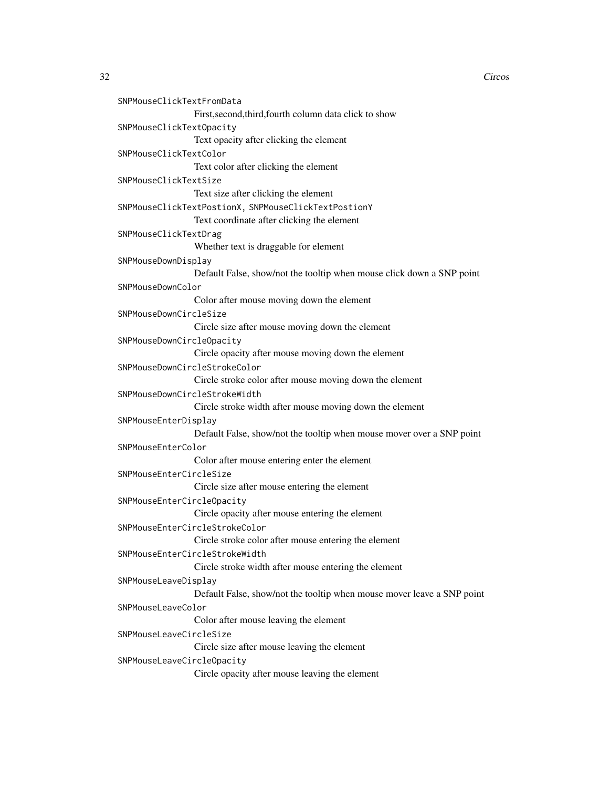```
SNPMouseClickTextFromData
                 First,second,third,fourth column data click to show
SNPMouseClickTextOpacity
                 Text opacity after clicking the element
SNPMouseClickTextColor
                 Text color after clicking the element
SNPMouseClickTextSize
                 Text size after clicking the element
SNPMouseClickTextPostionX, SNPMouseClickTextPostionY
                 Text coordinate after clicking the element
SNPMouseClickTextDrag
                 Whether text is draggable for element
SNPMouseDownDisplay
                 Default False, show/not the tooltip when mouse click down a SNP point
SNPMouseDownColor
                 Color after mouse moving down the element
SNPMouseDownCircleSize
                 Circle size after mouse moving down the element
SNPMouseDownCircleOpacity
                 Circle opacity after mouse moving down the element
SNPMouseDownCircleStrokeColor
                 Circle stroke color after mouse moving down the element
SNPMouseDownCircleStrokeWidth
                 Circle stroke width after mouse moving down the element
SNPMouseEnterDisplay
                 Default False, show/not the tooltip when mouse mover over a SNP point
SNPMouseEnterColor
                 Color after mouse entering enter the element
SNPMouseEnterCircleSize
                 Circle size after mouse entering the element
SNPMouseEnterCircleOpacity
                 Circle opacity after mouse entering the element
SNPMouseEnterCircleStrokeColor
                 Circle stroke color after mouse entering the element
SNPMouseEnterCircleStrokeWidth
                 Circle stroke width after mouse entering the element
SNPMouseLeaveDisplay
                 Default False, show/not the tooltip when mouse mover leave a SNP point
SNPMouseLeaveColor
                 Color after mouse leaving the element
SNPMouseLeaveCircleSize
                 Circle size after mouse leaving the element
SNPMouseLeaveCircleOpacity
                 Circle opacity after mouse leaving the element
```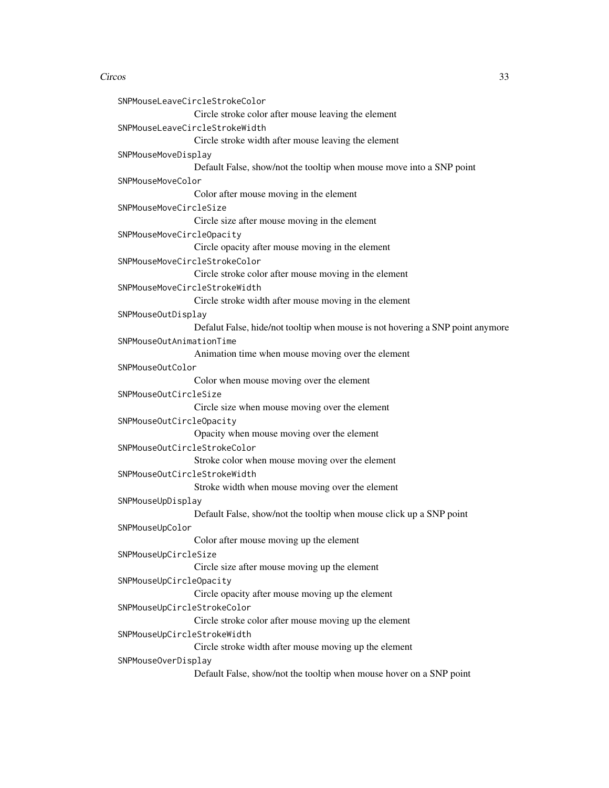```
SNPMouseLeaveCircleStrokeColor
                 Circle stroke color after mouse leaving the element
SNPMouseLeaveCircleStrokeWidth
                 Circle stroke width after mouse leaving the element
SNPMouseMoveDisplay
                 Default False, show/not the tooltip when mouse move into a SNP point
SNPMouseMoveColor
                 Color after mouse moving in the element
SNPMouseMoveCircleSize
                 Circle size after mouse moving in the element
SNPMouseMoveCircleOpacity
                 Circle opacity after mouse moving in the element
SNPMouseMoveCircleStrokeColor
                 Circle stroke color after mouse moving in the element
SNPMouseMoveCircleStrokeWidth
                 Circle stroke width after mouse moving in the element
SNPMouseOutDisplay
                 Defalut False, hide/not tooltip when mouse is not hovering a SNP point anymore
SNPMouseOutAnimationTime
                 Animation time when mouse moving over the element
SNPMouseOutColor
                 Color when mouse moving over the element
SNPMouseOutCircleSize
                 Circle size when mouse moving over the element
SNPMouseOutCircleOpacity
                 Opacity when mouse moving over the element
SNPMouseOutCircleStrokeColor
                 Stroke color when mouse moving over the element
SNPMouseOutCircleStrokeWidth
                 Stroke width when mouse moving over the element
SNPMouseUpDisplay
                 Default False, show/not the tooltip when mouse click up a SNP point
SNPMouseUpColor
                 Color after mouse moving up the element
SNPMouseUpCircleSize
                 Circle size after mouse moving up the element
SNPMouseUpCircleOpacity
                 Circle opacity after mouse moving up the element
SNPMouseUpCircleStrokeColor
                 Circle stroke color after mouse moving up the element
SNPMouseUpCircleStrokeWidth
                 Circle stroke width after mouse moving up the element
SNPMouseOverDisplay
                 Default False, show/not the tooltip when mouse hover on a SNP point
```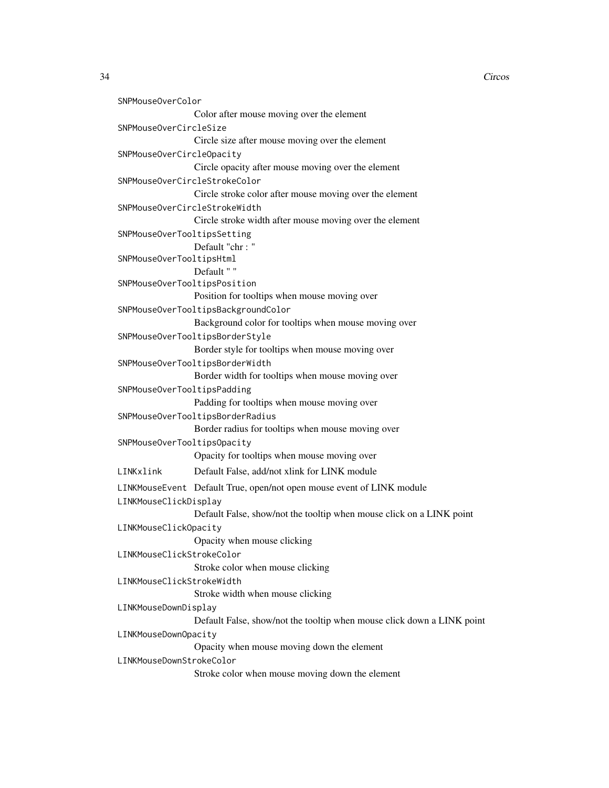```
SNPMouseOverColor
                 Color after mouse moving over the element
SNPMouseOverCircleSize
                 Circle size after mouse moving over the element
SNPMouseOverCircleOpacity
                 Circle opacity after mouse moving over the element
SNPMouseOverCircleStrokeColor
                 Circle stroke color after mouse moving over the element
SNPMouseOverCircleStrokeWidth
                 Circle stroke width after mouse moving over the element
SNPMouseOverTooltipsSetting
                 Default "chr : "
SNPMouseOverTooltipsHtml
                Default " "
SNPMouseOverTooltipsPosition
                 Position for tooltips when mouse moving over
SNPMouseOverTooltipsBackgroundColor
                 Background color for tooltips when mouse moving over
SNPMouseOverTooltipsBorderStyle
                 Border style for tooltips when mouse moving over
SNPMouseOverTooltipsBorderWidth
                 Border width for tooltips when mouse moving over
SNPMouseOverTooltipsPadding
                 Padding for tooltips when mouse moving over
SNPMouseOverTooltipsBorderRadius
                 Border radius for tooltips when mouse moving over
SNPMouseOverTooltipsOpacity
                 Opacity for tooltips when mouse moving over
LINKxlink Default False, add/not xlink for LINK module
LINKMouseEvent Default True, open/not open mouse event of LINK module
LINKMouseClickDisplay
                 Default False, show/not the tooltip when mouse click on a LINK point
LINKMouseClickOpacity
                 Opacity when mouse clicking
LINKMouseClickStrokeColor
                 Stroke color when mouse clicking
LINKMouseClickStrokeWidth
                 Stroke width when mouse clicking
LINKMouseDownDisplay
                Default False, show/not the tooltip when mouse click down a LINK point
LINKMouseDownOpacity
                 Opacity when mouse moving down the element
LINKMouseDownStrokeColor
                 Stroke color when mouse moving down the element
```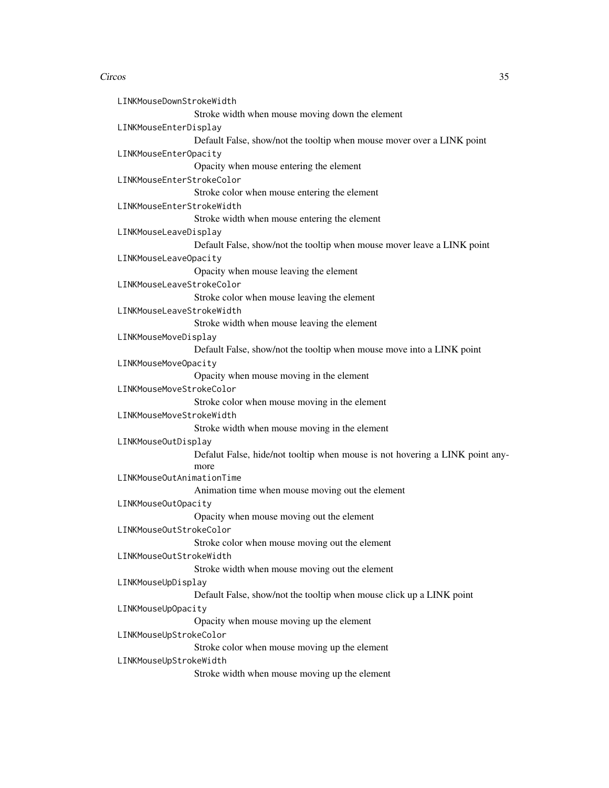| LINKMouseDownStrokeWidth  |                                                                              |
|---------------------------|------------------------------------------------------------------------------|
|                           | Stroke width when mouse moving down the element                              |
| LINKMouseEnterDisplay     |                                                                              |
|                           | Default False, show/not the tooltip when mouse mover over a LINK point       |
| LINKMouseEnterOpacity     |                                                                              |
|                           | Opacity when mouse entering the element                                      |
| LINKMouseEnterStrokeColor |                                                                              |
|                           | Stroke color when mouse entering the element                                 |
| LINKMouseEnterStrokeWidth |                                                                              |
|                           | Stroke width when mouse entering the element                                 |
| LINKMouseLeaveDisplay     |                                                                              |
|                           | Default False, show/not the tooltip when mouse mover leave a LINK point      |
| LINKMouseLeaveOpacity     |                                                                              |
|                           | Opacity when mouse leaving the element                                       |
| LINKMouseLeaveStrokeColor |                                                                              |
|                           | Stroke color when mouse leaving the element                                  |
| LINKMouseLeaveStrokeWidth |                                                                              |
|                           | Stroke width when mouse leaving the element                                  |
| LINKMouseMoveDisplay      |                                                                              |
|                           | Default False, show/not the tooltip when mouse move into a LINK point        |
| LINKMouseMoveOpacity      |                                                                              |
|                           | Opacity when mouse moving in the element                                     |
| LINKMouseMoveStrokeColor  |                                                                              |
|                           | Stroke color when mouse moving in the element                                |
| LINKMouseMoveStrokeWidth  |                                                                              |
|                           | Stroke width when mouse moving in the element                                |
| LINKMouseOutDisplay       |                                                                              |
|                           | Defalut False, hide/not tooltip when mouse is not hovering a LINK point any- |
|                           | more                                                                         |
| LINKMouseOutAnimationTime |                                                                              |
|                           | Animation time when mouse moving out the element                             |
| LINKMouseOutOpacity       |                                                                              |
|                           | Opacity when mouse moving out the element                                    |
| LINKMouseOutStrokeColor   |                                                                              |
|                           | Stroke color when mouse moving out the element                               |
| LINKMouseOutStrokeWidth   |                                                                              |
|                           | Stroke width when mouse moving out the element                               |
| LINKMouseUpDisplay        |                                                                              |
|                           | Default False, show/not the tooltip when mouse click up a LINK point         |
| LINKMouseUpOpacity        |                                                                              |
|                           | Opacity when mouse moving up the element                                     |
| LINKMouseUpStrokeColor    |                                                                              |
|                           | Stroke color when mouse moving up the element                                |
| LINKMouseUpStrokeWidth    |                                                                              |
|                           | Stroke width when mouse moving up the element                                |
|                           |                                                                              |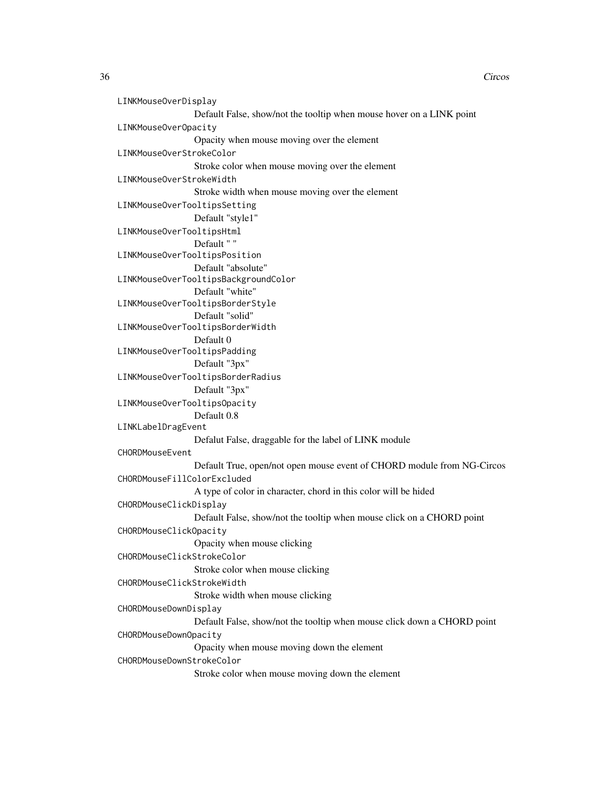```
LINKMouseOverDisplay
                 Default False, show/not the tooltip when mouse hover on a LINK point
LINKMouseOverOpacity
                 Opacity when mouse moving over the element
LINKMouseOverStrokeColor
                 Stroke color when mouse moving over the element
LINKMouseOverStrokeWidth
                 Stroke width when mouse moving over the element
LINKMouseOverTooltipsSetting
                 Default "style1"
LINKMouseOverTooltipsHtml
                 Default " "
LINKMouseOverTooltipsPosition
                 Default "absolute"
LINKMouseOverTooltipsBackgroundColor
                 Default "white"
LINKMouseOverTooltipsBorderStyle
                 Default "solid"
LINKMouseOverTooltipsBorderWidth
                 Default 0
LINKMouseOverTooltipsPadding
                 Default "3px"
LINKMouseOverTooltipsBorderRadius
                 Default "3px"
LINKMouseOverTooltipsOpacity
                 Default 0.8
LINKLabelDragEvent
                 Defalut False, draggable for the label of LINK module
CHORDMouseEvent
                 Default True, open/not open mouse event of CHORD module from NG-Circos
CHORDMouseFillColorExcluded
                 A type of color in character, chord in this color will be hided
CHORDMouseClickDisplay
                 Default False, show/not the tooltip when mouse click on a CHORD point
CHORDMouseClickOpacity
                 Opacity when mouse clicking
CHORDMouseClickStrokeColor
                 Stroke color when mouse clicking
CHORDMouseClickStrokeWidth
                 Stroke width when mouse clicking
CHORDMouseDownDisplay
                 Default False, show/not the tooltip when mouse click down a CHORD point
CHORDMouseDownOpacity
                 Opacity when mouse moving down the element
CHORDMouseDownStrokeColor
                 Stroke color when mouse moving down the element
```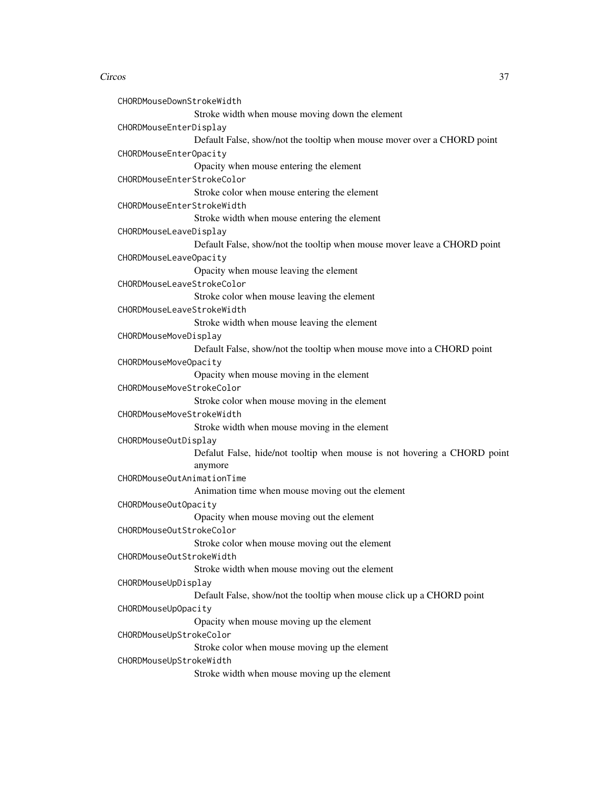```
CHORDMouseDownStrokeWidth
                 Stroke width when mouse moving down the element
CHORDMouseEnterDisplay
                 Default False, show/not the tooltip when mouse mover over a CHORD point
CHORDMouseEnterOpacity
                 Opacity when mouse entering the element
CHORDMouseEnterStrokeColor
                 Stroke color when mouse entering the element
CHORDMouseEnterStrokeWidth
                 Stroke width when mouse entering the element
CHORDMouseLeaveDisplay
                 Default False, show/not the tooltip when mouse mover leave a CHORD point
CHORDMouseLeaveOpacity
                 Opacity when mouse leaving the element
CHORDMouseLeaveStrokeColor
                 Stroke color when mouse leaving the element
CHORDMouseLeaveStrokeWidth
                 Stroke width when mouse leaving the element
CHORDMouseMoveDisplay
                 Default False, show/not the tooltip when mouse move into a CHORD point
CHORDMouseMoveOpacity
                 Opacity when mouse moving in the element
CHORDMouseMoveStrokeColor
                 Stroke color when mouse moving in the element
CHORDMouseMoveStrokeWidth
                 Stroke width when mouse moving in the element
CHORDMouseOutDisplay
                 Defalut False, hide/not tooltip when mouse is not hovering a CHORD point
                 anymore
CHORDMouseOutAnimationTime
                 Animation time when mouse moving out the element
CHORDMouseOutOpacity
                 Opacity when mouse moving out the element
CHORDMouseOutStrokeColor
                 Stroke color when mouse moving out the element
CHORDMouseOutStrokeWidth
                 Stroke width when mouse moving out the element
CHORDMouseUpDisplay
                 Default False, show/not the tooltip when mouse click up a CHORD point
CHORDMouseUpOpacity
                 Opacity when mouse moving up the element
CHORDMouseUpStrokeColor
                 Stroke color when mouse moving up the element
CHORDMouseUpStrokeWidth
                 Stroke width when mouse moving up the element
```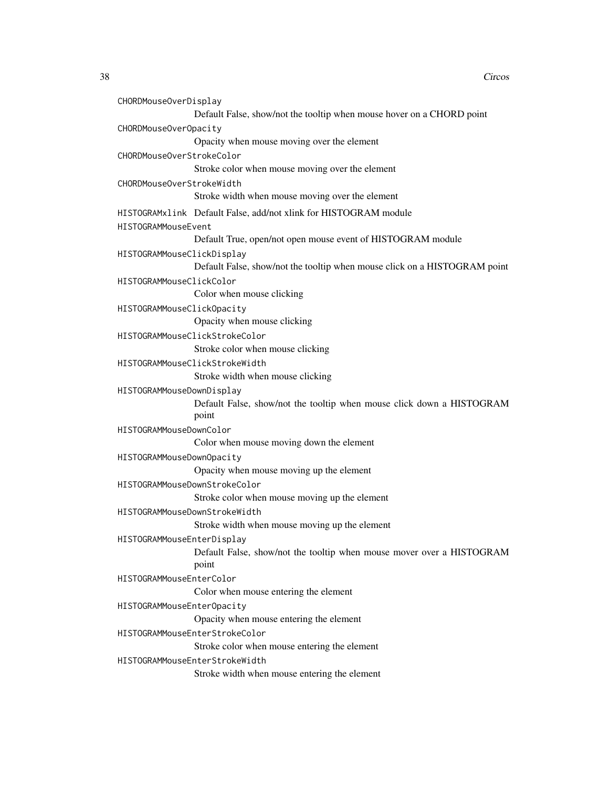```
CHORDMouseOverDisplay
                Default False, show/not the tooltip when mouse hover on a CHORD point
CHORDMouseOverOpacity
                 Opacity when mouse moving over the element
CHORDMouseOverStrokeColor
                Stroke color when mouse moving over the element
CHORDMouseOverStrokeWidth
                Stroke width when mouse moving over the element
HISTOGRAMxlink Default False, add/not xlink for HISTOGRAM module
HISTOGRAMMouseEvent
                Default True, open/not open mouse event of HISTOGRAM module
HISTOGRAMMouseClickDisplay
                Default False, show/not the tooltip when mouse click on a HISTOGRAM point
HISTOGRAMMouseClickColor
                Color when mouse clicking
HISTOGRAMMouseClickOpacity
                Opacity when mouse clicking
HISTOGRAMMouseClickStrokeColor
                Stroke color when mouse clicking
HISTOGRAMMouseClickStrokeWidth
                Stroke width when mouse clicking
HISTOGRAMMouseDownDisplay
                Default False, show/not the tooltip when mouse click down a HISTOGRAM
                point
HISTOGRAMMouseDownColor
                Color when mouse moving down the element
HISTOGRAMMouseDownOpacity
                Opacity when mouse moving up the element
HISTOGRAMMouseDownStrokeColor
                Stroke color when mouse moving up the element
HISTOGRAMMouseDownStrokeWidth
                Stroke width when mouse moving up the element
HISTOGRAMMouseEnterDisplay
                Default False, show/not the tooltip when mouse mover over a HISTOGRAM
                point
HISTOGRAMMouseEnterColor
                Color when mouse entering the element
HISTOGRAMMouseEnterOpacity
                Opacity when mouse entering the element
HISTOGRAMMouseEnterStrokeColor
                Stroke color when mouse entering the element
HISTOGRAMMouseEnterStrokeWidth
                Stroke width when mouse entering the element
```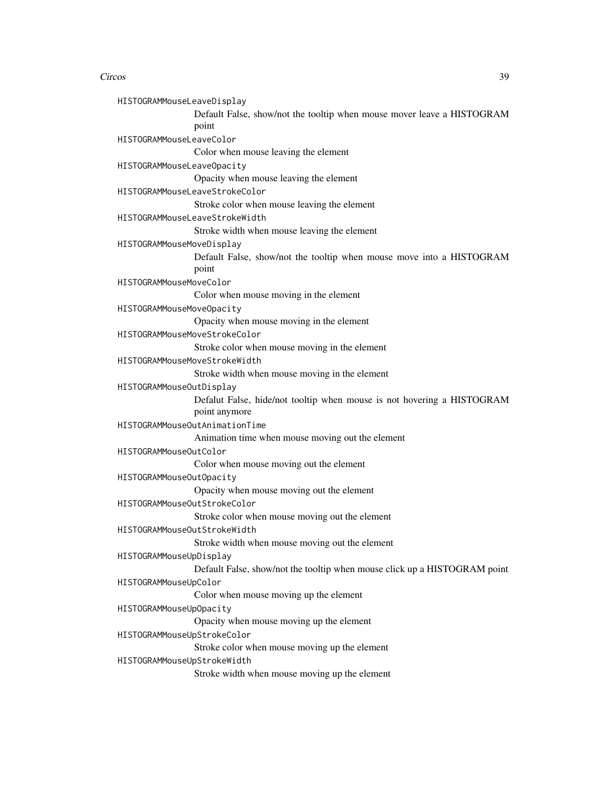#### Circos to the contract of the contract of the contract of the contract of the contract of the contract of the contract of the contract of the contract of the contract of the contract of the contract of the contract of the

| eaveDisplay                                                                     |
|---------------------------------------------------------------------------------|
| Default False, show/not the tooltip when mouse mover leave a HISTOGRAM<br>point |
| eaveColor                                                                       |
| Color when mouse leaving the element                                            |
| eaveOpacity                                                                     |
| Opacity when mouse leaving the element                                          |
| eaveStrokeColor                                                                 |
| Stroke color when mouse leaving the element                                     |
| eaveStrokeWidth                                                                 |
| Stroke width when mouse leaving the element                                     |
| oveDisplay                                                                      |
| Default False, show/not the tooltip when mouse move into a HISTOGRAM            |
| point                                                                           |
| oveColor                                                                        |
| Color when mouse moving in the element                                          |

HISTOGRAMMouseMoveOpacity

HISTOGRAMMouseLeaveDisplay

HISTOGRAMMouseLeaveColor

HISTOGRAMMouseLeaveOpacity

HISTOGRAMMouseLeaveStrokeColor

HISTOGRAMMouseLeaveStrokeWidth

HISTOGRAMMouseMoveDisplay

HISTOGRAMMouseMoveColor

Opacity when mouse moving in the element

HISTOGRAMMouseMoveStrokeColor

Stroke color when mouse moving in the element

HISTOGRAMMouseMoveStrokeWidth

Stroke width when mouse moving in the element

HISTOGRAMMouseOutDisplay

Defalut False, hide/not tooltip when mouse is not hovering a HISTOGRAM

point anymore

HISTOGRAMMouseOutAnimationTime

Animation time when mouse moving out the element

HISTOGRAMMouseOutColor

Color when mouse moving out the element

HISTOGRAMMouseOutOpacity

Opacity when mouse moving out the element

HISTOGRAMMouseOutStrokeColor

Stroke color when mouse moving out the element

HISTOGRAMMouseOutStrokeWidth

Stroke width when mouse moving out the element

```
HISTOGRAMMouseUpDisplay
```
Default False, show/not the tooltip when mouse click up a HISTOGRAM point

HISTOGRAMMouseUpColor

Color when mouse moving up the element

HISTOGRAMMouseUpOpacity

Opacity when mouse moving up the element

HISTOGRAMMouseUpStrokeColor

Stroke color when mouse moving up the element

HISTOGRAMMouseUpStrokeWidth

Stroke width when mouse moving up the element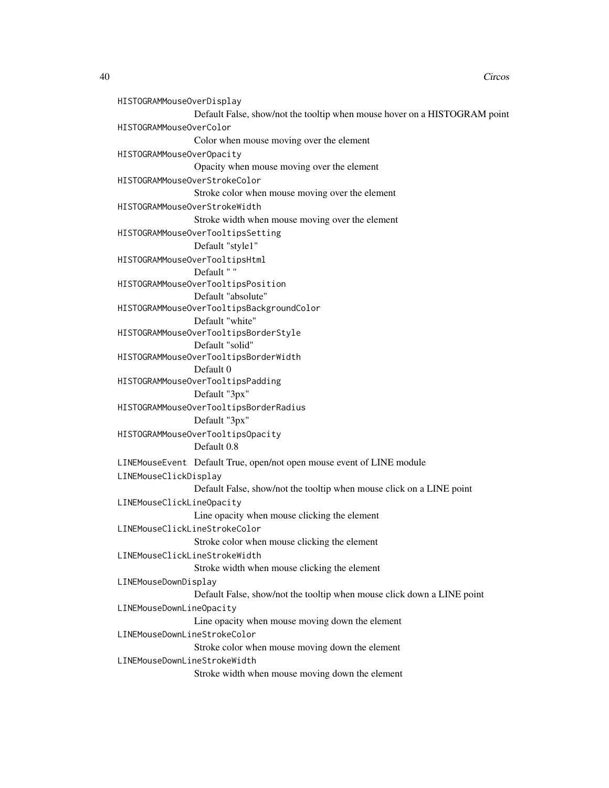```
HISTOGRAMMouseOverDisplay
                Default False, show/not the tooltip when mouse hover on a HISTOGRAM point
HISTOGRAMMouseOverColor
                 Color when mouse moving over the element
HISTOGRAMMouseOverOpacity
                 Opacity when mouse moving over the element
HISTOGRAMMouseOverStrokeColor
                 Stroke color when mouse moving over the element
HISTOGRAMMouseOverStrokeWidth
                 Stroke width when mouse moving over the element
HISTOGRAMMouseOverTooltipsSetting
                 Default "style1"
HISTOGRAMMouseOverTooltipsHtml
                Default " "
HISTOGRAMMouseOverTooltipsPosition
                 Default "absolute"
HISTOGRAMMouseOverTooltipsBackgroundColor
                 Default "white"
HISTOGRAMMouseOverTooltipsBorderStyle
                Default "solid"
HISTOGRAMMouseOverTooltipsBorderWidth
                Default 0
HISTOGRAMMouseOverTooltipsPadding
                 Default "3px"
HISTOGRAMMouseOverTooltipsBorderRadius
                Default "3px"
HISTOGRAMMouseOverTooltipsOpacity
                 Default 0.8
LINEMouseEvent Default True, open/not open mouse event of LINE module
LINEMouseClickDisplay
                 Default False, show/not the tooltip when mouse click on a LINE point
LINEMouseClickLineOpacity
                Line opacity when mouse clicking the element
LINEMouseClickLineStrokeColor
                 Stroke color when mouse clicking the element
LINEMouseClickLineStrokeWidth
                 Stroke width when mouse clicking the element
LINEMouseDownDisplay
                 Default False, show/not the tooltip when mouse click down a LINE point
LINEMouseDownLineOpacity
                Line opacity when mouse moving down the element
LINEMouseDownLineStrokeColor
                 Stroke color when mouse moving down the element
LINEMouseDownLineStrokeWidth
                 Stroke width when mouse moving down the element
```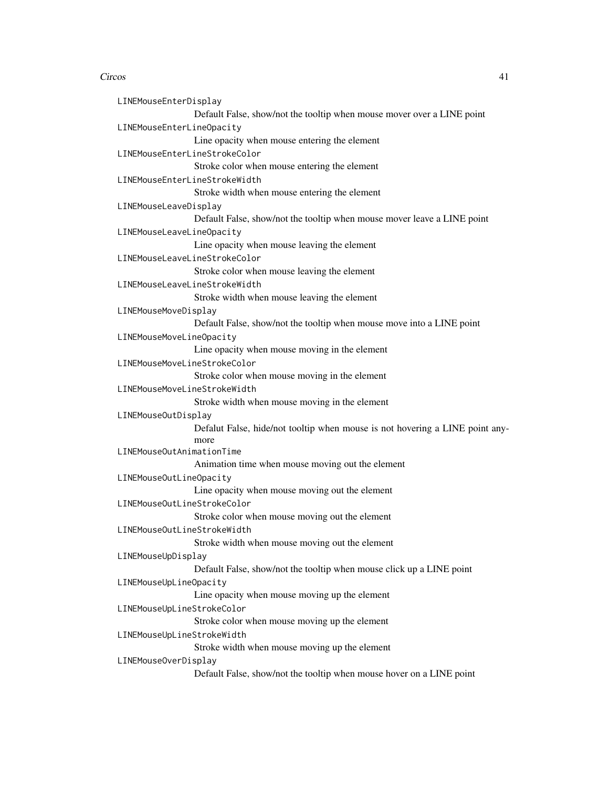| LINEMouseEnterDisplay        |                                                                              |
|------------------------------|------------------------------------------------------------------------------|
|                              | Default False, show/not the tooltip when mouse mover over a LINE point       |
| LINEMouseEnterLineOpacity    |                                                                              |
|                              | Line opacity when mouse entering the element                                 |
|                              | LINEMouseEnterLineStrokeColor                                                |
|                              | Stroke color when mouse entering the element                                 |
|                              | LINEMouseEnterLineStrokeWidth                                                |
|                              | Stroke width when mouse entering the element                                 |
| LINEMouseLeaveDisplay        |                                                                              |
|                              | Default False, show/not the tooltip when mouse mover leave a LINE point      |
| LINEMouseLeaveLineOpacity    |                                                                              |
|                              | Line opacity when mouse leaving the element                                  |
|                              | LINEMouseLeaveLineStrokeColor                                                |
|                              | Stroke color when mouse leaving the element                                  |
|                              | LINEMouseLeaveLineStrokeWidth                                                |
|                              | Stroke width when mouse leaving the element                                  |
| LINEMouseMoveDisplay         |                                                                              |
|                              | Default False, show/not the tooltip when mouse move into a LINE point        |
| LINEMouseMoveLineOpacity     |                                                                              |
|                              | Line opacity when mouse moving in the element                                |
| LINEMouseMoveLineStrokeColor |                                                                              |
|                              | Stroke color when mouse moving in the element                                |
| LINEMouseMoveLineStrokeWidth |                                                                              |
|                              | Stroke width when mouse moving in the element                                |
| LINEMouseOutDisplay          |                                                                              |
|                              | Defalut False, hide/not tooltip when mouse is not hovering a LINE point any- |
| LINEMouseOutAnimationTime    | more                                                                         |
|                              |                                                                              |
|                              | Animation time when mouse moving out the element                             |
| LINEMouseOutLineOpacity      | Line opacity when mouse moving out the element                               |
| LINEMouseOutLineStrokeColor  |                                                                              |
|                              | Stroke color when mouse moving out the element                               |
| LINEMouseOutLineStrokeWidth  |                                                                              |
|                              | Stroke width when mouse moving out the element                               |
| LINEMouseUpDisplay           |                                                                              |
|                              | Default False, show/not the tooltip when mouse click up a LINE point         |
| LINEMouseUpLineOpacity       |                                                                              |
|                              | Line opacity when mouse moving up the element                                |
| LINEMouseUpLineStrokeColor   |                                                                              |
|                              | Stroke color when mouse moving up the element                                |
| LINEMouseUpLineStrokeWidth   |                                                                              |
|                              | Stroke width when mouse moving up the element                                |
| LINEMouseOverDisplay         |                                                                              |
|                              | Default False, show/not the tooltip when mouse hover on a LINE point         |
|                              |                                                                              |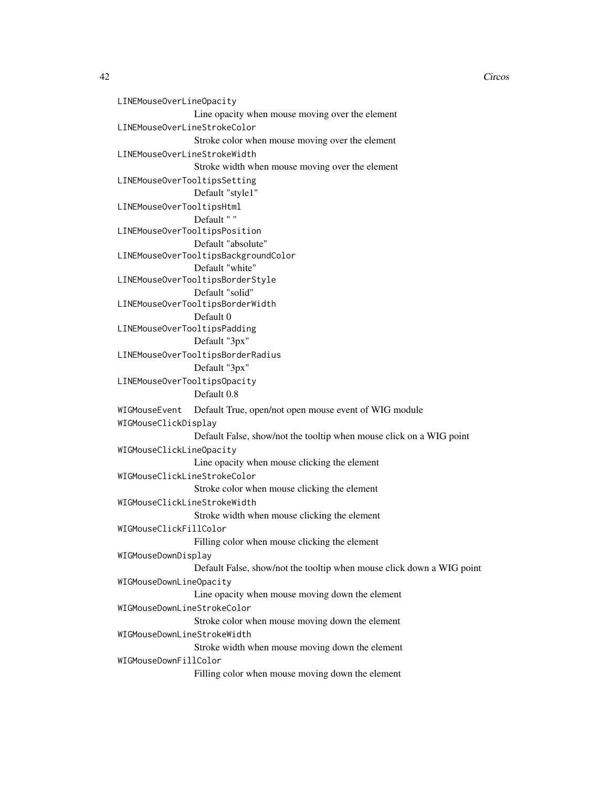```
LINEMouseOverLineOpacity
                Line opacity when mouse moving over the element
LINEMouseOverLineStrokeColor
                 Stroke color when mouse moving over the element
LINEMouseOverLineStrokeWidth
                 Stroke width when mouse moving over the element
LINEMouseOverTooltipsSetting
                 Default "style1"
LINEMouseOverTooltipsHtml
                Default " "
LINEMouseOverTooltipsPosition
                Default "absolute"
LINEMouseOverTooltipsBackgroundColor
                 Default "white"
LINEMouseOverTooltipsBorderStyle
                Default "solid"
LINEMouseOverTooltipsBorderWidth
                 Default 0
LINEMouseOverTooltipsPadding
                 Default "3px"
LINEMouseOverTooltipsBorderRadius
                Default "3px"
LINEMouseOverTooltipsOpacity
                 Default 0.8
WIGMouseEvent Default True, open/not open mouse event of WIG module
WIGMouseClickDisplay
                 Default False, show/not the tooltip when mouse click on a WIG point
WIGMouseClickLineOpacity
                 Line opacity when mouse clicking the element
WIGMouseClickLineStrokeColor
                 Stroke color when mouse clicking the element
WIGMouseClickLineStrokeWidth
                 Stroke width when mouse clicking the element
WIGMouseClickFillColor
                 Filling color when mouse clicking the element
WIGMouseDownDisplay
                 Default False, show/not the tooltip when mouse click down a WIG point
WIGMouseDownLineOpacity
                Line opacity when mouse moving down the element
WIGMouseDownLineStrokeColor
                 Stroke color when mouse moving down the element
WIGMouseDownLineStrokeWidth
                 Stroke width when mouse moving down the element
WIGMouseDownFillColor
                 Filling color when mouse moving down the element
```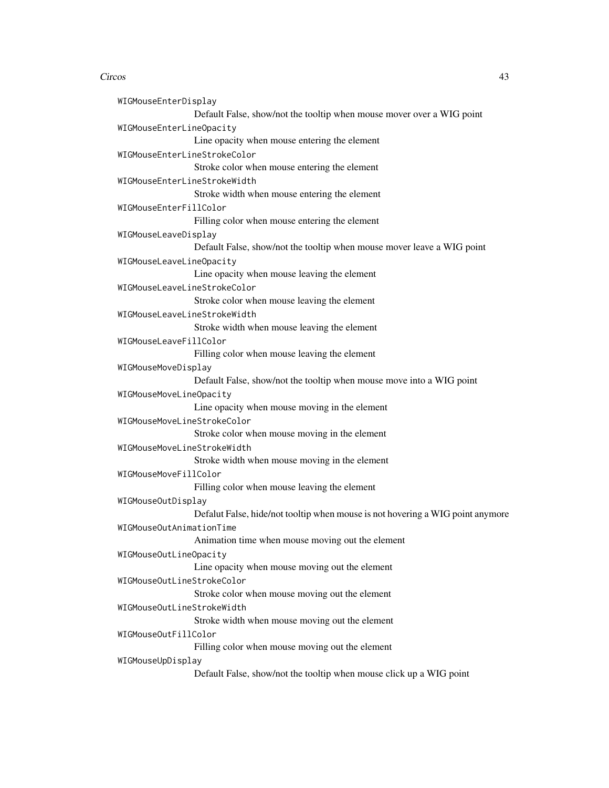WIGMouseEnterDisplay Default False, show/not the tooltip when mouse mover over a WIG point WIGMouseEnterLineOpacity Line opacity when mouse entering the element WIGMouseEnterLineStrokeColor Stroke color when mouse entering the element WIGMouseEnterLineStrokeWidth Stroke width when mouse entering the element WIGMouseEnterFillColor Filling color when mouse entering the element WIGMouseLeaveDisplay Default False, show/not the tooltip when mouse mover leave a WIG point WIGMouseLeaveLineOpacity Line opacity when mouse leaving the element WIGMouseLeaveLineStrokeColor Stroke color when mouse leaving the element WIGMouseLeaveLineStrokeWidth Stroke width when mouse leaving the element WIGMouseLeaveFillColor Filling color when mouse leaving the element WIGMouseMoveDisplay Default False, show/not the tooltip when mouse move into a WIG point WIGMouseMoveLineOpacity Line opacity when mouse moving in the element WIGMouseMoveLineStrokeColor Stroke color when mouse moving in the element WIGMouseMoveLineStrokeWidth Stroke width when mouse moving in the element WIGMouseMoveFillColor Filling color when mouse leaving the element WIGMouseOutDisplay Defalut False, hide/not tooltip when mouse is not hovering a WIG point anymore WIGMouseOutAnimationTime Animation time when mouse moving out the element WIGMouseOutLineOpacity Line opacity when mouse moving out the element WIGMouseOutLineStrokeColor Stroke color when mouse moving out the element WIGMouseOutLineStrokeWidth Stroke width when mouse moving out the element WIGMouseOutFillColor Filling color when mouse moving out the element WIGMouseUpDisplay Default False, show/not the tooltip when mouse click up a WIG point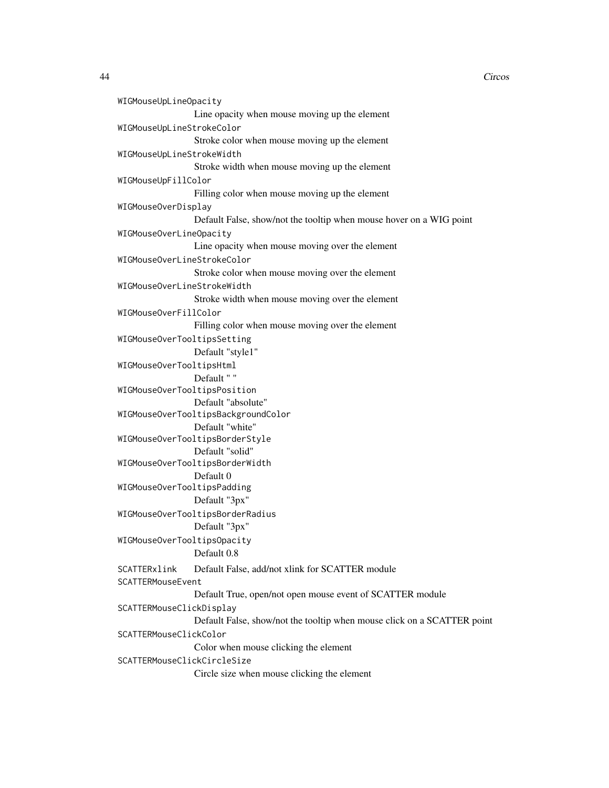```
WIGMouseUpLineOpacity
                Line opacity when mouse moving up the element
WIGMouseUpLineStrokeColor
                 Stroke color when mouse moving up the element
WIGMouseUpLineStrokeWidth
                 Stroke width when mouse moving up the element
WIGMouseUpFillColor
                Filling color when mouse moving up the element
WIGMouseOverDisplay
                Default False, show/not the tooltip when mouse hover on a WIG point
WIGMouseOverLineOpacity
                Line opacity when mouse moving over the element
WIGMouseOverLineStrokeColor
                 Stroke color when mouse moving over the element
WIGMouseOverLineStrokeWidth
                 Stroke width when mouse moving over the element
WIGMouseOverFillColor
                Filling color when mouse moving over the element
WIGMouseOverTooltipsSetting
                Default "style1"
WIGMouseOverTooltipsHtml
                Default " "
WIGMouseOverTooltipsPosition
                Default "absolute"
WIGMouseOverTooltipsBackgroundColor
                Default "white"
WIGMouseOverTooltipsBorderStyle
                Default "solid"
WIGMouseOverTooltipsBorderWidth
                Default 0
WIGMouseOverTooltipsPadding
                Default "3px"
WIGMouseOverTooltipsBorderRadius
                Default "3px"
WIGMouseOverTooltipsOpacity
                Default 0.8
SCATTERxlink Default False, add/not xlink for SCATTER module
SCATTERMouseEvent
                Default True, open/not open mouse event of SCATTER module
SCATTERMouseClickDisplay
                Default False, show/not the tooltip when mouse click on a SCATTER point
SCATTERMouseClickColor
                Color when mouse clicking the element
SCATTERMouseClickCircleSize
                Circle size when mouse clicking the element
```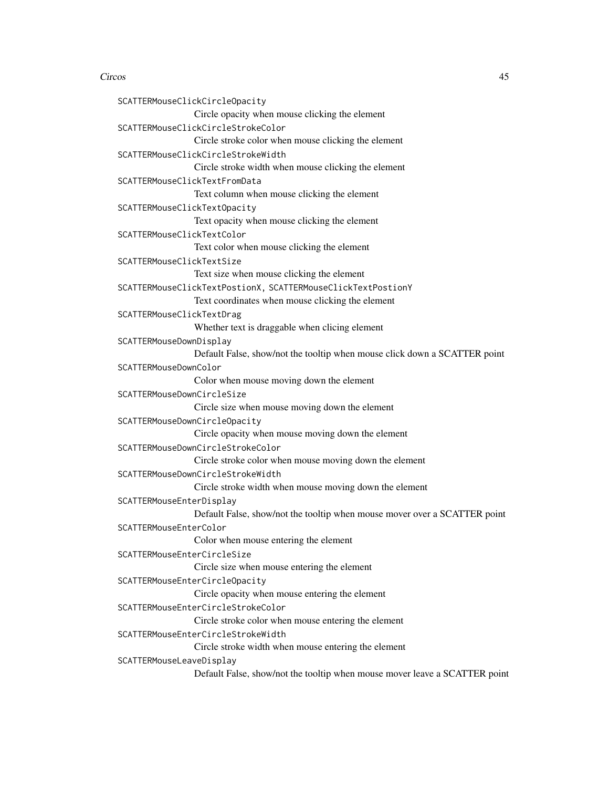```
SCATTERMouseClickCircleOpacity
                Circle opacity when mouse clicking the element
SCATTERMouseClickCircleStrokeColor
                Circle stroke color when mouse clicking the element
SCATTERMouseClickCircleStrokeWidth
                Circle stroke width when mouse clicking the element
SCATTERMouseClickTextFromData
                Text column when mouse clicking the element
SCATTERMouseClickTextOpacity
                Text opacity when mouse clicking the element
SCATTERMouseClickTextColor
                Text color when mouse clicking the element
SCATTERMouseClickTextSize
                Text size when mouse clicking the element
SCATTERMouseClickTextPostionX, SCATTERMouseClickTextPostionY
                Text coordinates when mouse clicking the element
SCATTERMouseClickTextDrag
                Whether text is draggable when clicing element
SCATTERMouseDownDisplay
                Default False, show/not the tooltip when mouse click down a SCATTER point
SCATTERMouseDownColor
                Color when mouse moving down the element
SCATTERMouseDownCircleSize
                Circle size when mouse moving down the element
SCATTERMouseDownCircleOpacity
                Circle opacity when mouse moving down the element
SCATTERMouseDownCircleStrokeColor
                Circle stroke color when mouse moving down the element
SCATTERMouseDownCircleStrokeWidth
                Circle stroke width when mouse moving down the element
SCATTERMouseEnterDisplay
                Default False, show/not the tooltip when mouse mover over a SCATTER point
SCATTERMouseEnterColor
                 Color when mouse entering the element
SCATTERMouseEnterCircleSize
                Circle size when mouse entering the element
SCATTERMouseEnterCircleOpacity
                Circle opacity when mouse entering the element
SCATTERMouseEnterCircleStrokeColor
                Circle stroke color when mouse entering the element
SCATTERMouseEnterCircleStrokeWidth
                Circle stroke width when mouse entering the element
SCATTERMouseLeaveDisplay
                Default False, show/not the tooltip when mouse mover leave a SCATTER point
```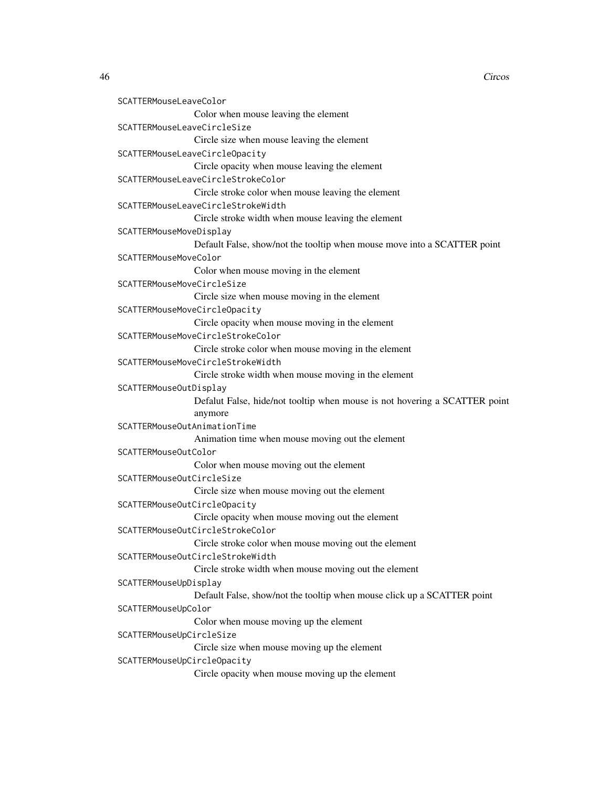```
SCATTERMouseLeaveColor
                Color when mouse leaving the element
SCATTERMouseLeaveCircleSize
                 Circle size when mouse leaving the element
SCATTERMouseLeaveCircleOpacity
                 Circle opacity when mouse leaving the element
SCATTERMouseLeaveCircleStrokeColor
                 Circle stroke color when mouse leaving the element
SCATTERMouseLeaveCircleStrokeWidth
                 Circle stroke width when mouse leaving the element
SCATTERMouseMoveDisplay
                 Default False, show/not the tooltip when mouse move into a SCATTER point
SCATTERMouseMoveColor
                 Color when mouse moving in the element
SCATTERMouseMoveCircleSize
                Circle size when mouse moving in the element
SCATTERMouseMoveCircleOpacity
                 Circle opacity when mouse moving in the element
SCATTERMouseMoveCircleStrokeColor
                 Circle stroke color when mouse moving in the element
SCATTERMouseMoveCircleStrokeWidth
                 Circle stroke width when mouse moving in the element
SCATTERMouseOutDisplay
                 Defalut False, hide/not tooltip when mouse is not hovering a SCATTER point
                 anymore
SCATTERMouseOutAnimationTime
                 Animation time when mouse moving out the element
SCATTERMouseOutColor
                 Color when mouse moving out the element
SCATTERMouseOutCircleSize
                 Circle size when mouse moving out the element
SCATTERMouseOutCircleOpacity
                 Circle opacity when mouse moving out the element
SCATTERMouseOutCircleStrokeColor
                 Circle stroke color when mouse moving out the element
SCATTERMouseOutCircleStrokeWidth
                Circle stroke width when mouse moving out the element
SCATTERMouseUpDisplay
                 Default False, show/not the tooltip when mouse click up a SCATTER point
SCATTERMouseUpColor
                 Color when mouse moving up the element
SCATTERMouseUpCircleSize
                 Circle size when mouse moving up the element
SCATTERMouseUpCircleOpacity
                 Circle opacity when mouse moving up the element
```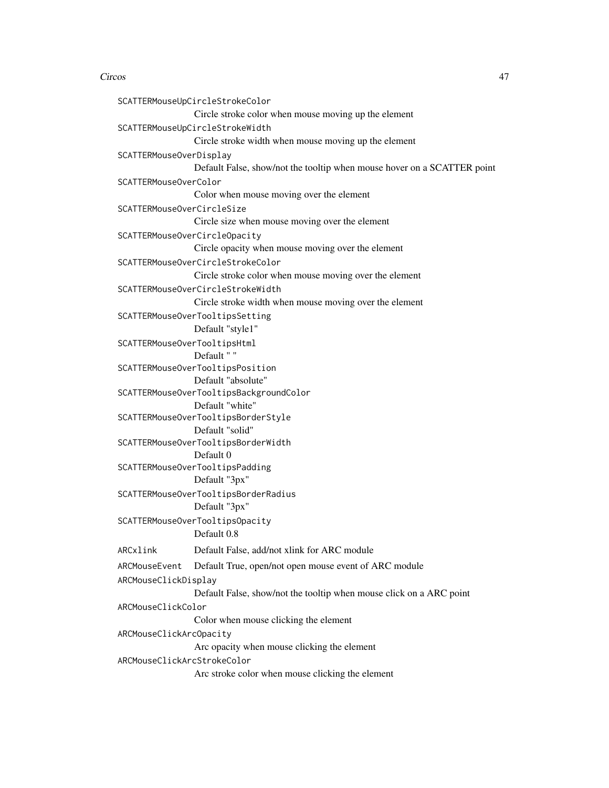```
SCATTERMouseUpCircleStrokeColor
                Circle stroke color when mouse moving up the element
SCATTERMouseUpCircleStrokeWidth
                Circle stroke width when mouse moving up the element
SCATTERMouseOverDisplay
                Default False, show/not the tooltip when mouse hover on a SCATTER point
SCATTERMouseOverColor
                Color when mouse moving over the element
SCATTERMouseOverCircleSize
                Circle size when mouse moving over the element
SCATTERMouseOverCircleOpacity
                Circle opacity when mouse moving over the element
SCATTERMouseOverCircleStrokeColor
                Circle stroke color when mouse moving over the element
SCATTERMouseOverCircleStrokeWidth
                Circle stroke width when mouse moving over the element
SCATTERMouseOverTooltipsSetting
                Default "style1"
SCATTERMouseOverTooltipsHtml
                Default " "
SCATTERMouseOverTooltipsPosition
                Default "absolute"
SCATTERMouseOverTooltipsBackgroundColor
                Default "white"
SCATTERMouseOverTooltipsBorderStyle
                Default "solid"
SCATTERMouseOverTooltipsBorderWidth
                Default 0
SCATTERMouseOverTooltipsPadding
                Default "3px"
SCATTERMouseOverTooltipsBorderRadius
                Default "3px"
SCATTERMouseOverTooltipsOpacity
                Default 0.8
ARCxlink Default False, add/not xlink for ARC module
ARCMouseEvent Default True, open/not open mouse event of ARC module
ARCMouseClickDisplay
                Default False, show/not the tooltip when mouse click on a ARC point
ARCMouseClickColor
                Color when mouse clicking the element
ARCMouseClickArcOpacity
                Arc opacity when mouse clicking the element
ARCMouseClickArcStrokeColor
                Arc stroke color when mouse clicking the element
```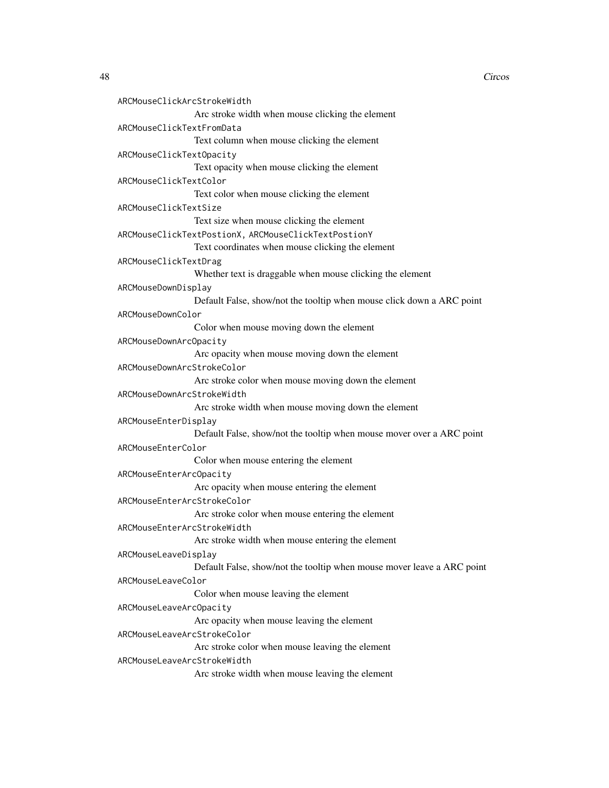```
ARCMouseClickArcStrokeWidth
                 Arc stroke width when mouse clicking the element
ARCMouseClickTextFromData
                 Text column when mouse clicking the element
ARCMouseClickTextOpacity
                 Text opacity when mouse clicking the element
ARCMouseClickTextColor
                 Text color when mouse clicking the element
ARCMouseClickTextSize
                 Text size when mouse clicking the element
ARCMouseClickTextPostionX, ARCMouseClickTextPostionY
                 Text coordinates when mouse clicking the element
ARCMouseClickTextDrag
                 Whether text is draggable when mouse clicking the element
ARCMouseDownDisplay
                 Default False, show/not the tooltip when mouse click down a ARC point
ARCMouseDownColor
                 Color when mouse moving down the element
ARCMouseDownArcOpacity
                 Arc opacity when mouse moving down the element
ARCMouseDownArcStrokeColor
                 Arc stroke color when mouse moving down the element
ARCMouseDownArcStrokeWidth
                 Arc stroke width when mouse moving down the element
ARCMouseEnterDisplay
                 Default False, show/not the tooltip when mouse mover over a ARC point
ARCMouseEnterColor
                 Color when mouse entering the element
ARCMouseEnterArcOpacity
                 Arc opacity when mouse entering the element
ARCMouseEnterArcStrokeColor
                 Arc stroke color when mouse entering the element
ARCMouseEnterArcStrokeWidth
                 Arc stroke width when mouse entering the element
ARCMouseLeaveDisplay
                 Default False, show/not the tooltip when mouse mover leave a ARC point
ARCMouseLeaveColor
                 Color when mouse leaving the element
ARCMouseLeaveArcOpacity
                 Arc opacity when mouse leaving the element
ARCMouseLeaveArcStrokeColor
                 Arc stroke color when mouse leaving the element
ARCMouseLeaveArcStrokeWidth
                 Arc stroke width when mouse leaving the element
```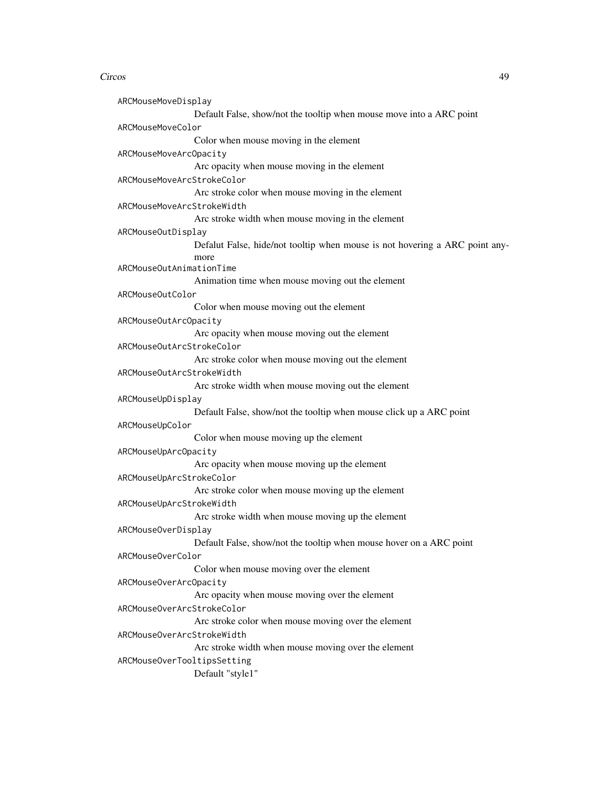ARCMouseMoveDisplay Default False, show/not the tooltip when mouse move into a ARC point ARCMouseMoveColor Color when mouse moving in the element ARCMouseMoveArcOpacity Arc opacity when mouse moving in the element ARCMouseMoveArcStrokeColor Arc stroke color when mouse moving in the element ARCMouseMoveArcStrokeWidth Arc stroke width when mouse moving in the element ARCMouseOutDisplay Defalut False, hide/not tooltip when mouse is not hovering a ARC point anymore ARCMouseOutAnimationTime Animation time when mouse moving out the element ARCMouseOutColor Color when mouse moving out the element ARCMouseOutArcOpacity Arc opacity when mouse moving out the element ARCMouseOutArcStrokeColor Arc stroke color when mouse moving out the element ARCMouseOutArcStrokeWidth Arc stroke width when mouse moving out the element ARCMouseUpDisplay Default False, show/not the tooltip when mouse click up a ARC point ARCMouseUpColor Color when mouse moving up the element ARCMouseUpArcOpacity Arc opacity when mouse moving up the element ARCMouseUpArcStrokeColor Arc stroke color when mouse moving up the element ARCMouseUpArcStrokeWidth Arc stroke width when mouse moving up the element ARCMouseOverDisplay Default False, show/not the tooltip when mouse hover on a ARC point ARCMouseOverColor Color when mouse moving over the element ARCMouseOverArcOpacity Arc opacity when mouse moving over the element ARCMouseOverArcStrokeColor Arc stroke color when mouse moving over the element ARCMouseOverArcStrokeWidth Arc stroke width when mouse moving over the element ARCMouseOverTooltipsSetting Default "style1"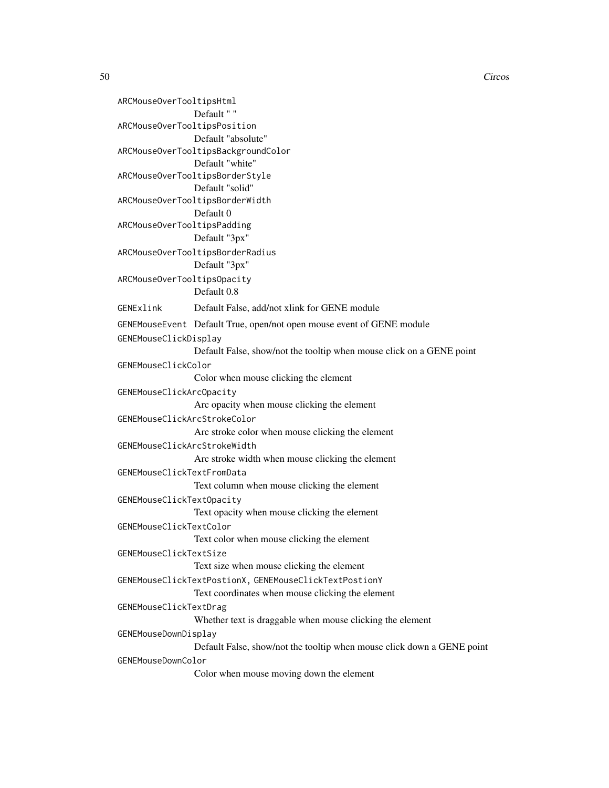ARCMouseOverTooltipsHtml Default " " ARCMouseOverTooltipsPosition Default "absolute" ARCMouseOverTooltipsBackgroundColor Default "white" ARCMouseOverTooltipsBorderStyle Default "solid" ARCMouseOverTooltipsBorderWidth Default 0 ARCMouseOverTooltipsPadding Default "3px" ARCMouseOverTooltipsBorderRadius Default "3px" ARCMouseOverTooltipsOpacity Default 0.8 GENExlink Default False, add/not xlink for GENE module GENEMouseEvent Default True, open/not open mouse event of GENE module GENEMouseClickDisplay Default False, show/not the tooltip when mouse click on a GENE point GENEMouseClickColor Color when mouse clicking the element GENEMouseClickArcOpacity Arc opacity when mouse clicking the element GENEMouseClickArcStrokeColor Arc stroke color when mouse clicking the element GENEMouseClickArcStrokeWidth Arc stroke width when mouse clicking the element GENEMouseClickTextFromData Text column when mouse clicking the element GENEMouseClickTextOpacity Text opacity when mouse clicking the element GENEMouseClickTextColor Text color when mouse clicking the element GENEMouseClickTextSize Text size when mouse clicking the element GENEMouseClickTextPostionX, GENEMouseClickTextPostionY Text coordinates when mouse clicking the element GENEMouseClickTextDrag Whether text is draggable when mouse clicking the element GENEMouseDownDisplay Default False, show/not the tooltip when mouse click down a GENE point GENEMouseDownColor Color when mouse moving down the element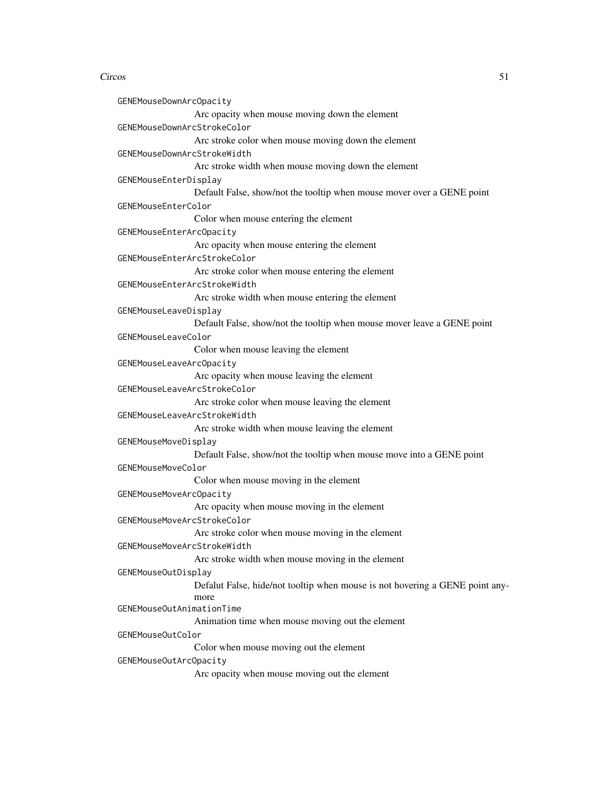```
GENEMouseDownArcOpacity
                 Arc opacity when mouse moving down the element
GENEMouseDownArcStrokeColor
                 Arc stroke color when mouse moving down the element
GENEMouseDownArcStrokeWidth
                 Arc stroke width when mouse moving down the element
GENEMouseEnterDisplay
                 Default False, show/not the tooltip when mouse mover over a GENE point
GENEMouseEnterColor
                 Color when mouse entering the element
GENEMouseEnterArcOpacity
                 Arc opacity when mouse entering the element
GENEMouseEnterArcStrokeColor
                 Arc stroke color when mouse entering the element
GENEMouseEnterArcStrokeWidth
                 Arc stroke width when mouse entering the element
GENEMouseLeaveDisplay
                 Default False, show/not the tooltip when mouse mover leave a GENE point
GENEMouseLeaveColor
                 Color when mouse leaving the element
GENEMouseLeaveArcOpacity
                 Arc opacity when mouse leaving the element
GENEMouseLeaveArcStrokeColor
                 Arc stroke color when mouse leaving the element
GENEMouseLeaveArcStrokeWidth
                 Arc stroke width when mouse leaving the element
GENEMouseMoveDisplay
                 Default False, show/not the tooltip when mouse move into a GENE point
GENEMouseMoveColor
                 Color when mouse moving in the element
GENEMouseMoveArcOpacity
                 Arc opacity when mouse moving in the element
GENEMouseMoveArcStrokeColor
                 Arc stroke color when mouse moving in the element
GENEMouseMoveArcStrokeWidth
                 Arc stroke width when mouse moving in the element
GENEMouseOutDisplay
                 Defalut False, hide/not tooltip when mouse is not hovering a GENE point any-
                 more
GENEMouseOutAnimationTime
                 Animation time when mouse moving out the element
GENEMouseOutColor
                 Color when mouse moving out the element
GENEMouseOutArcOpacity
                 Arc opacity when mouse moving out the element
```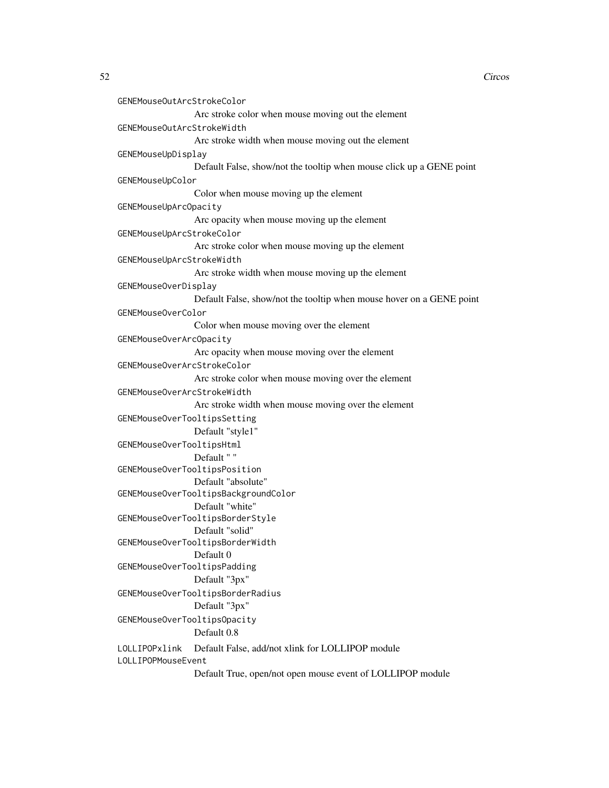```
GENEMouseOutArcStrokeColor
                Arc stroke color when mouse moving out the element
GENEMouseOutArcStrokeWidth
                 Arc stroke width when mouse moving out the element
GENEMouseUpDisplay
                Default False, show/not the tooltip when mouse click up a GENE point
GENEMouseUpColor
                Color when mouse moving up the element
GENEMouseUpArcOpacity
                 Arc opacity when mouse moving up the element
GENEMouseUpArcStrokeColor
                 Arc stroke color when mouse moving up the element
GENEMouseUpArcStrokeWidth
                 Arc stroke width when mouse moving up the element
GENEMouseOverDisplay
                Default False, show/not the tooltip when mouse hover on a GENE point
GENEMouseOverColor
                Color when mouse moving over the element
GENEMouseOverArcOpacity
                 Arc opacity when mouse moving over the element
GENEMouseOverArcStrokeColor
                Arc stroke color when mouse moving over the element
GENEMouseOverArcStrokeWidth
                 Arc stroke width when mouse moving over the element
GENEMouseOverTooltipsSetting
                Default "style1"
GENEMouseOverTooltipsHtml
                Default " "
GENEMouseOverTooltipsPosition
                Default "absolute"
GENEMouseOverTooltipsBackgroundColor
                Default "white"
GENEMouseOverTooltipsBorderStyle
                 Default "solid"
GENEMouseOverTooltipsBorderWidth
                Default 0
GENEMouseOverTooltipsPadding
                Default "3px"
GENEMouseOverTooltipsBorderRadius
                Default "3px"
GENEMouseOverTooltipsOpacity
                Default 0.8
LOLLIPOPxlink Default False, add/not xlink for LOLLIPOP module
LOLLIPOPMouseEvent
                Default True, open/not open mouse event of LOLLIPOP module
```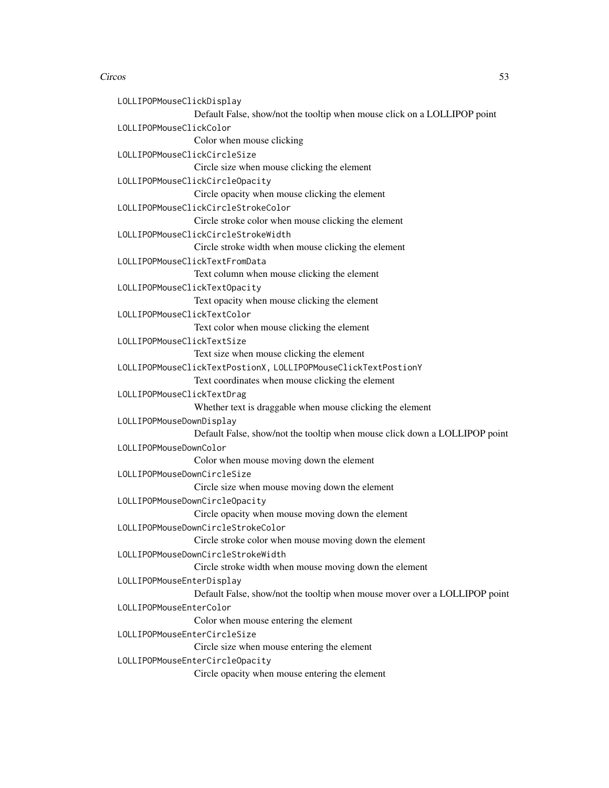| LOLLIPOPMouseClickDisplay     |                                                                            |
|-------------------------------|----------------------------------------------------------------------------|
|                               | Default False, show/not the tooltip when mouse click on a LOLLIPOP point   |
| LOLLIPOPMouseClickColor       |                                                                            |
|                               | Color when mouse clicking                                                  |
| LOLLIPOPMouseClickCircleSize  |                                                                            |
|                               | Circle size when mouse clicking the element                                |
|                               | LOLLIPOPMouseClickCircleOpacity                                            |
|                               | Circle opacity when mouse clicking the element                             |
|                               | LOLLIPOPMouseClickCircleStrokeColor                                        |
|                               | Circle stroke color when mouse clicking the element                        |
|                               | LOLLIPOPMouseClickCircleStrokeWidth                                        |
|                               | Circle stroke width when mouse clicking the element                        |
|                               | LOLLIPOPMouseClickTextFromData                                             |
|                               | Text column when mouse clicking the element                                |
| LOLLIPOPMouseClickTextOpacity |                                                                            |
|                               | Text opacity when mouse clicking the element                               |
| LOLLIPOPMouseClickTextColor   |                                                                            |
|                               | Text color when mouse clicking the element                                 |
| LOLLIPOPMouseClickTextSize    |                                                                            |
|                               | Text size when mouse clicking the element                                  |
|                               | LOLLIPOPMouseClickTextPostionX, LOLLIPOPMouseClickTextPostionY             |
|                               | Text coordinates when mouse clicking the element                           |
| LOLLIPOPMouseClickTextDrag    |                                                                            |
|                               | Whether text is draggable when mouse clicking the element                  |
| LOLLIPOPMouseDownDisplay      |                                                                            |
|                               | Default False, show/not the tooltip when mouse click down a LOLLIPOP point |
| LOLLIPOPMouseDownColor        |                                                                            |
|                               | Color when mouse moving down the element                                   |
| LOLLIPOPMouseDownCircleSize   |                                                                            |
|                               | Circle size when mouse moving down the element                             |
|                               | LOLLIPOPMouseDownCircleOpacity                                             |
|                               | Circle opacity when mouse moving down the element                          |
|                               | LOLLIPOPMouseDownCircleStrokeColor                                         |
|                               | Circle stroke color when mouse moving down the element                     |
|                               | LOLLIPOPMouseDownCircleStrokeWidth                                         |
|                               | Circle stroke width when mouse moving down the element                     |
| LOLLIPOPMouseEnterDisplay     |                                                                            |
|                               | Default False, show/not the tooltip when mouse mover over a LOLLIPOP point |
| LOLLIPOPMouseEnterColor       |                                                                            |
|                               | Color when mouse entering the element                                      |
| LOLLIPOPMouseEnterCircleSize  |                                                                            |
|                               | Circle size when mouse entering the element                                |
|                               | LOLLIPOPMouseEnterCircleOpacity                                            |
|                               | Circle opacity when mouse entering the element                             |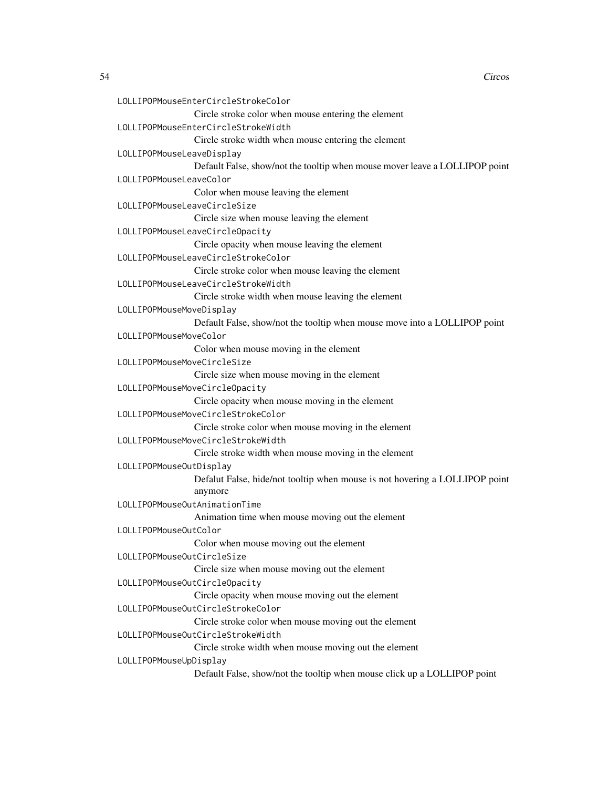```
LOLLIPOPMouseEnterCircleStrokeColor
                 Circle stroke color when mouse entering the element
LOLLIPOPMouseEnterCircleStrokeWidth
                 Circle stroke width when mouse entering the element
LOLLIPOPMouseLeaveDisplay
                 Default False, show/not the tooltip when mouse mover leave a LOLLIPOP point
LOLLIPOPMouseLeaveColor
                 Color when mouse leaving the element
LOLLIPOPMouseLeaveCircleSize
                 Circle size when mouse leaving the element
LOLLIPOPMouseLeaveCircleOpacity
                 Circle opacity when mouse leaving the element
LOLLIPOPMouseLeaveCircleStrokeColor
                 Circle stroke color when mouse leaving the element
LOLLIPOPMouseLeaveCircleStrokeWidth
                 Circle stroke width when mouse leaving the element
LOLLIPOPMouseMoveDisplay
                 Default False, show/not the tooltip when mouse move into a LOLLIPOP point
LOLLIPOPMouseMoveColor
                 Color when mouse moving in the element
LOLLIPOPMouseMoveCircleSize
                 Circle size when mouse moving in the element
LOLLIPOPMouseMoveCircleOpacity
                 Circle opacity when mouse moving in the element
LOLLIPOPMouseMoveCircleStrokeColor
                 Circle stroke color when mouse moving in the element
LOLLIPOPMouseMoveCircleStrokeWidth
                 Circle stroke width when mouse moving in the element
LOLLIPOPMouseOutDisplay
                 Defalut False, hide/not tooltip when mouse is not hovering a LOLLIPOP point
                 anymore
LOLLIPOPMouseOutAnimationTime
                 Animation time when mouse moving out the element
LOLLIPOPMouseOutColor
                 Color when mouse moving out the element
LOLLIPOPMouseOutCircleSize
                 Circle size when mouse moving out the element
LOLLIPOPMouseOutCircleOpacity
                 Circle opacity when mouse moving out the element
LOLLIPOPMouseOutCircleStrokeColor
                 Circle stroke color when mouse moving out the element
LOLLIPOPMouseOutCircleStrokeWidth
                 Circle stroke width when mouse moving out the element
LOLLIPOPMouseUpDisplay
                 Default False, show/not the tooltip when mouse click up a LOLLIPOP point
```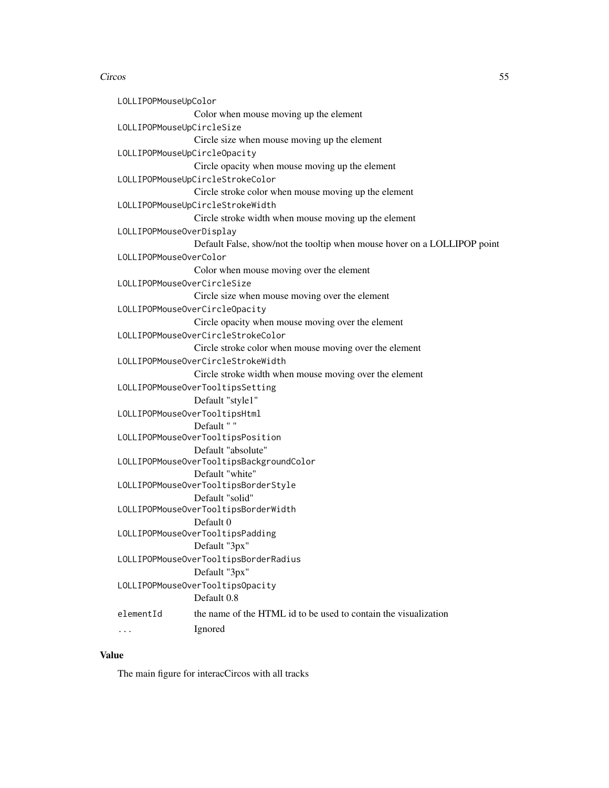LOLLIPOPMouseUpColor Color when mouse moving up the element LOLLIPOPMouseUpCircleSize Circle size when mouse moving up the element LOLLIPOPMouseUpCircleOpacity Circle opacity when mouse moving up the element LOLLIPOPMouseUpCircleStrokeColor Circle stroke color when mouse moving up the element LOLLIPOPMouseUpCircleStrokeWidth Circle stroke width when mouse moving up the element LOLLIPOPMouseOverDisplay Default False, show/not the tooltip when mouse hover on a LOLLIPOP point LOLLIPOPMouseOverColor Color when mouse moving over the element LOLLIPOPMouseOverCircleSize Circle size when mouse moving over the element LOLLIPOPMouseOverCircleOpacity Circle opacity when mouse moving over the element LOLLIPOPMouseOverCircleStrokeColor Circle stroke color when mouse moving over the element LOLLIPOPMouseOverCircleStrokeWidth Circle stroke width when mouse moving over the element LOLLIPOPMouseOverTooltipsSetting Default "style1" LOLLIPOPMouseOverTooltipsHtml Default " " LOLLIPOPMouseOverTooltipsPosition Default "absolute" LOLLIPOPMouseOverTooltipsBackgroundColor Default "white" LOLLIPOPMouseOverTooltipsBorderStyle Default "solid" LOLLIPOPMouseOverTooltipsBorderWidth Default 0 LOLLIPOPMouseOverTooltipsPadding Default "3px" LOLLIPOPMouseOverTooltipsBorderRadius Default "3px" LOLLIPOPMouseOverTooltipsOpacity Default 0.8 elementId the name of the HTML id to be used to contain the visualization ... Ignored

#### Value

The main figure for interacCircos with all tracks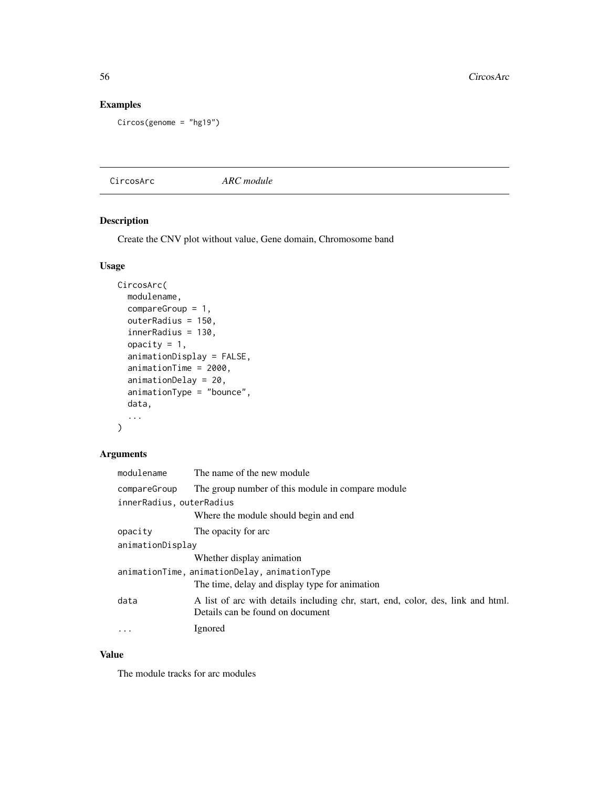# Examples

```
Circos(genome = "hg19")
```
CircosArc *ARC module*

## Description

Create the CNV plot without value, Gene domain, Chromosome band

## Usage

```
CircosArc(
  modulename,
  compareGroup = 1,
  outerRadius = 150,
  innerRadius = 130,
  opacity = 1,
  animationDisplay = FALSE,
  animationTime = 2000,
  animationDelay = 20,
  animationType = "bounce",
  data,
  ...
\mathcal{L}
```
## Arguments

| modulename               | The name of the new module                                                                                           |  |
|--------------------------|----------------------------------------------------------------------------------------------------------------------|--|
| compareGroup             | The group number of this module in compare module                                                                    |  |
| innerRadius, outerRadius |                                                                                                                      |  |
|                          | Where the module should begin and end                                                                                |  |
| opacity                  | The opacity for arc                                                                                                  |  |
| animationDisplay         |                                                                                                                      |  |
|                          | Whether display animation                                                                                            |  |
|                          | animationTime, animationDelay, animationType                                                                         |  |
|                          | The time, delay and display type for animation                                                                       |  |
| data                     | A list of arc with details including chr, start, end, color, des, link and html.<br>Details can be found on document |  |
| $\ddotsc$                | Ignored                                                                                                              |  |

### Value

The module tracks for arc modules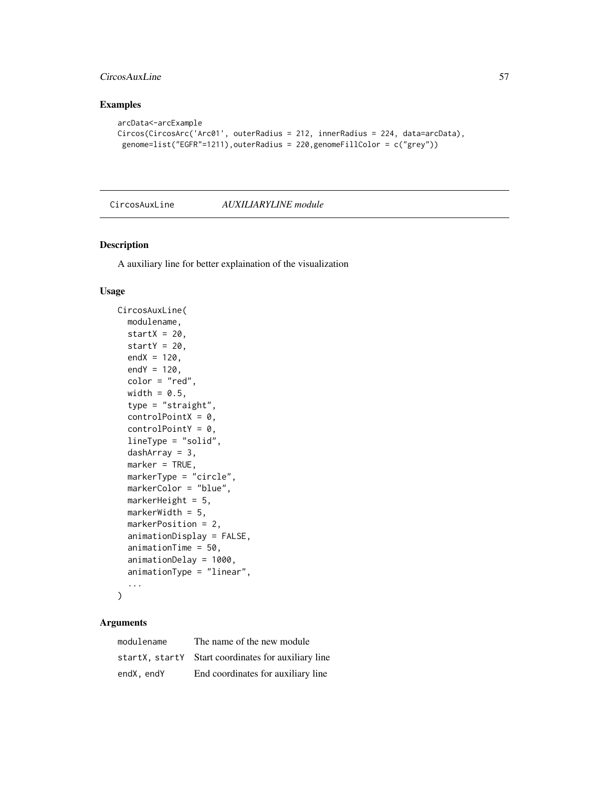## CircosAuxLine 57

## Examples

```
arcData<-arcExample
Circos(CircosArc('Arc01', outerRadius = 212, innerRadius = 224, data=arcData),
 genome=list("EGFR"=1211),outerRadius = 220,genomeFillColor = c("grey"))
```
CircosAuxLine *AUXILIARYLINE module*

### Description

A auxiliary line for better explaination of the visualization

#### Usage

```
CircosAuxLine(
 modulename,
  startX = 20,
  startY = 20,
  endX = 120,
  endY = 120,
  color = "red",
  width = 0.5,
  type = "straight",
  controlPointX = 0,
  controlPointY = 0,lineType = "solid",
  dashArray = 3,
  marker = TRUE,
  markerType = "circle",
  markerColor = "blue",
 markerHeight = 5,
 markerWidth = 5,
 markerPosition = 2,
  animationDisplay = FALSE,
  animationTime = 50,
  animationDelay = 1000,
  animationType = "linear",
  ...
)
```

| modulename | The name of the new module                          |
|------------|-----------------------------------------------------|
|            | startX, startY Start coordinates for auxiliary line |
| endX, endY | End coordinates for auxiliary line                  |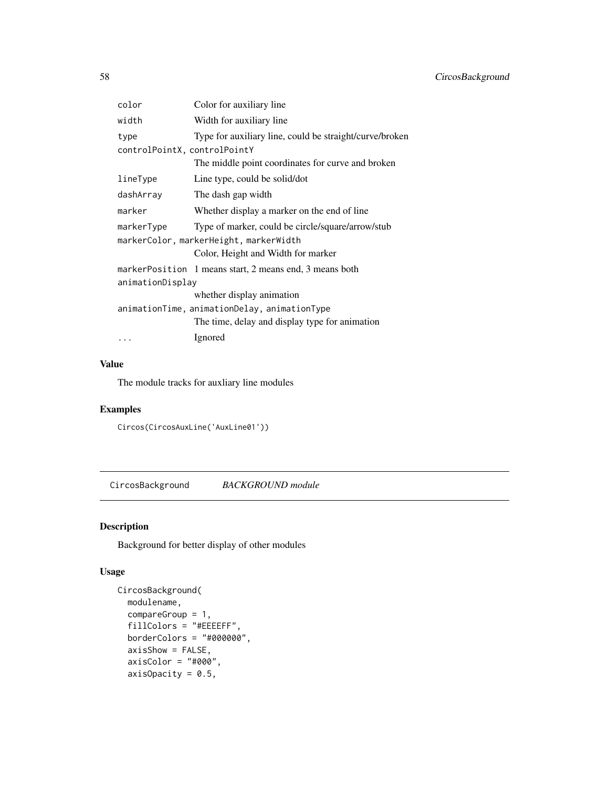| color                                  | Color for auxiliary line                                |  |
|----------------------------------------|---------------------------------------------------------|--|
| width                                  | Width for auxiliary line                                |  |
| type                                   | Type for auxiliary line, could be straight/curve/broken |  |
| controlPointX, controlPointY           |                                                         |  |
|                                        | The middle point coordinates for curve and broken       |  |
| lineType                               | Line type, could be solid/dot                           |  |
| dashArray                              | The dash gap width                                      |  |
| marker                                 | Whether display a marker on the end of line             |  |
| markerType                             | Type of marker, could be circle/square/arrow/stub       |  |
| markerColor, markerHeight, markerWidth |                                                         |  |
|                                        | Color, Height and Width for marker                      |  |
|                                        | markerPosition 1 means start, 2 means end, 3 means both |  |
| animationDisplay                       |                                                         |  |
|                                        | whether display animation                               |  |
|                                        | animationTime, animationDelay, animationType            |  |
|                                        | The time, delay and display type for animation          |  |
|                                        | Ignored                                                 |  |

# Value

The module tracks for auxliary line modules

## Examples

Circos(CircosAuxLine('AuxLine01'))

CircosBackground *BACKGROUND module*

# Description

Background for better display of other modules

## Usage

```
CircosBackground(
 modulename,
 compareGroup = 1,
 fillColors = "#EEEEFF",
 borderColors = "#000000",
 axisShow = FALSE,
 axisColor = "#000",
 axisOpacity = 0.5,
```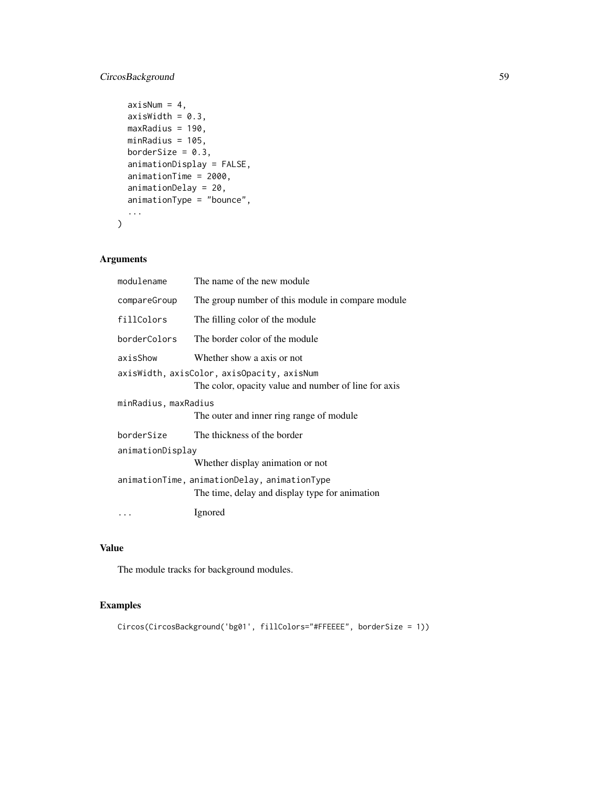# CircosBackground 59

```
axisNum = 4,
 axisWidth = 0.3,
 maxRadius = 190,minRadius = 105,
 borderSize = 0.3,
  animationDisplay = FALSE,
  animationTime = 2000,
  animationDelay = 20,
  animationType = "bounce",
  ...
\mathcal{L}
```
# Arguments

| modulename           | The name of the new module                                                                         |  |
|----------------------|----------------------------------------------------------------------------------------------------|--|
| compareGroup         | The group number of this module in compare module                                                  |  |
| fillColors           | The filling color of the module                                                                    |  |
| borderColors         | The border color of the module                                                                     |  |
| axisShow             | Whether show a axis or not                                                                         |  |
|                      | axisWidth, axisColor, axisOpacity, axisNum<br>The color, opacity value and number of line for axis |  |
| minRadius, maxRadius | The outer and inner ring range of module                                                           |  |
| borderSize           | The thickness of the border                                                                        |  |
| animationDisplay     |                                                                                                    |  |
|                      | Whether display animation or not                                                                   |  |
|                      | animationTime, animationDelay, animationType<br>The time, delay and display type for animation     |  |
|                      | Ignored                                                                                            |  |
|                      |                                                                                                    |  |

# Value

The module tracks for background modules.

## Examples

```
Circos(CircosBackground('bg01', fillColors="#FFEEEE", borderSize = 1))
```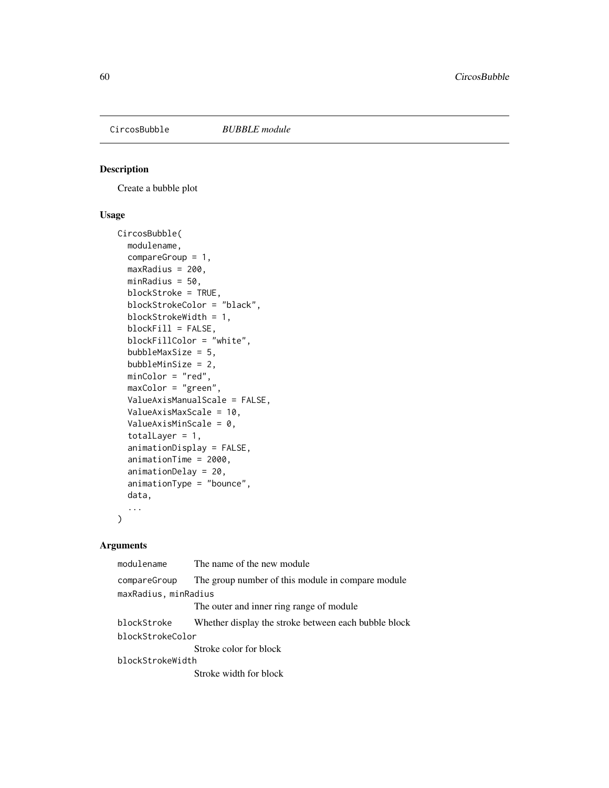## Description

Create a bubble plot

## Usage

```
CircosBubble(
  modulename,
  compareGroup = 1,
 maxRadius = 200,
 minRadius = 50,
 blockStroke = TRUE,
 blockStrokeColor = "black",
 blockStrokeWidth = 1,
 blockFill = FALSE,
  blockFillColor = "white",
  bubbleMaxSize = 5,
  bubbleMinSize = 2,
 minColor = "red",
 maxColor = "green",
  ValueAxisManualScale = FALSE,
  ValueAxisMaxScale = 10,
  ValueAxisMinScale = 0,
  totalLayer = 1,animationDisplay = FALSE,
  animationTime = 2000,
  animationDelay = 20,
  animationType = "bounce",
  data,
  ...
\mathcal{L}
```

| modulename           | The name of the new module                           |  |
|----------------------|------------------------------------------------------|--|
| compareGroup         | The group number of this module in compare module    |  |
| maxRadius, minRadius |                                                      |  |
|                      | The outer and inner ring range of module             |  |
| blockStroke          | Whether display the stroke between each bubble block |  |
| blockStrokeColor     |                                                      |  |
|                      | Stroke color for block                               |  |
| blockStrokeWidth     |                                                      |  |
|                      | Stroke width for block                               |  |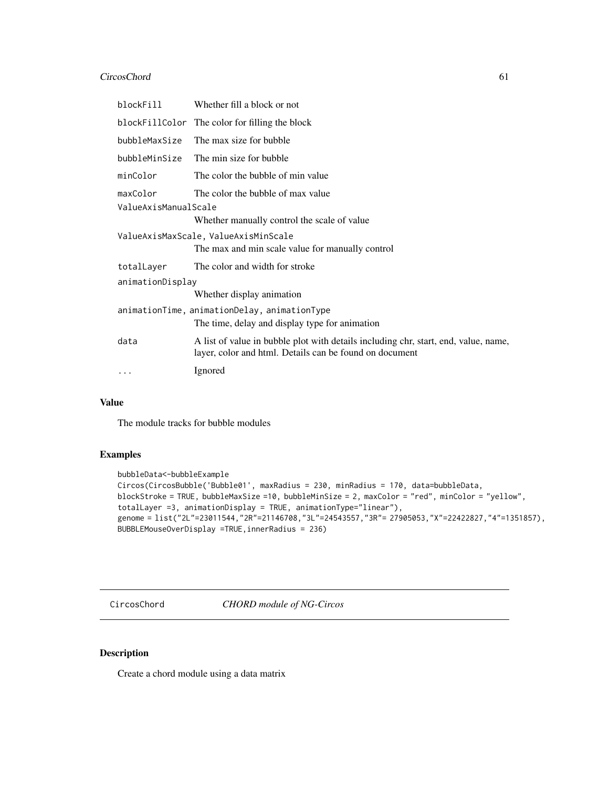### CircosChord 61

| blockFill                                                                                      | Whether fill a block or not                                                                                                                    |  |
|------------------------------------------------------------------------------------------------|------------------------------------------------------------------------------------------------------------------------------------------------|--|
|                                                                                                | blockFillColor The color for filling the block                                                                                                 |  |
| bubbleMaxSize                                                                                  | The max size for bubble                                                                                                                        |  |
| bubbleMinSize                                                                                  | The min size for bubble                                                                                                                        |  |
| minColor                                                                                       | The color the bubble of min value                                                                                                              |  |
| maxColor                                                                                       | The color the bubble of max value<br>ValueAxisManualScale<br>Whether manually control the scale of value                                       |  |
| ValueAxisMaxScale, ValueAxisMinScale<br>The max and min scale value for manually control       |                                                                                                                                                |  |
| totalLayer                                                                                     | The color and width for stroke                                                                                                                 |  |
| animationDisplay                                                                               |                                                                                                                                                |  |
|                                                                                                | Whether display animation                                                                                                                      |  |
| animationTime, animationDelay, animationType<br>The time, delay and display type for animation |                                                                                                                                                |  |
| data                                                                                           | A list of value in bubble plot with details including chr, start, end, value, name,<br>layer, color and html. Details can be found on document |  |
|                                                                                                | Ignored                                                                                                                                        |  |

#### Value

The module tracks for bubble modules

### Examples

```
bubbleData<-bubbleExample
Circos(CircosBubble('Bubble01', maxRadius = 230, minRadius = 170, data=bubbleData,
blockStroke = TRUE, bubbleMaxSize =10, bubbleMinSize = 2, maxColor = "red", minColor = "yellow",
totalLayer =3, animationDisplay = TRUE, animationType="linear"),
genome = list("2L"=23011544,"2R"=21146708,"3L"=24543557,"3R"= 27905053,"X"=22422827,"4"=1351857),
BUBBLEMouseOverDisplay =TRUE,innerRadius = 236)
```
CircosChord *CHORD module of NG-Circos*

### Description

Create a chord module using a data matrix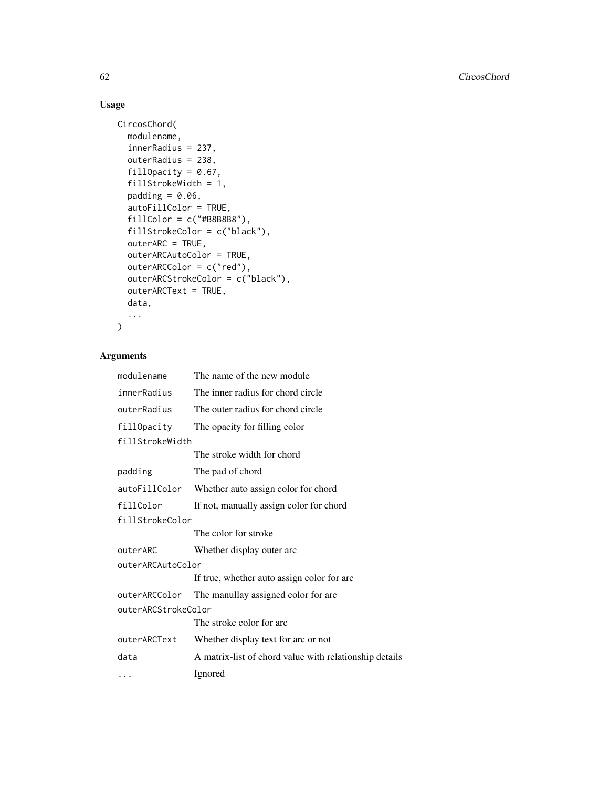# Usage

```
CircosChord(
  modulename,
  innerRadius = 237,
  outerRadius = 238,
  fillOpacity = 0.67,
  fillStrokeWidth = 1,
  padding = 0.06,
  autoFillColor = TRUE,
  fillColor = c("#B8B8B8"),
  fillStrokeColor = c("black"),
  outerARC = TRUE,
  outerARCAutoColor = TRUE,
  outerARCColor = c("red"),
  outerARCStrokeColor = c("black"),
  outerARCText = TRUE,
  data,
  ...
\mathcal{L}
```

| modulename          | The name of the new module                             |  |
|---------------------|--------------------------------------------------------|--|
| innerRadius         | The inner radius for chord circle                      |  |
| outerRadius         | The outer radius for chord circle                      |  |
| fillOpacity         | The opacity for filling color                          |  |
| fillStrokeWidth     |                                                        |  |
|                     | The stroke width for chord                             |  |
| padding             | The pad of chord                                       |  |
| autoFillColor       | Whether auto assign color for chord                    |  |
| fillColor           | If not, manually assign color for chord                |  |
| fillStrokeColor     |                                                        |  |
|                     | The color for stroke                                   |  |
| outerARC            | Whether display outer arc                              |  |
| outerARCAutoColor   |                                                        |  |
|                     | If true, whether auto assign color for arc             |  |
| outerARCColor       | The manullay assigned color for arc                    |  |
| outerARCStrokeColor |                                                        |  |
|                     | The stroke color for arc                               |  |
| outerARCText        | Whether display text for arc or not                    |  |
| data                | A matrix-list of chord value with relationship details |  |
|                     | Ignored                                                |  |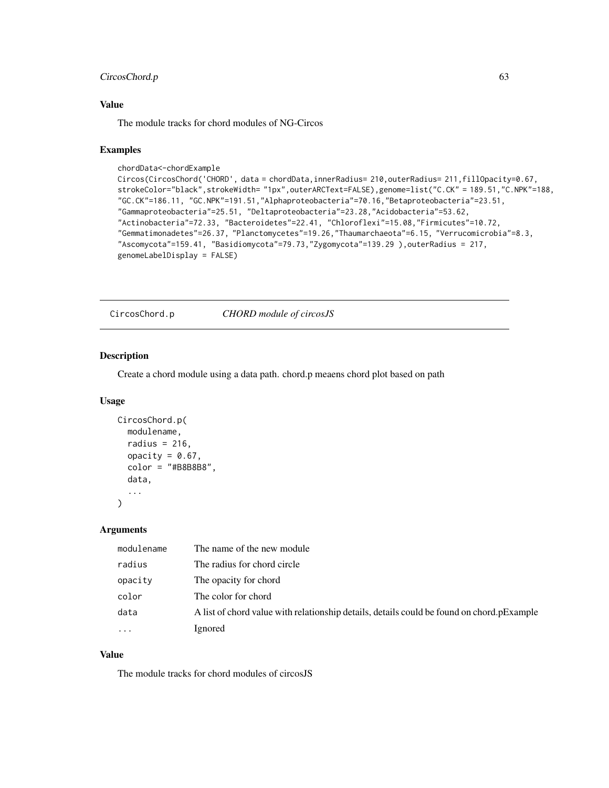## CircosChord.p 63

### Value

The module tracks for chord modules of NG-Circos

#### Examples

```
chordData<-chordExample
Circos(CircosChord('CHORD', data = chordData,innerRadius= 210,outerRadius= 211,fillOpacity=0.67,
strokeColor="black",strokeWidth= "1px",outerARCText=FALSE),genome=list("C.CK" = 189.51,"C.NPK"=188,
"GC.CK"=186.11, "GC.NPK"=191.51,"Alphaproteobacteria"=70.16,"Betaproteobacteria"=23.51,
"Gammaproteobacteria"=25.51, "Deltaproteobacteria"=23.28,"Acidobacteria"=53.62,
"Actinobacteria"=72.33, "Bacteroidetes"=22.41, "Chloroflexi"=15.08,"Firmicutes"=10.72,
"Gemmatimonadetes"=26.37, "Planctomycetes"=19.26,"Thaumarchaeota"=6.15, "Verrucomicrobia"=8.3,
"Ascomycota"=159.41, "Basidiomycota"=79.73,"Zygomycota"=139.29 ),outerRadius = 217,
genomeLabelDisplay = FALSE)
```
CircosChord.p *CHORD module of circosJS*

#### Description

Create a chord module using a data path. chord.p meaens chord plot based on path

#### Usage

```
CircosChord.p(
  modulename,
  radius = 216,
  opacity = 0.67,color = "#B8B8B8",
  data,
  ...
\mathcal{L}
```
#### Arguments

| modulename | The name of the new module                                                                |
|------------|-------------------------------------------------------------------------------------------|
| radius     | The radius for chord circle                                                               |
| opacity    | The opacity for chord                                                                     |
| color      | The color for chord                                                                       |
| data       | A list of chord value with relationship details, details could be found on chord.pExample |
| $\cdot$    | Ignored                                                                                   |

#### Value

The module tracks for chord modules of circosJS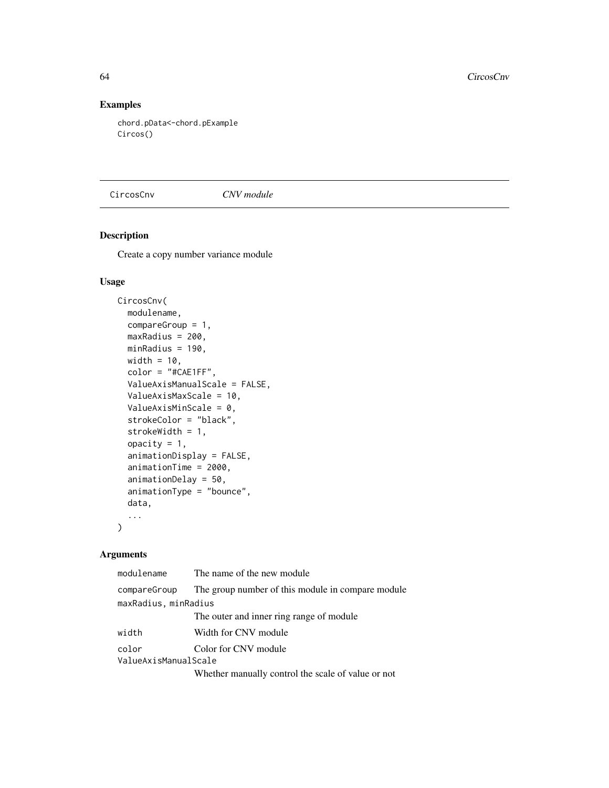## Examples

chord.pData<-chord.pExample Circos()

CircosCnv *CNV module*

# Description

Create a copy number variance module

## Usage

```
CircosCnv(
  modulename,
  compareGroup = 1,
 maxRadius = 200,
 minRadius = 190,
 width = 10,
  color = "#CAE1FF",
  ValueAxisManualScale = FALSE,
  ValueAxisMaxScale = 10,
  ValueAxisMinScale = 0,
  strokeColor = "black",
  strokeWidth = 1,
  opacity = 1,
  animationDisplay = FALSE,
  animationTime = 2000,
  animationDelay = 50,
  animationType = "bounce",
  data,
  ...
\mathcal{L}
```

| modulename           | The name of the new module                         |  |
|----------------------|----------------------------------------------------|--|
| compareGroup         | The group number of this module in compare module  |  |
| maxRadius, minRadius |                                                    |  |
|                      | The outer and inner ring range of module           |  |
| width                | Width for CNV module                               |  |
| color                | Color for CNV module                               |  |
| ValueAxisManualScale |                                                    |  |
|                      | Whether manually control the scale of value or not |  |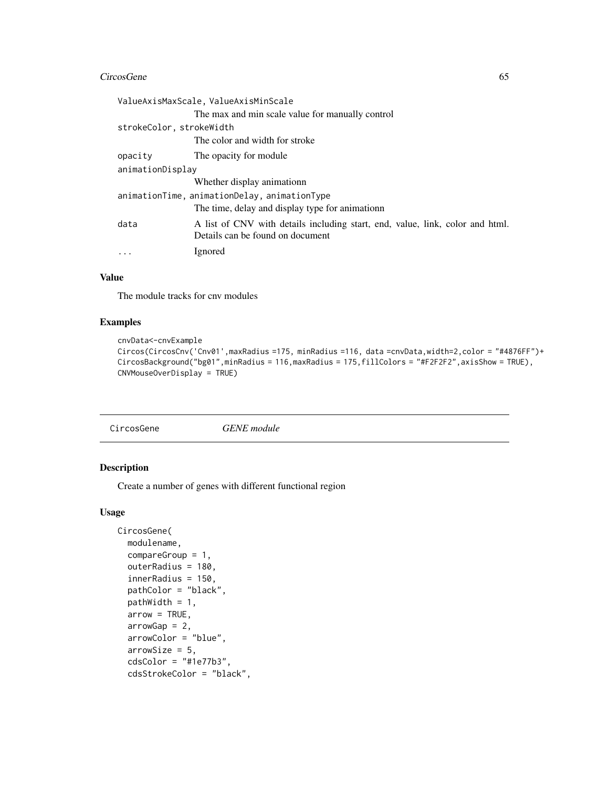#### CircosGene 65

|                                              | ValueAxisMaxScale, ValueAxisMinScale                                                                              |  |
|----------------------------------------------|-------------------------------------------------------------------------------------------------------------------|--|
|                                              | The max and min scale value for manually control                                                                  |  |
| strokeColor, strokeWidth                     |                                                                                                                   |  |
|                                              | The color and width for stroke                                                                                    |  |
| opacity                                      | The opacity for module                                                                                            |  |
| animationDisplay                             |                                                                                                                   |  |
|                                              | Whether display animationn                                                                                        |  |
| animationTime, animationDelay, animationType |                                                                                                                   |  |
|                                              | The time, delay and display type for animation The time,                                                          |  |
| data                                         | A list of CNV with details including start, end, value, link, color and html.<br>Details can be found on document |  |
|                                              | Ignored                                                                                                           |  |

### Value

The module tracks for cnv modules

## Examples

```
cnvData<-cnvExample
Circos(CircosCnv('Cnv01',maxRadius =175, minRadius =116, data =cnvData,width=2,color = "#4876FF")+
CircosBackground("bg01",minRadius = 116,maxRadius = 175,fillColors = "#F2F2F2",axisShow = TRUE),
CNVMouseOverDisplay = TRUE)
```
CircosGene *GENE module*

### Description

Create a number of genes with different functional region

#### Usage

```
CircosGene(
 modulename,
  compareGroup = 1,
  outerRadius = 180,
  innerRadius = 150,
  pathColor = "black",
 pathWidth = 1,
  arrow = TRUE,arrowGap = 2,
  arrowColor = "blue",
  arrowSize = 5,
  cdsColor = "#1e77b3",
  cdsStrokeColor = "black",
```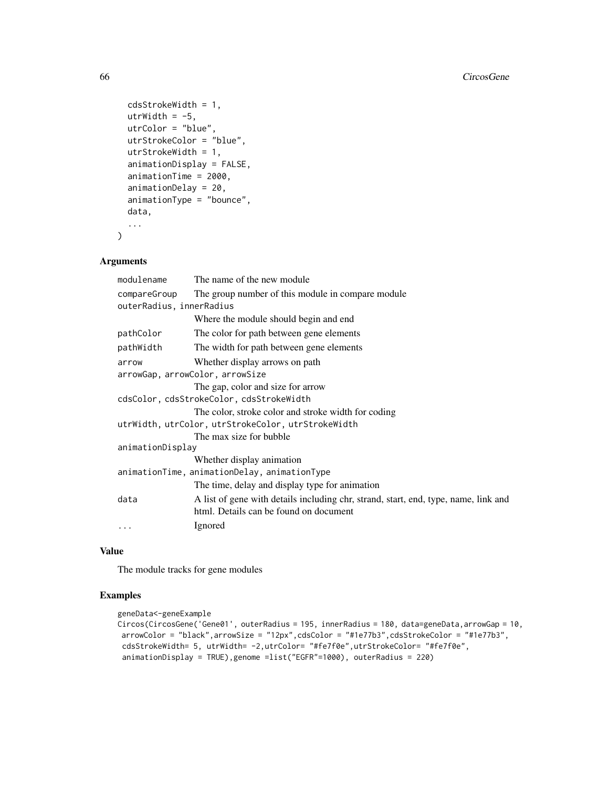```
cdsStrokeWidth = 1,
 utrWidth = -5,
 utrColor = "blue",
 utrStrokeColor = "blue",
  utrStrokeWidth = 1,
  animationDisplay = FALSE,
  animationTime = 2000,
  animationDelay = 20,
  animationType = "bounce",
  data,
  ...
\mathcal{L}
```
## Arguments

| modulename                                         | The name of the new module                                                                                                    |  |
|----------------------------------------------------|-------------------------------------------------------------------------------------------------------------------------------|--|
| compareGroup                                       | The group number of this module in compare module                                                                             |  |
| outerRadius, innerRadius                           |                                                                                                                               |  |
|                                                    | Where the module should begin and end                                                                                         |  |
| pathColor                                          | The color for path between gene elements                                                                                      |  |
| pathWidth                                          | The width for path between gene elements                                                                                      |  |
| arrow                                              | Whether display arrows on path                                                                                                |  |
| arrowGap, arrowColor, arrowSize                    |                                                                                                                               |  |
|                                                    | The gap, color and size for arrow                                                                                             |  |
| cdsColor, cdsStrokeColor, cdsStrokeWidth           |                                                                                                                               |  |
|                                                    | The color, stroke color and stroke width for coding                                                                           |  |
| utrWidth, utrColor, utrStrokeColor, utrStrokeWidth |                                                                                                                               |  |
|                                                    | The max size for bubble                                                                                                       |  |
| animationDisplay                                   |                                                                                                                               |  |
|                                                    | Whether display animation                                                                                                     |  |
|                                                    | animationTime, animationDelay, animationType                                                                                  |  |
|                                                    | The time, delay and display type for animation                                                                                |  |
| data                                               | A list of gene with details including chr, strand, start, end, type, name, link and<br>html. Details can be found on document |  |
| $\cdots$                                           | Ignored                                                                                                                       |  |

#### Value

The module tracks for gene modules

## Examples

```
geneData<-geneExample
Circos(CircosGene('Gene01', outerRadius = 195, innerRadius = 180, data=geneData,arrowGap = 10,
arrowColor = "black",arrowSize = "12px",cdsColor = "#1e77b3",cdsStrokeColor = "#1e77b3",
cdsStrokeWidth= 5, utrWidth= -2,utrColor= "#fe7f0e",utrStrokeColor= "#fe7f0e",
animationDisplay = TRUE),genome =list("EGFR"=1000), outerRadius = 220)
```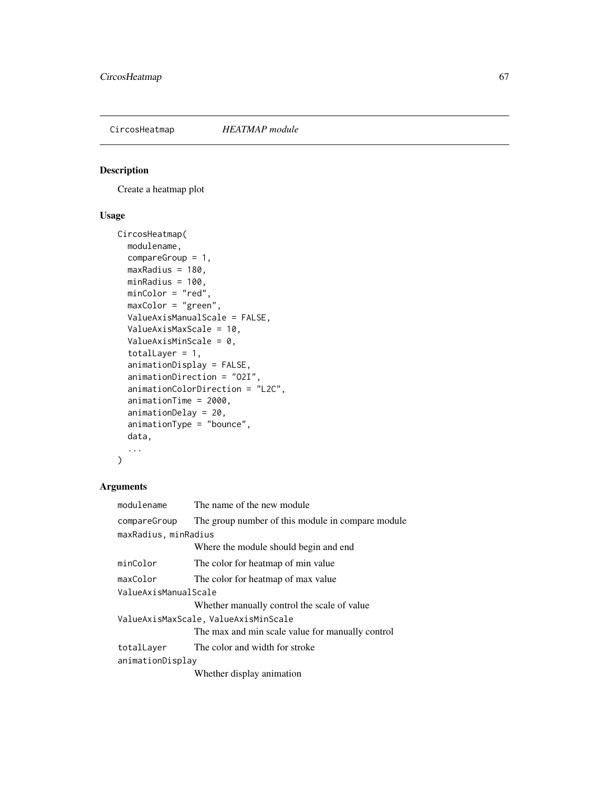## Description

Create a heatmap plot

## Usage

```
CircosHeatmap(
 modulename,
  compareGroup = 1,
 maxRadius = 180,
 minRadius = 100,
 minColor = "red",
 maxColor = "green",
 ValueAxisManualScale = FALSE,
  ValueAxisMaxScale = 10,
  ValueAxisMinScale = 0,
  totalLayer = 1,
  animationDisplay = FALSE,
  animationDirection = "O2I",
  animationColorDirection = "L2C",
  animationTime = 2000,
  animationDelay = 20,
  animationType = "bounce",
  data,
  ...
\mathcal{L}
```

| modulename                           | The name of the new module                        |  |
|--------------------------------------|---------------------------------------------------|--|
| compareGroup                         | The group number of this module in compare module |  |
| maxRadius, minRadius                 |                                                   |  |
|                                      | Where the module should begin and end             |  |
| minColor                             | The color for heatmap of min value                |  |
| maxColor                             | The color for heatmap of max value                |  |
| ValueAxisManualScale                 |                                                   |  |
|                                      | Whether manually control the scale of value       |  |
| ValueAxisMaxScale, ValueAxisMinScale |                                                   |  |
|                                      | The max and min scale value for manually control  |  |
| totalLayer                           | The color and width for stroke                    |  |
| animationDisplay                     |                                                   |  |
|                                      | Whether display animation                         |  |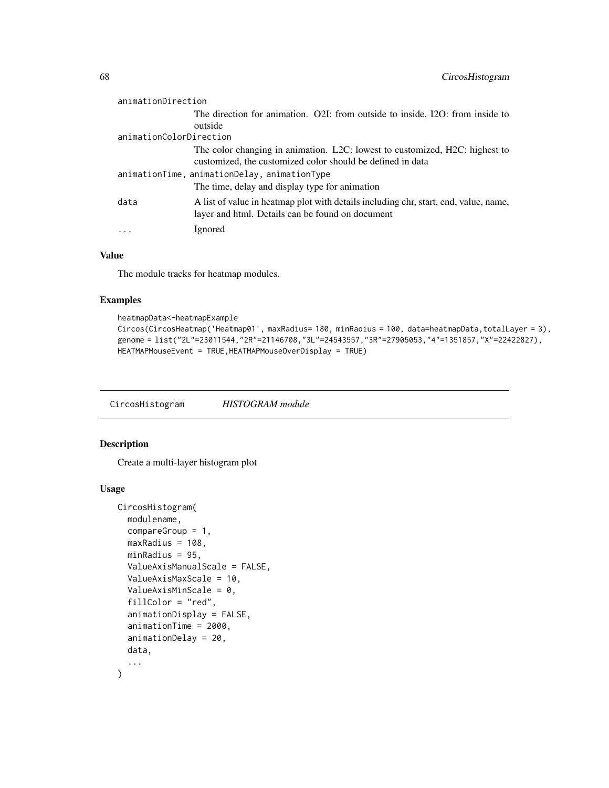| animationDirection                           |                                                                                                                                          |
|----------------------------------------------|------------------------------------------------------------------------------------------------------------------------------------------|
|                                              | The direction for animation. O21: from outside to inside, I2O: from inside to                                                            |
|                                              | outside                                                                                                                                  |
| animationColorDirection                      |                                                                                                                                          |
|                                              | The color changing in animation. L2C: lowest to customized, H2C: highest to                                                              |
|                                              | customized, the customized color should be defined in data                                                                               |
| animationTime, animationDelay, animationType |                                                                                                                                          |
|                                              | The time, delay and display type for animation                                                                                           |
| data                                         | A list of value in heatmap plot with details including chr, start, end, value, name,<br>layer and html. Details can be found on document |
|                                              | Ignored                                                                                                                                  |

### Value

The module tracks for heatmap modules.

## Examples

```
heatmapData<-heatmapExample
Circos(CircosHeatmap('Heatmap01', maxRadius= 180, minRadius = 100, data=heatmapData,totalLayer = 3),
genome = list("2L"=23011544,"2R"=21146708,"3L"=24543557,"3R"=27905053,"4"=1351857,"X"=22422827),
HEATMAPMouseEvent = TRUE,HEATMAPMouseOverDisplay = TRUE)
```
CircosHistogram *HISTOGRAM module*

### Description

Create a multi-layer histogram plot

#### Usage

```
CircosHistogram(
 modulename,
  compareGroup = 1,
 maxRadius = 108,
 minRadius = 95,
 ValueAxisManualScale = FALSE,
  ValueAxisMaxScale = 10,
  ValueAxisMinScale = 0,
  fillColor = "red",
  animationDisplay = FALSE,
  animationTime = 2000,
  animationDelay = 20,
 data,
  ...
\mathcal{E}
```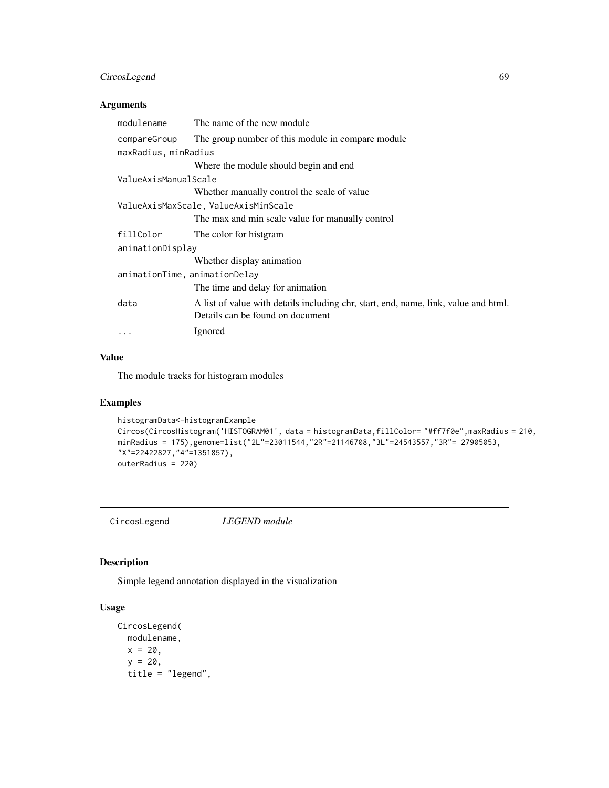## CircosLegend 69

### Arguments

| modulename                           | The name of the new module                                                                                              |  |
|--------------------------------------|-------------------------------------------------------------------------------------------------------------------------|--|
| compareGroup                         | The group number of this module in compare module                                                                       |  |
| maxRadius, minRadius                 |                                                                                                                         |  |
|                                      | Where the module should begin and end                                                                                   |  |
| ValueAxisManualScale                 |                                                                                                                         |  |
|                                      | Whether manually control the scale of value                                                                             |  |
| ValueAxisMaxScale, ValueAxisMinScale |                                                                                                                         |  |
|                                      | The max and min scale value for manually control                                                                        |  |
| fillColor                            | The color for histgram                                                                                                  |  |
| animationDisplay                     |                                                                                                                         |  |
|                                      | Whether display animation                                                                                               |  |
| animationTime, animationDelay        |                                                                                                                         |  |
|                                      | The time and delay for animation                                                                                        |  |
| data                                 | A list of value with details including chr, start, end, name, link, value and html.<br>Details can be found on document |  |
| $\cdots$                             | Ignored                                                                                                                 |  |

#### Value

The module tracks for histogram modules

## Examples

```
histogramData<-histogramExample
Circos(CircosHistogram('HISTOGRAM01', data = histogramData,fillColor= "#ff7f0e",maxRadius = 210,
minRadius = 175),genome=list("2L"=23011544,"2R"=21146708,"3L"=24543557,"3R"= 27905053,
"X"=22422827,"4"=1351857),
outerRadius = 220)
```
CircosLegend *LEGEND module*

#### Description

Simple legend annotation displayed in the visualization

## Usage

```
CircosLegend(
 modulename,
 x = 20,
 y = 20,
 title = "legend",
```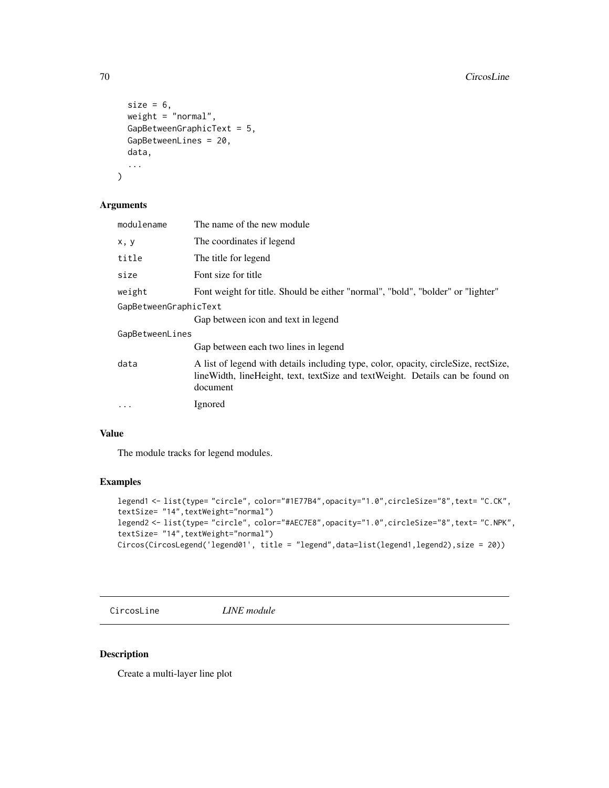```
size = 6,
 weight = "normal",
  GapBetweenGraphicText = 5,
 GapBetweenLines = 20,
 data,
  ...
\mathcal{L}
```
## Arguments

| modulename            | The name of the new module                                                                                                                                                           |
|-----------------------|--------------------------------------------------------------------------------------------------------------------------------------------------------------------------------------|
| x, y                  | The coordinates if legend                                                                                                                                                            |
| title                 | The title for legend                                                                                                                                                                 |
| size                  | Font size for title                                                                                                                                                                  |
| weight                | Font weight for title. Should be either "normal", "bold", "bolder" or "lighter"                                                                                                      |
| GapBetweenGraphicText |                                                                                                                                                                                      |
|                       | Gap between icon and text in legend                                                                                                                                                  |
| GapBetweenLines       |                                                                                                                                                                                      |
|                       | Gap between each two lines in legend                                                                                                                                                 |
| data                  | A list of legend with details including type, color, opacity, circleSize, rectSize,<br>line Width, line Height, text, text Size and text Weight. Details can be found on<br>document |
| $\ddotsc$             | Ignored                                                                                                                                                                              |
|                       |                                                                                                                                                                                      |

## Value

The module tracks for legend modules.

## Examples

```
legend1 <- list(type= "circle", color="#1E77B4",opacity="1.0",circleSize="8",text= "C.CK",
textSize= "14",textWeight="normal")
legend2 <- list(type= "circle", color="#AEC7E8",opacity="1.0",circleSize="8",text= "C.NPK",
textSize= "14",textWeight="normal")
Circos(CircosLegend('legend01', title = "legend",data=list(legend1,legend2),size = 20))
```
CircosLine *LINE module*

## Description

Create a multi-layer line plot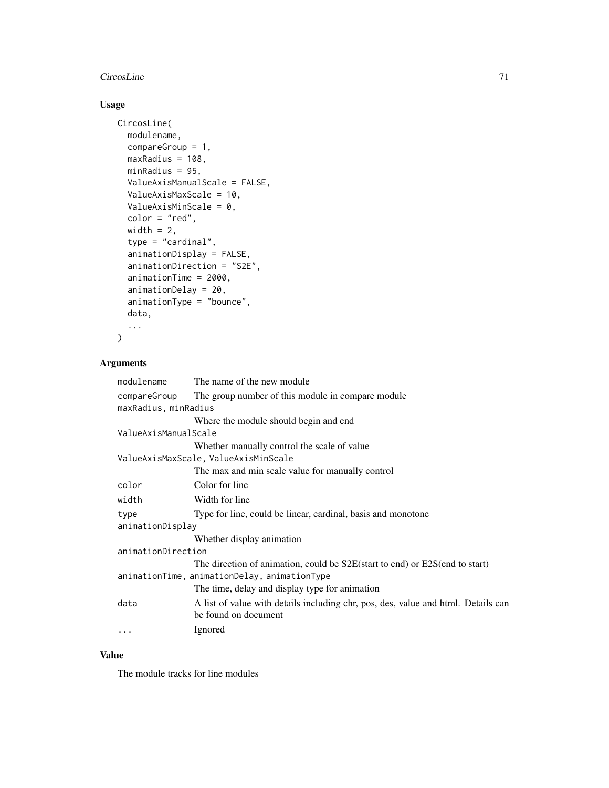# CircosLine 71

# Usage

```
CircosLine(
 modulename,
  compareGroup = 1,
 maxRadius = 108,
 minRadius = 95,
 ValueAxisManualScale = FALSE,
  ValueAxisMaxScale = 10,
  ValueAxisMinScale = 0,
  color = "red",
  width = 2,
  type = "cardinal",
  animationDisplay = FALSE,
  animationDirection = "S2E",
  animationTime = 2000,
  animationDelay = 20,
  animationType = "bounce",
  data,
  ...
```
 $\mathcal{L}$ 

## Arguments

| The name of the new module                                                        |  |
|-----------------------------------------------------------------------------------|--|
| The group number of this module in compare module                                 |  |
| maxRadius, minRadius                                                              |  |
| Where the module should begin and end                                             |  |
| ValueAxisManualScale                                                              |  |
| Whether manually control the scale of value                                       |  |
| ValueAxisMaxScale, ValueAxisMinScale                                              |  |
| The max and min scale value for manually control                                  |  |
| Color for line                                                                    |  |
| Width for line                                                                    |  |
| Type for line, could be linear, cardinal, basis and monotone                      |  |
| animationDisplay                                                                  |  |
| Whether display animation                                                         |  |
| animationDirection                                                                |  |
| The direction of animation, could be S2E(start to end) or E2S(end to start)       |  |
| animationTime, animationDelay, animationType                                      |  |
| The time, delay and display type for animation                                    |  |
| A list of value with details including chr, pos, des, value and html. Details can |  |
| be found on document                                                              |  |
| Ignored                                                                           |  |
|                                                                                   |  |

### Value

The module tracks for line modules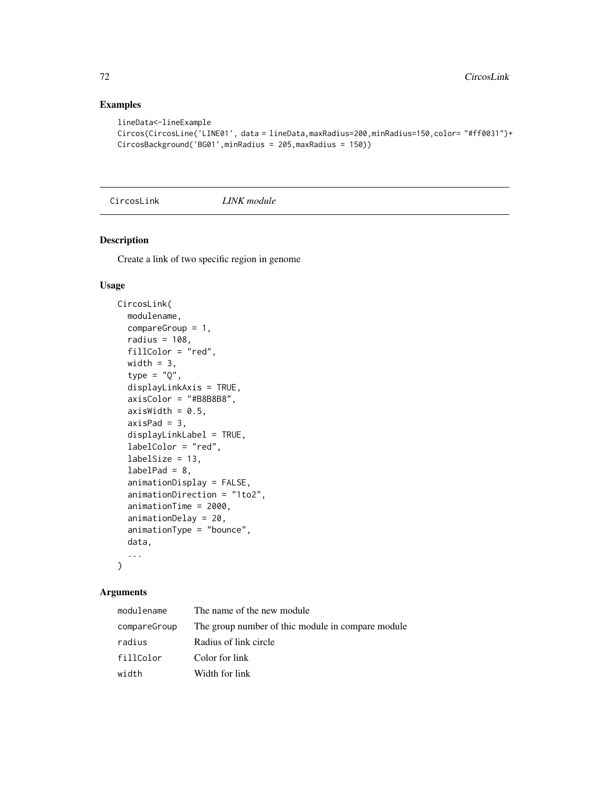## Examples

```
lineData<-lineExample
Circos(CircosLine('LINE01', data = lineData,maxRadius=200,minRadius=150,color= "#ff0031")+
CircosBackground('BG01',minRadius = 205,maxRadius = 150))
```
CircosLink *LINK module*

# Description

Create a link of two specific region in genome

## Usage

```
CircosLink(
  modulename,
  compareGroup = 1,
  radius = 108,
  fillColor = "red",
  width = 3,
  type = "Q",displayLinkAxis = TRUE,
  axisColor = "#B8B8B8",
  axisWidth = 0.5,
  axisPad = 3,displayLinkLabel = TRUE,
  labelColor = "red",
  labelSize = 13,labelPad = 8,animationDisplay = FALSE,
  animationDirection = "1to2",
  animationTime = 2000,
  animationDelay = 20,
  animationType = "bounce",
  data,
  ...
\mathcal{L}
```

| modulename   | The name of the new module                        |
|--------------|---------------------------------------------------|
| compareGroup | The group number of thic module in compare module |
| radius       | Radius of link circle                             |
| fillColor    | Color for link                                    |
| width        | Width for link                                    |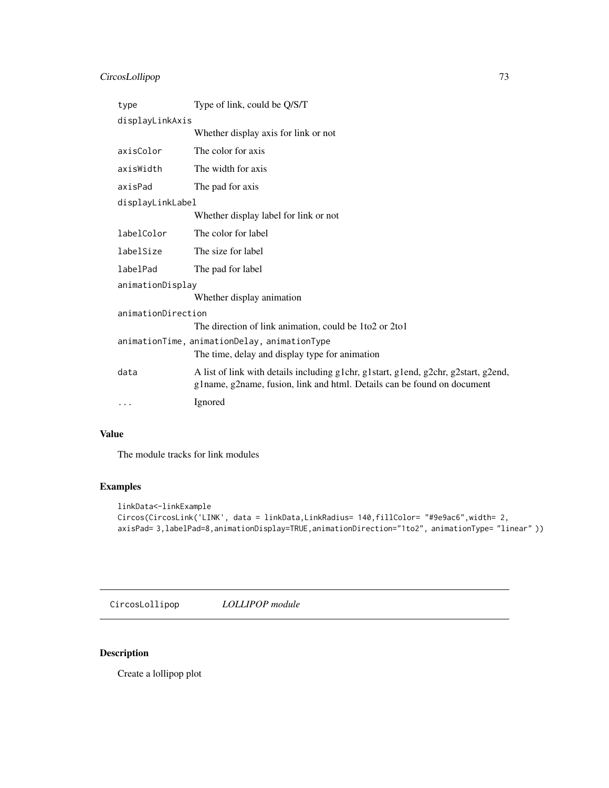# <span id="page-72-0"></span>CircosLollipop 73

| type                                         | Type of link, could be Q/S/T                                                                                                                                   |  |
|----------------------------------------------|----------------------------------------------------------------------------------------------------------------------------------------------------------------|--|
| displayLinkAxis                              |                                                                                                                                                                |  |
|                                              | Whether display axis for link or not                                                                                                                           |  |
| axisColor                                    | The color for axis                                                                                                                                             |  |
| axisWidth                                    | The width for axis                                                                                                                                             |  |
| axisPad                                      | The pad for axis                                                                                                                                               |  |
| displayLinkLabel                             |                                                                                                                                                                |  |
|                                              | Whether display label for link or not                                                                                                                          |  |
| labelColor                                   | The color for label                                                                                                                                            |  |
| labelSize                                    | The size for label                                                                                                                                             |  |
| labelPad                                     | The pad for label                                                                                                                                              |  |
| animationDisplay                             |                                                                                                                                                                |  |
|                                              | Whether display animation                                                                                                                                      |  |
| animationDirection                           |                                                                                                                                                                |  |
|                                              | The direction of link animation, could be 1to2 or 2to1                                                                                                         |  |
| animationTime, animationDelay, animationType |                                                                                                                                                                |  |
|                                              | The time, delay and display type for animation                                                                                                                 |  |
| data                                         | A list of link with details including g1chr, g1start, g1end, g2chr, g2start, g2end,<br>g1name, g2name, fusion, link and html. Details can be found on document |  |
| $\cdots$                                     | Ignored                                                                                                                                                        |  |

# Value

The module tracks for link modules

# Examples

```
linkData<-linkExample
Circos(CircosLink('LINK', data = linkData,LinkRadius= 140,fillColor= "#9e9ac6",width= 2,
axisPad= 3,labelPad=8,animationDisplay=TRUE,animationDirection="1to2", animationType= "linear" ))
```
CircosLollipop *LOLLIPOP module*

# Description

Create a lollipop plot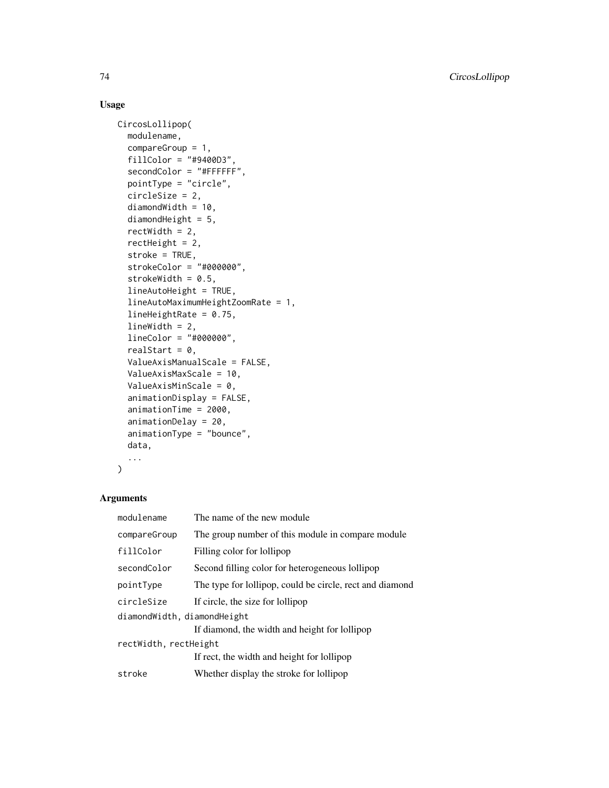# Usage

```
CircosLollipop(
  modulename,
  compareGroup = 1,
  fillColor = "#9400D3",
  secondColor = "#FFFFFF",
  pointType = "circle",
  circleSize = 2,
  diamondWidth = 10,
  diamondHeight = 5,
  rectWidth = 2,
  rectHeight = 2,
  stroke = TRUE,
  strokeColor = "#000000",
  strokeWidth = 0.5,
  lineAutoHeight = TRUE,
  lineAutoMaximumHeightZoomRate = 1,
  lineHeightRate = 0.75,
  lineWidth = 2,
  lineColor = "#000000",
  realStart = 0,ValueAxisManualScale = FALSE,
  ValueAxisMaxScale = 10,
  ValueAxisMinScale = 0,
  animationDisplay = FALSE,
  animationTime = 2000,
  animationDelay = 20,
  animationType = "bounce",
  data,
  ...
\mathcal{L}
```
# Arguments

| modulename                  | The name of the new module                               |  |
|-----------------------------|----------------------------------------------------------|--|
| compareGroup                | The group number of this module in compare module        |  |
| fillColor                   | Filling color for lollipop                               |  |
| secondColor                 | Second filling color for heterogeneous lollipop          |  |
| pointType                   | The type for lollipop, could be circle, rect and diamond |  |
| circleSize                  | If circle, the size for lollipop                         |  |
| diamondWidth, diamondHeight |                                                          |  |
|                             | If diamond, the width and height for lollipop            |  |
| rectWidth, rectHeight       |                                                          |  |
|                             | If rect, the width and height for lollipop               |  |
| stroke                      | Whether display the stroke for lollipop                  |  |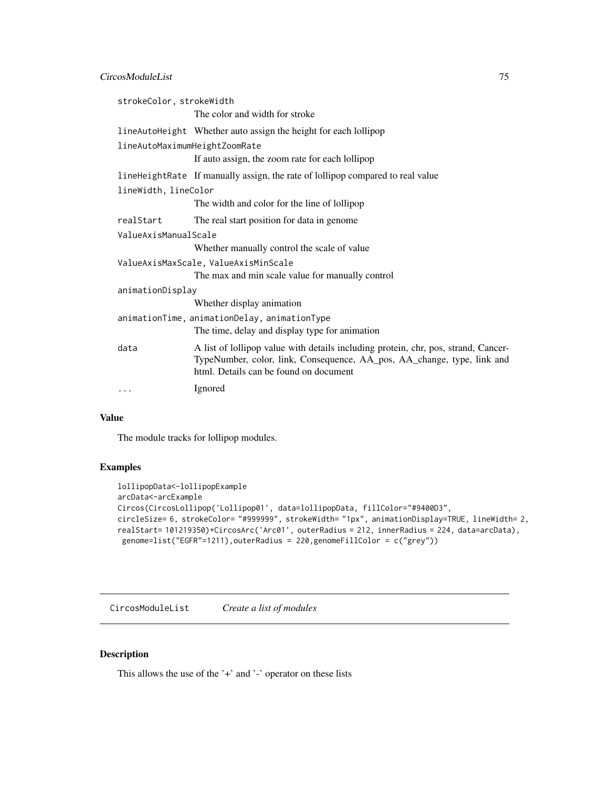# <span id="page-74-0"></span>CircosModuleList 75

| strokeColor, strokeWidth                     |                                                                                                                                                                                                         |  |
|----------------------------------------------|---------------------------------------------------------------------------------------------------------------------------------------------------------------------------------------------------------|--|
|                                              | The color and width for stroke                                                                                                                                                                          |  |
|                                              | lineAutoHeight Whether auto assign the height for each lollipop                                                                                                                                         |  |
| lineAutoMaximumHeightZoomRate                |                                                                                                                                                                                                         |  |
|                                              | If auto assign, the zoom rate for each lollipop                                                                                                                                                         |  |
|                                              | lineHeightRate If manually assign, the rate of lollipop compared to real value                                                                                                                          |  |
| lineWidth, lineColor                         |                                                                                                                                                                                                         |  |
|                                              | The width and color for the line of lollipop                                                                                                                                                            |  |
| realStart                                    | The real start position for data in genome.                                                                                                                                                             |  |
| ValueAxisManualScale                         |                                                                                                                                                                                                         |  |
|                                              | Whether manually control the scale of value                                                                                                                                                             |  |
|                                              | ValueAxisMaxScale, ValueAxisMinScale                                                                                                                                                                    |  |
|                                              | The max and min scale value for manually control                                                                                                                                                        |  |
| animationDisplay                             |                                                                                                                                                                                                         |  |
|                                              | Whether display animation                                                                                                                                                                               |  |
| animationTime, animationDelay, animationType |                                                                                                                                                                                                         |  |
|                                              | The time, delay and display type for animation                                                                                                                                                          |  |
| data                                         | A list of lollipop value with details including protein, chr, pos, strand, Cancer-<br>TypeNumber, color, link, Consequence, AA_pos, AA_change, type, link and<br>html. Details can be found on document |  |
| $\cdots$                                     | Ignored                                                                                                                                                                                                 |  |

### Value

The module tracks for lollipop modules.

#### Examples

```
lollipopData<-lollipopExample
arcData<-arcExample
Circos(CircosLollipop('Lollipop01', data=lollipopData, fillColor="#9400D3",
circleSize= 6, strokeColor= "#999999", strokeWidth= "1px", animationDisplay=TRUE, lineWidth= 2,
realStart= 101219350)+CircosArc('Arc01', outerRadius = 212, innerRadius = 224, data=arcData),
 genome=list("EGFR"=1211),outerRadius = 220,genomeFillColor = c("grey"))
```
CircosModuleList *Create a list of modules*

# Description

This allows the use of the '+' and '-' operator on these lists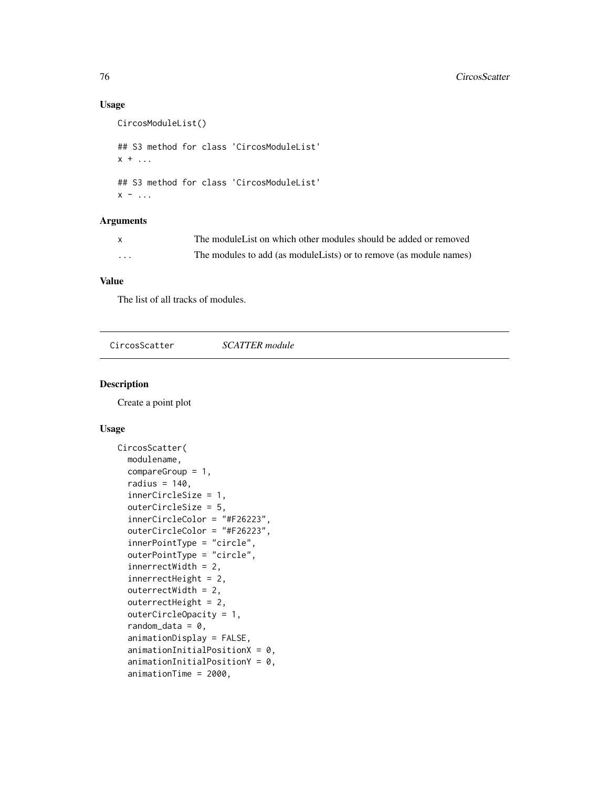# Usage

```
CircosModuleList()
## S3 method for class 'CircosModuleList'
x + \ldots## S3 method for class 'CircosModuleList'
x - 1
```
# Arguments

| $\mathbf{x}$ | The module List on which other modules should be added or removed   |
|--------------|---------------------------------------------------------------------|
| .            | The modules to add (as module Lists) or to remove (as module names) |

#### Value

The list of all tracks of modules.

| CircosScatter | <b>SCATTER</b> module |  |
|---------------|-----------------------|--|
|               |                       |  |

#### Description

Create a point plot

#### Usage

```
CircosScatter(
  modulename,
  compareGroup = 1,
  radius = 140,
  innerCircleSize = 1,
  outerCircleSize = 5,
  innerCircleColor = "#F26223",
  outerCircleColor = "#F26223",
  innerPointType = "circle",
  outerPointType = "circle",
  innerrectWidth = 2,
  innerrectHeight = 2,
  outerrectWidth = 2,
  outerrectHeight = 2,
  outerCircleOpacity = 1,
  random_data = 0,
  animationDisplay = FALSE,
  animationInitialPositionX = 0,
  animationInitialPositionY = 0,
  animationTime = 2000,
```
<span id="page-75-0"></span>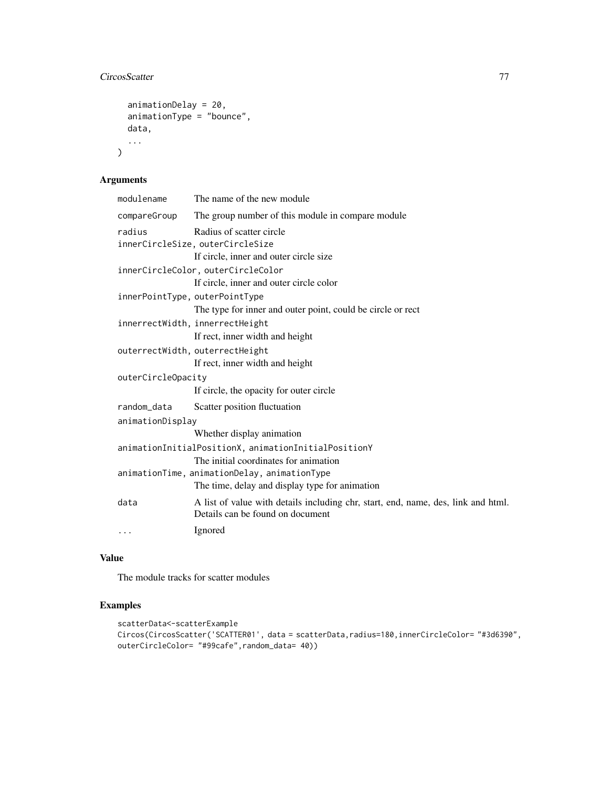# CircosScatter 77

```
animationDelay = 20,
animationType = "bounce",
data,
...
```
# Arguments

)

| The name of the new module                                                                                            |  |  |
|-----------------------------------------------------------------------------------------------------------------------|--|--|
| The group number of this module in compare module                                                                     |  |  |
| Radius of scatter circle<br>innerCircleSize, outerCircleSize                                                          |  |  |
| If circle, inner and outer circle size                                                                                |  |  |
| innerCircleColor, outerCircleColor                                                                                    |  |  |
| If circle, inner and outer circle color                                                                               |  |  |
| innerPointType, outerPointType                                                                                        |  |  |
| The type for inner and outer point, could be circle or rect                                                           |  |  |
| innerrectWidth, innerrectHeight                                                                                       |  |  |
| If rect, inner width and height                                                                                       |  |  |
| outerrectWidth, outerrectHeight                                                                                       |  |  |
| If rect, inner width and height                                                                                       |  |  |
| outerCircleOpacity                                                                                                    |  |  |
| If circle, the opacity for outer circle                                                                               |  |  |
| Scatter position fluctuation                                                                                          |  |  |
| animationDisplay                                                                                                      |  |  |
| Whether display animation                                                                                             |  |  |
| animationInitialPositionX, animationInitialPositionY                                                                  |  |  |
| The initial coordinates for animation                                                                                 |  |  |
| animationTime, animationDelay, animationType                                                                          |  |  |
| The time, delay and display type for animation                                                                        |  |  |
| A list of value with details including chr, start, end, name, des, link and html.<br>Details can be found on document |  |  |
| Ignored                                                                                                               |  |  |
|                                                                                                                       |  |  |

# Value

The module tracks for scatter modules

# Examples

```
scatterData<-scatterExample
Circos(CircosScatter('SCATTER01', data = scatterData,radius=180,innerCircleColor= "#3d6390",
outerCircleColor= "#99cafe",random_data= 40))
```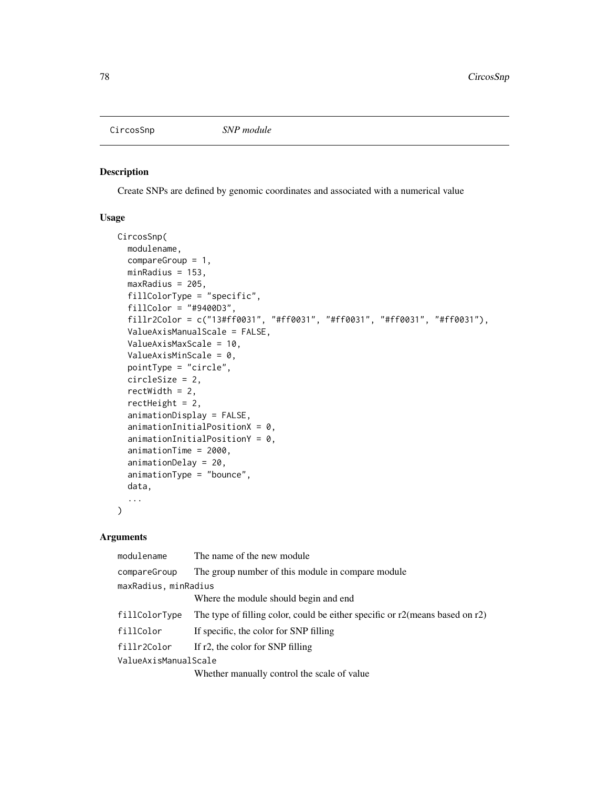<span id="page-77-0"></span>

Create SNPs are defined by genomic coordinates and associated with a numerical value

#### Usage

```
CircosSnp(
  modulename,
  compareGroup = 1,
 minRadius = 153,
 maxRadius = 205,
  fillColorType = "specific",
  fillColor = "#9400D3",
  fillr2Color = c("13#ff0031", "#ff0031", "#ff0031", "#ff0031", "#ff0031"),
  ValueAxisManualScale = FALSE,
  ValueAxisMaxScale = 10,
  ValueAxisMinScale = 0,
  pointType = "circle",
  circleSize = 2,
  rectWidth = 2,
  rectHeight = 2,
  animationDisplay = FALSE,
  animationInitialPositionX = 0,animationInitialPositionY = 0,
  animationTime = 2000,
  animationDelay = 20,
  animationType = "bounce",
  data,
  ...
)
```
# Arguments

| modulename           | The name of the new module                                                         |  |
|----------------------|------------------------------------------------------------------------------------|--|
| compareGroup         | The group number of this module in compare module                                  |  |
| maxRadius, minRadius |                                                                                    |  |
|                      | Where the module should begin and end                                              |  |
| fillColorType        | The type of filling color, could be either specific or $r2$ (means based on $r2$ ) |  |
| fillColor            | If specific, the color for SNP filling                                             |  |
| fillr2Color          | If r2, the color for SNP filling                                                   |  |
| ValueAxisManualScale |                                                                                    |  |
|                      | Whether manually control the scale of value                                        |  |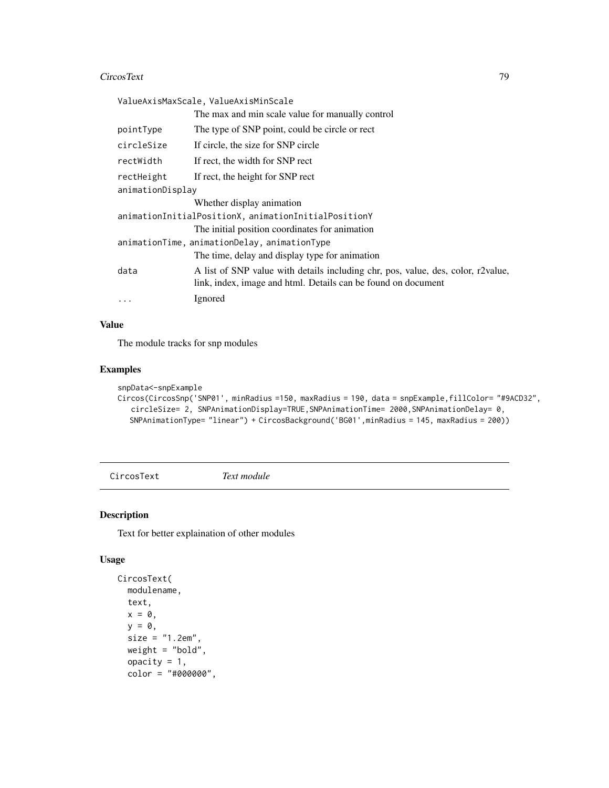# <span id="page-78-0"></span>CircosText 79

|                                                      | ValueAxisMaxScale, ValueAxisMinScale                                                                                                              |  |
|------------------------------------------------------|---------------------------------------------------------------------------------------------------------------------------------------------------|--|
|                                                      | The max and min scale value for manually control                                                                                                  |  |
| pointType                                            | The type of SNP point, could be circle or rect                                                                                                    |  |
| circleSize                                           | If circle, the size for SNP circle                                                                                                                |  |
| rectWidth                                            | If rect, the width for SNP rect                                                                                                                   |  |
| rectHeight                                           | If rect, the height for SNP rect                                                                                                                  |  |
| animationDisplay                                     |                                                                                                                                                   |  |
|                                                      | Whether display animation                                                                                                                         |  |
| animationInitialPositionX, animationInitialPositionY |                                                                                                                                                   |  |
|                                                      | The initial position coordinates for animation                                                                                                    |  |
| animationTime, animationDelay, animationType         |                                                                                                                                                   |  |
|                                                      | The time, delay and display type for animation                                                                                                    |  |
| data                                                 | A list of SNP value with details including chr, pos, value, des, color, r2value,<br>link, index, image and html. Details can be found on document |  |
| $\cdots$                                             | Ignored                                                                                                                                           |  |

# Value

The module tracks for snp modules

#### Examples

snpData<-snpExample

```
Circos(CircosSnp('SNP01', minRadius =150, maxRadius = 190, data = snpExample,fillColor= "#9ACD32",
  circleSize= 2, SNPAnimationDisplay=TRUE,SNPAnimationTime= 2000,SNPAnimationDelay= 0,
  SNPAnimationType= "linear") + CircosBackground('BG01',minRadius = 145, maxRadius = 200))
```
CircosText *Text module*

#### Description

Text for better explaination of other modules

#### Usage

```
CircosText(
  modulename,
  text,
  x = 0,
  y = 0,
  size = "1.2em",
  weight = "bold",
  opacity = 1,
  color = "#000000",
```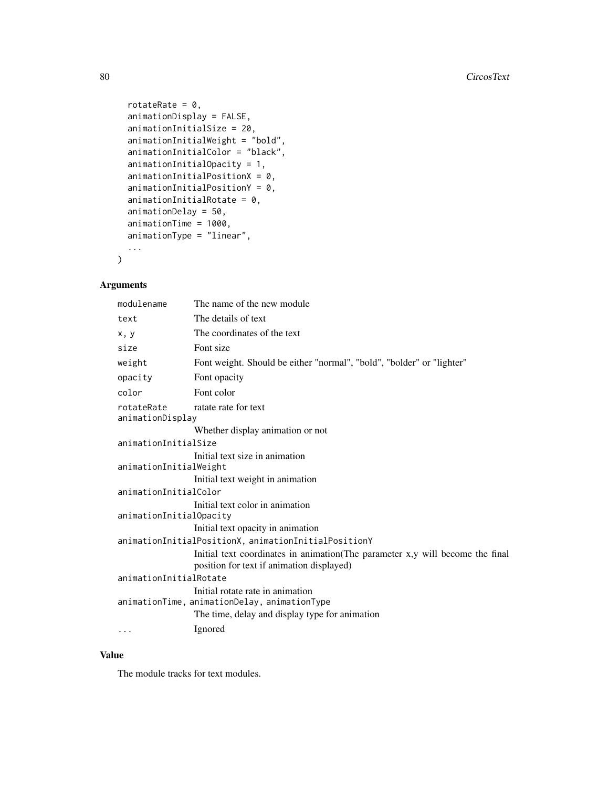```
rotateRate = 0,
 animationDisplay = FALSE,
  animationInitialSize = 20,
  animationInitialWeight = "bold",
  animationInitialColor = "black",
  animationInitialOpacity = 1,
  animationInitialPositionX = 0,
  animationInitialPositionY = 0,animationInitialRotate = 0,
  animationDelay = 50,
  animationTime = 1000,
  animationType = "linear",
  ...
)
```
# Arguments

| modulename                     | The name of the new module                                                                                                         |
|--------------------------------|------------------------------------------------------------------------------------------------------------------------------------|
| text                           | The details of text                                                                                                                |
| x, y                           | The coordinates of the text                                                                                                        |
| size                           | Font size                                                                                                                          |
| weight                         | Font weight. Should be either "normal", "bold", "bolder" or "lighter"                                                              |
| opacity                        | Font opacity                                                                                                                       |
| color                          | Font color                                                                                                                         |
| rotateRate<br>animationDisplay | ratate rate for text                                                                                                               |
|                                | Whether display animation or not                                                                                                   |
| animationInitialSize           |                                                                                                                                    |
|                                | Initial text size in animation                                                                                                     |
| animationInitialWeight         |                                                                                                                                    |
|                                | Initial text weight in animation                                                                                                   |
| animationInitialColor          |                                                                                                                                    |
|                                | Initial text color in animation                                                                                                    |
| animationInitialOpacity        |                                                                                                                                    |
|                                | Initial text opacity in animation                                                                                                  |
|                                | animationInitialPositionX, animationInitialPositionY                                                                               |
|                                | Initial text coordinates in animation (The parameter x,y will become the final<br>position for text if animation displayed)        |
| animationInitialRotate         |                                                                                                                                    |
|                                | Initial rotate rate in animation<br>animationTime, animationDelay, animationType<br>The time, delay and display type for animation |
| $\cdots$                       | Ignored                                                                                                                            |

# Value

The module tracks for text modules.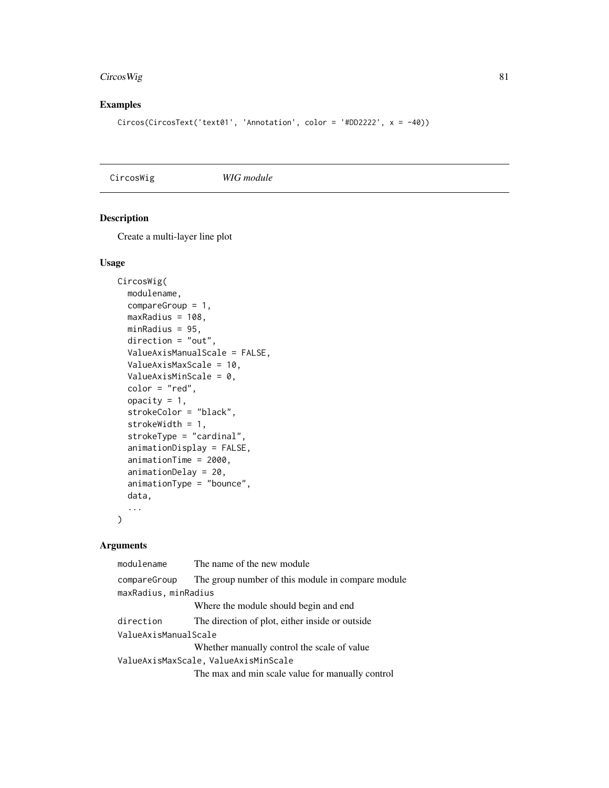# <span id="page-80-0"></span>CircosWig 81

# Examples

```
Circos(CircosText('text01', 'Annotation', color = '#DD2222', x = -40))
```
CircosWig *WIG module*

# Description

Create a multi-layer line plot

#### Usage

```
CircosWig(
 modulename,
  compareGroup = 1,
 maxRadius = 108,
 minRadius = 95,
  direction = "out",
  ValueAxisManualScale = FALSE,
  ValueAxisMaxScale = 10,
  ValueAxisMinScale = 0,
  color = "red",
  opacity = 1,
  strokeColor = "black",
  strokeWidth = 1,
  strokeType = "cardinal",
  animationDisplay = FALSE,
  animationTime = 2000,
  animationDelay = 20,
  animationType = "bounce",
  data,
  ...
\mathcal{L}
```
# Arguments

| modulename           | The name of the new module                        |
|----------------------|---------------------------------------------------|
| compareGroup         | The group number of this module in compare module |
| maxRadius, minRadius |                                                   |
|                      | Where the module should begin and end             |
| direction            | The direction of plot, either inside or outside   |
| ValueAxisManualScale |                                                   |
|                      | Whether manually control the scale of value       |
|                      | ValueAxisMaxScale, ValueAxisMinScale              |
|                      | The max and min scale value for manually control  |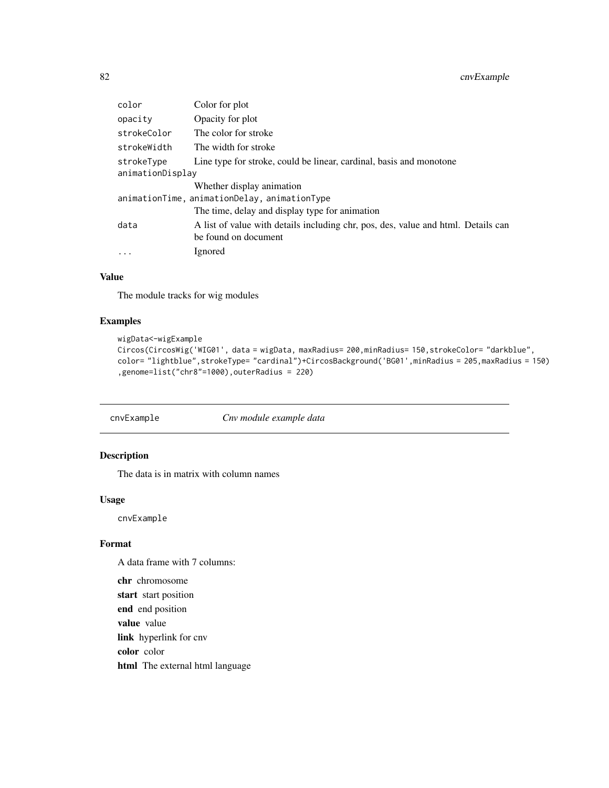# <span id="page-81-0"></span>82 cnvExample

| color                                        | Color for plot                                                                    |  |
|----------------------------------------------|-----------------------------------------------------------------------------------|--|
| opacity                                      | Opacity for plot                                                                  |  |
| strokeColor                                  | The color for stroke                                                              |  |
| strokeWidth                                  | The width for stroke                                                              |  |
| strokeType                                   | Line type for stroke, could be linear, cardinal, basis and monotone               |  |
| animationDisplay                             |                                                                                   |  |
|                                              | Whether display animation                                                         |  |
| animationTime, animationDelay, animationType |                                                                                   |  |
|                                              | The time, delay and display type for animation                                    |  |
| data                                         | A list of value with details including chr, pos, des, value and html. Details can |  |
|                                              | be found on document                                                              |  |
| $\cdots$                                     | Ignored                                                                           |  |

# Value

The module tracks for wig modules

# Examples

```
wigData<-wigExample
Circos(CircosWig('WIG01', data = wigData, maxRadius= 200,minRadius= 150,strokeColor= "darkblue",
color= "lightblue",strokeType= "cardinal")+CircosBackground('BG01',minRadius = 205,maxRadius = 150)
,genome=list("chr8"=1000),outerRadius = 220)
```
cnvExample *Cnv module example data*

## Description

The data is in matrix with column names

#### Usage

cnvExample

#### Format

A data frame with 7 columns:

chr chromosome start start position end end position value value link hyperlink for cnv color color html The external html language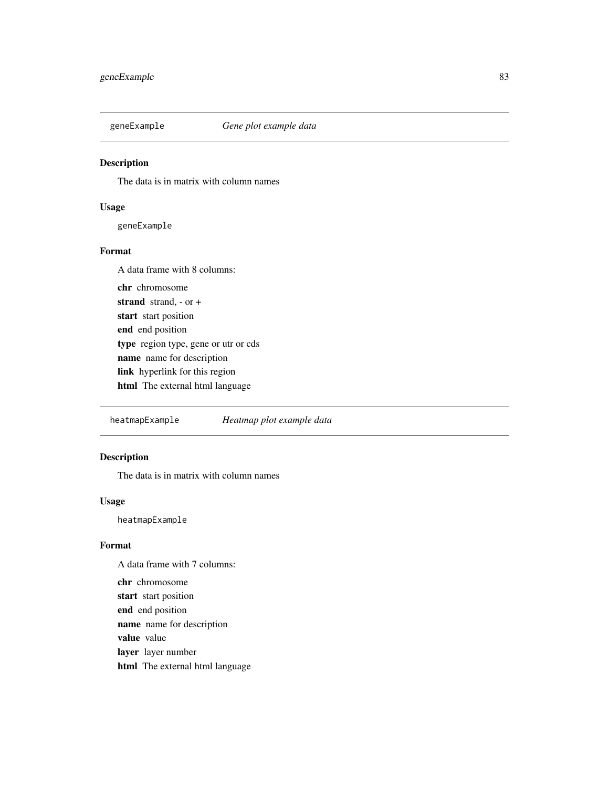<span id="page-82-0"></span>

The data is in matrix with column names

#### Usage

geneExample

#### Format

A data frame with 8 columns: chr chromosome strand strand, - or + start start position end end position type region type, gene or utr or cds name name for description link hyperlink for this region html The external html language

heatmapExample *Heatmap plot example data*

# Description

The data is in matrix with column names

#### Usage

heatmapExample

#### Format

A data frame with 7 columns:

chr chromosome start start position end end position name name for description value value layer layer number html The external html language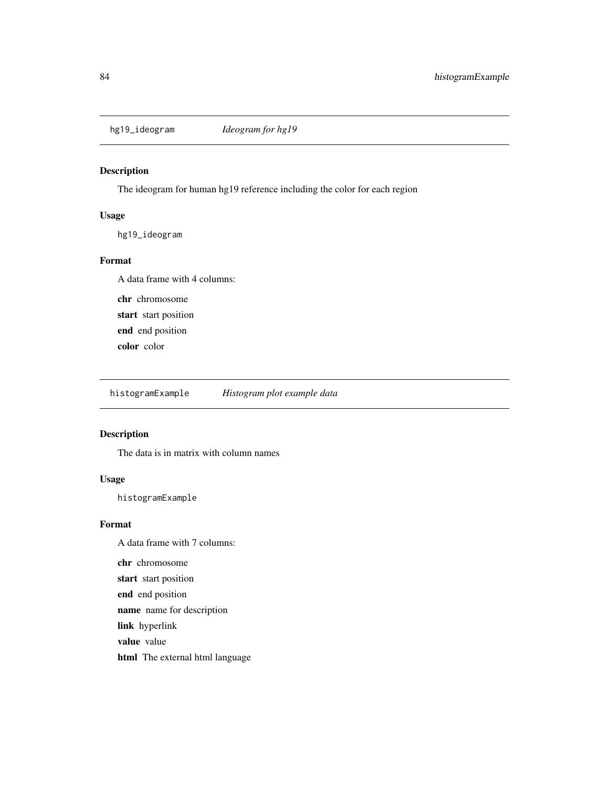<span id="page-83-0"></span>

The ideogram for human hg19 reference including the color for each region

# Usage

hg19\_ideogram

#### Format

A data frame with 4 columns: chr chromosome

start start position

end end position

color color

histogramExample *Histogram plot example data*

## Description

The data is in matrix with column names

#### Usage

histogramExample

#### Format

A data frame with 7 columns: chr chromosome start start position end end position name name for description link hyperlink value value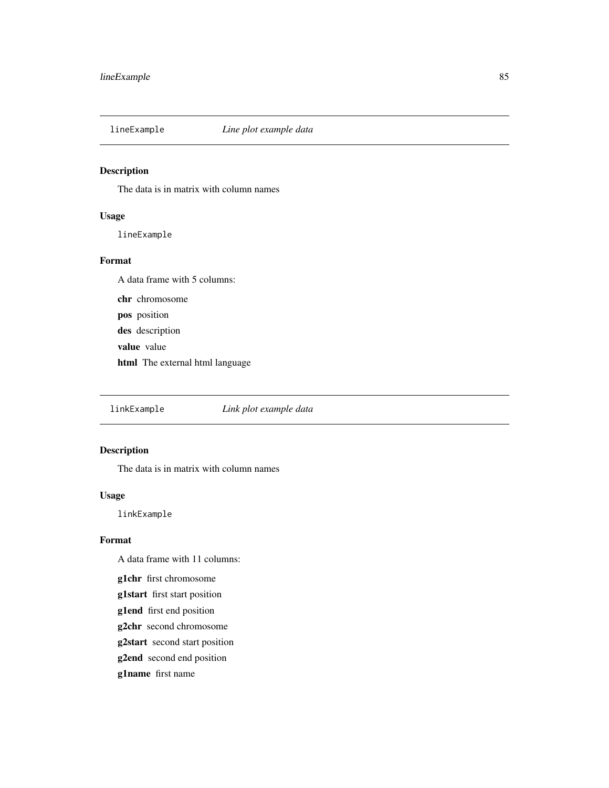<span id="page-84-0"></span>

The data is in matrix with column names

# Usage

lineExample

#### Format

A data frame with 5 columns: chr chromosome pos position des description value value html The external html language

linkExample *Link plot example data*

#### Description

The data is in matrix with column names

#### Usage

linkExample

#### Format

A data frame with 11 columns:

g1chr first chromosome

- g1start first start position
- g1end first end position
- g2chr second chromosome
- g2start second start position
- g2end second end position
- g1name first name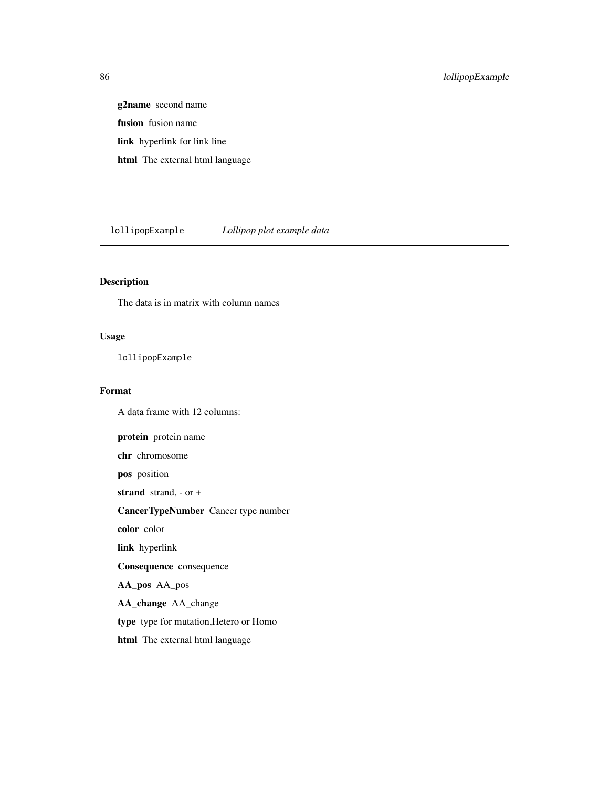# <span id="page-85-0"></span>86 lollipopExample

g2name second name fusion fusion name link hyperlink for link line html The external html language

lollipopExample *Lollipop plot example data*

# Description

The data is in matrix with column names

#### Usage

lollipopExample

#### Format

A data frame with 12 columns:

protein protein name chr chromosome pos position strand strand, - or + CancerTypeNumber Cancer type number color color link hyperlink Consequence consequence AA\_pos AA\_pos AA\_change AA\_change type type for mutation,Hetero or Homo html The external html language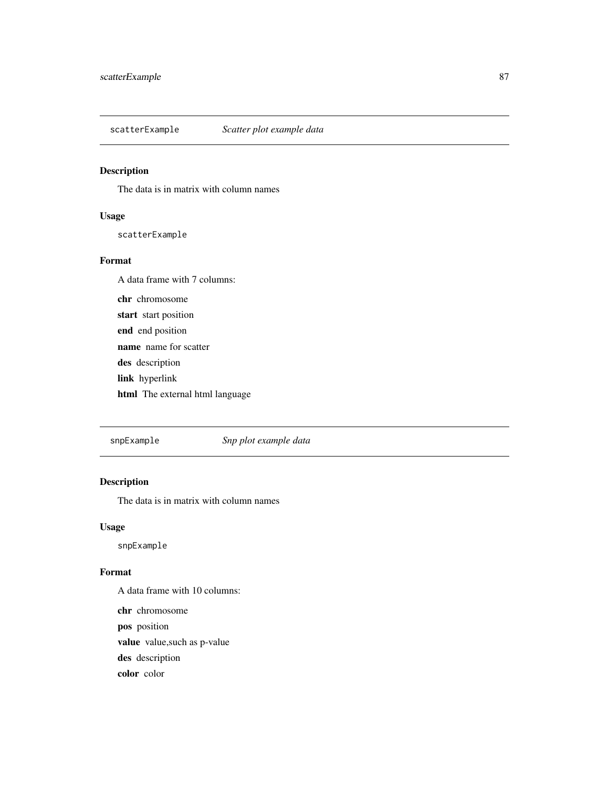<span id="page-86-0"></span>scatterExample *Scatter plot example data*

# Description

The data is in matrix with column names

# Usage

scatterExample

#### Format

A data frame with 7 columns: chr chromosome start start position end end position name name for scatter des description link hyperlink html The external html language

snpExample *Snp plot example data*

# Description

The data is in matrix with column names

#### Usage

snpExample

# Format

A data frame with 10 columns: chr chromosome pos position value value,such as p-value des description color color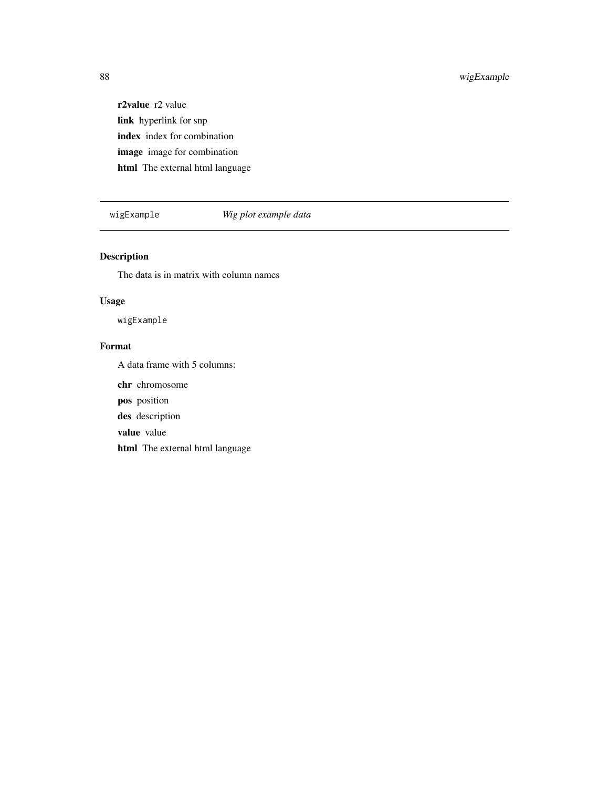# <span id="page-87-0"></span>88 wigExample

r2value r2 value link hyperlink for snp index index for combination image image for combination html The external html language

# wigExample *Wig plot example data*

# Description

The data is in matrix with column names

# Usage

wigExample

# Format

A data frame with 5 columns:

chr chromosome

pos position

des description

value value

html The external html language